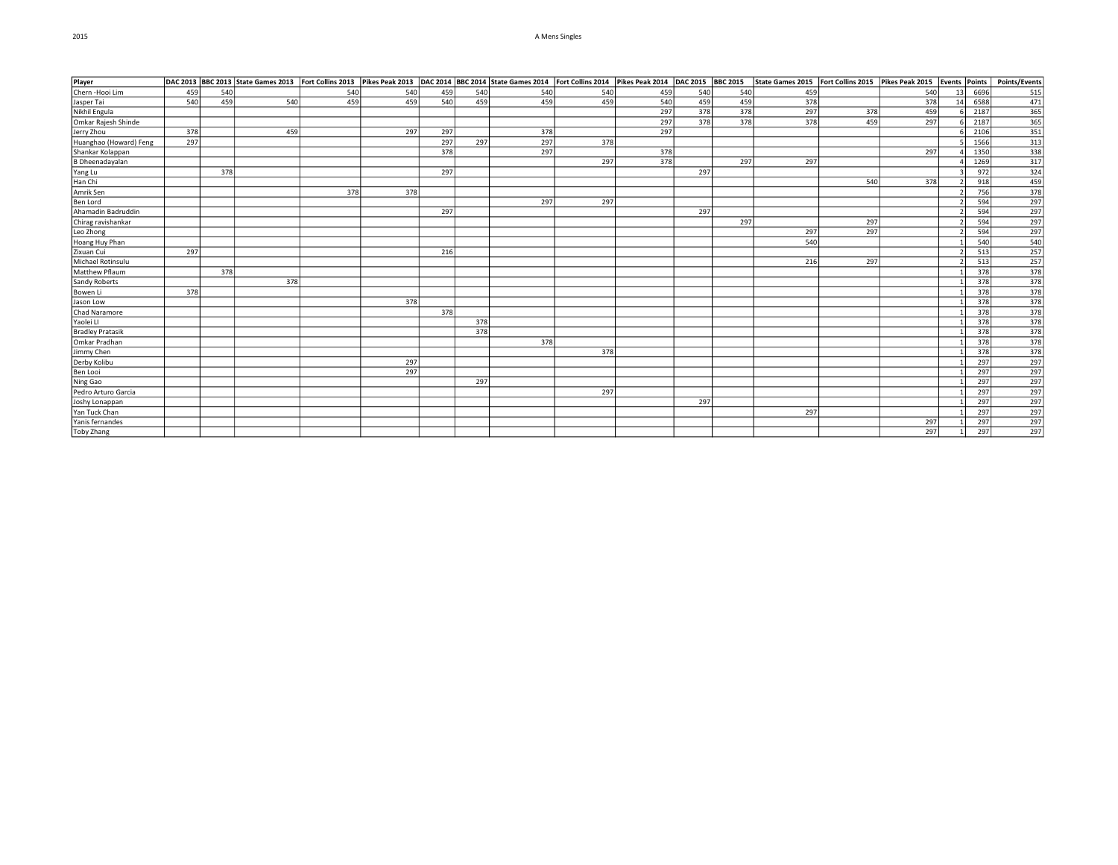## 2015 A Mens Singles

| Player                  |     |     | DAC 2013 BBC 2013 State Games 2013 Fort Collins 2013 Pikes Peak 2013 DAC 2014 BBC 2014 State Games 2014 Fort Collins 2014 Pikes Peak 2014 DAC 2015 BBC 2015 |     |     |     |     |     |     |     |     |     | State Games 2015   Fort Collins 2015   Pikes Peak 2015   Events   Points   Points/Events |     |     |    |      |                                                                                                                                  |
|-------------------------|-----|-----|-------------------------------------------------------------------------------------------------------------------------------------------------------------|-----|-----|-----|-----|-----|-----|-----|-----|-----|------------------------------------------------------------------------------------------|-----|-----|----|------|----------------------------------------------------------------------------------------------------------------------------------|
| Chern-Hooi Lim          | 459 | 540 |                                                                                                                                                             | 540 | 540 | 459 | 540 | 540 | 540 | 459 | 540 | 540 | 459                                                                                      |     | 540 | 13 | 6696 | 515                                                                                                                              |
| Jasper Tai              | 540 | 459 | 540                                                                                                                                                         | 459 | 459 | 540 | 459 | 459 | 459 | 540 | 459 | 459 | 378                                                                                      |     | 378 | 14 | 6588 | 471                                                                                                                              |
| Nikhil Engula           |     |     |                                                                                                                                                             |     |     |     |     |     |     | 297 | 378 | 378 | 297                                                                                      | 378 | 459 |    | 2187 | $\begin{array}{r}\n 365 \\  \hline\n 365 \\  \hline\n 351 \\  \hline\n 313 \\  \hline\n 338\n \end{array}$                       |
| Omkar Rajesh Shinde     |     |     |                                                                                                                                                             |     |     |     |     |     |     | 297 | 378 | 378 | 378                                                                                      | 459 | 297 |    | 2187 |                                                                                                                                  |
| Jerry Zhou              | 378 |     | 459                                                                                                                                                         |     | 297 | 297 |     | 378 |     | 297 |     |     |                                                                                          |     |     |    | 2106 |                                                                                                                                  |
| Huanghao (Howard) Feng  | 297 |     |                                                                                                                                                             |     |     | 297 | 297 | 297 | 378 |     |     |     |                                                                                          |     |     |    | 1566 |                                                                                                                                  |
| Shankar Kolappan        |     |     |                                                                                                                                                             |     |     | 378 |     | 297 |     | 378 |     |     |                                                                                          |     | 297 |    | 1350 |                                                                                                                                  |
| <b>B</b> Dheenadayalan  |     |     |                                                                                                                                                             |     |     |     |     |     | 297 | 378 |     | 297 | 297                                                                                      |     |     |    | 1269 | 317                                                                                                                              |
| Yang Lu                 |     | 378 |                                                                                                                                                             |     |     | 297 |     |     |     |     | 297 |     |                                                                                          |     |     |    | 972  | $\frac{324}{459}$                                                                                                                |
| Han Chi                 |     |     |                                                                                                                                                             |     |     |     |     |     |     |     |     |     |                                                                                          | 540 | 378 |    | 918  |                                                                                                                                  |
| Amrik Sen               |     |     |                                                                                                                                                             | 378 | 378 |     |     |     |     |     |     |     |                                                                                          |     |     |    | 756  | $\overline{378}$                                                                                                                 |
| <b>Ben Lord</b>         |     |     |                                                                                                                                                             |     |     |     |     | 297 | 297 |     |     |     |                                                                                          |     |     |    | 594  | 297                                                                                                                              |
| Ahamadin Badruddin      |     |     |                                                                                                                                                             |     |     | 297 |     |     |     |     | 297 |     |                                                                                          |     |     |    | 594  | 297                                                                                                                              |
| Chirag ravishankar      |     |     |                                                                                                                                                             |     |     |     |     |     |     |     |     | 297 |                                                                                          | 297 |     |    | 594  | 297                                                                                                                              |
| Leo Zhong               |     |     |                                                                                                                                                             |     |     |     |     |     |     |     |     |     | 297                                                                                      | 297 |     |    | 594  | $\frac{297}{540}$                                                                                                                |
| Hoang Huy Phan          |     |     |                                                                                                                                                             |     |     |     |     |     |     |     |     |     | 540                                                                                      |     |     |    | 540  |                                                                                                                                  |
| Zixuan Cui              | 297 |     |                                                                                                                                                             |     |     | 216 |     |     |     |     |     |     |                                                                                          |     |     |    | 513  |                                                                                                                                  |
| Michael Rotinsulu       |     |     |                                                                                                                                                             |     |     |     |     |     |     |     |     |     | 216                                                                                      | 297 |     |    | 513  | $\frac{257}{257}$                                                                                                                |
| Matthew Pflaum          |     | 378 |                                                                                                                                                             |     |     |     |     |     |     |     |     |     |                                                                                          |     |     |    | 378  |                                                                                                                                  |
| <b>Sandy Roberts</b>    |     |     | 378                                                                                                                                                         |     |     |     |     |     |     |     |     |     |                                                                                          |     |     |    | 378  | $\begin{array}{r} \hline 378 \\ \hline 378 \\ \hline 378 \\ \hline 378 \\ \hline 378 \\ \hline 378 \\ \hline \end{array}$        |
| Bowen Li                | 378 |     |                                                                                                                                                             |     |     |     |     |     |     |     |     |     |                                                                                          |     |     |    | 378  |                                                                                                                                  |
| Jason Low               |     |     |                                                                                                                                                             |     | 378 |     |     |     |     |     |     |     |                                                                                          |     |     |    | 378  |                                                                                                                                  |
| Chad Naramore           |     |     |                                                                                                                                                             |     |     | 378 |     |     |     |     |     |     |                                                                                          |     |     |    | 378  |                                                                                                                                  |
| Yaolei Ll               |     |     |                                                                                                                                                             |     |     |     | 378 |     |     |     |     |     |                                                                                          |     |     |    | 378  |                                                                                                                                  |
| <b>Bradley Pratasik</b> |     |     |                                                                                                                                                             |     |     |     | 378 |     |     |     |     |     |                                                                                          |     |     |    | 378  |                                                                                                                                  |
| Omkar Pradhan           |     |     |                                                                                                                                                             |     |     |     |     | 378 |     |     |     |     |                                                                                          |     |     |    | 378  | $\begin{array}{r} 378 \\ \hline 378 \\ \hline 378 \\ \hline 297 \\ \hline 297 \\ \hline 297 \\ \hline 297 \\ \hline \end{array}$ |
| Jimmy Chen              |     |     |                                                                                                                                                             |     |     |     |     |     | 378 |     |     |     |                                                                                          |     |     |    | 378  |                                                                                                                                  |
| Derby Kolibu            |     |     |                                                                                                                                                             |     | 297 |     |     |     |     |     |     |     |                                                                                          |     |     |    | 297  |                                                                                                                                  |
| Ben Looi                |     |     |                                                                                                                                                             |     | 297 |     |     |     |     |     |     |     |                                                                                          |     |     |    | 297  |                                                                                                                                  |
| Ning Gao                |     |     |                                                                                                                                                             |     |     |     | 297 |     |     |     |     |     |                                                                                          |     |     |    | 297  |                                                                                                                                  |
| Pedro Arturo Garcia     |     |     |                                                                                                                                                             |     |     |     |     |     | 297 |     |     |     |                                                                                          |     |     |    | 297  |                                                                                                                                  |
| Joshy Lonappan          |     |     |                                                                                                                                                             |     |     |     |     |     |     |     | 297 |     |                                                                                          |     |     |    | 297  | 297                                                                                                                              |
| Yan Tuck Chan           |     |     |                                                                                                                                                             |     |     |     |     |     |     |     |     |     | 297                                                                                      |     |     |    | 297  | $\frac{1}{297}$                                                                                                                  |
| Yanis fernandes         |     |     |                                                                                                                                                             |     |     |     |     |     |     |     |     |     |                                                                                          |     | 297 |    | 297  | 297                                                                                                                              |
| Toby Zhang              |     |     |                                                                                                                                                             |     |     |     |     |     |     |     |     |     |                                                                                          |     | 297 |    | 297  | 297                                                                                                                              |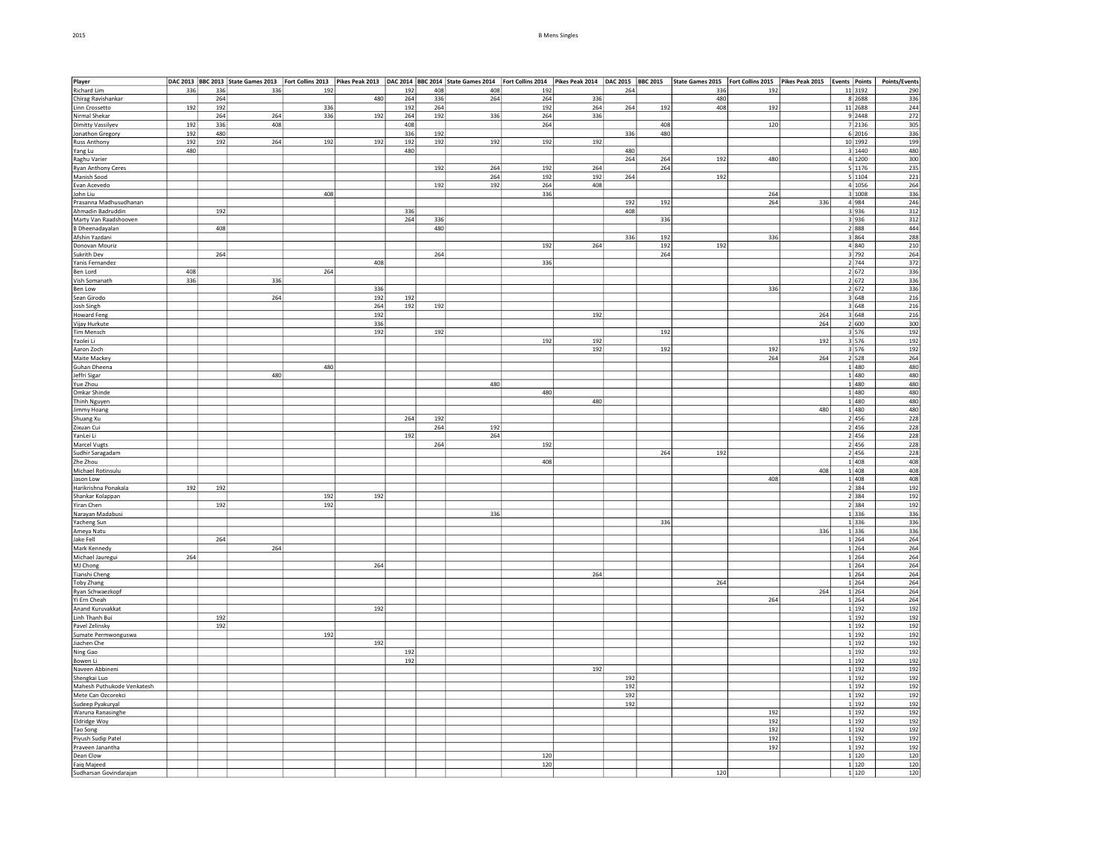| 2015 | <b>B Mens Singles</b> |
|------|-----------------------|
|      |                       |

| Player                           |            |            | DAC 2013  BBC 2013  State Games 2013  Fort Collins 2013  Pikes Peak 2013  DAC 2014  BBC 2014  State Games 2014  Fort Collins 2014  Pikes Peak 2014  Pikes Peak 2015  BBC 2015  BBC 2015  State Games 2015  Fort Collins 2015 |     |     |            |     |     |     |     |     |            |     |            |     |                  | Points/Events |
|----------------------------------|------------|------------|------------------------------------------------------------------------------------------------------------------------------------------------------------------------------------------------------------------------------|-----|-----|------------|-----|-----|-----|-----|-----|------------|-----|------------|-----|------------------|---------------|
| Richard Lim                      | 336        | 336        | 336                                                                                                                                                                                                                          | 192 |     | 192        | 408 | 408 | 192 |     | 264 |            | 336 | 192        |     | 11 3192          | 290           |
| Chirag Ravishankar               |            | 264        |                                                                                                                                                                                                                              |     | 480 | 264        | 336 | 264 | 264 | 336 |     |            | 480 |            |     | 8 2688           | 336           |
| Linn Crossetto                   | 192        | 192        |                                                                                                                                                                                                                              | 336 |     | 192        | 264 |     | 192 | 264 | 264 | 192        | 408 | 192        |     | 11 2688          | 244           |
| Nirmal Shekar                    |            | 264        | 264                                                                                                                                                                                                                          | 336 | 192 | 264        | 192 | 336 | 264 | 336 |     |            |     |            |     | 9 2448           | 272           |
| <b>Dimitty Vassilyev</b>         | 192<br>192 | 336<br>480 | 408                                                                                                                                                                                                                          |     |     | 408<br>336 | 192 |     | 264 |     | 336 | 408<br>480 |     | 120        |     | 7 2136<br>6 2016 | 305<br>336    |
| Jonathon Gregory                 | 192        | 192        | 264                                                                                                                                                                                                                          | 192 | 192 | 192        |     | 192 | 192 | 192 |     |            |     |            |     | 10 1992          | 199           |
| <b>Russ Anthony</b>              | 480        |            |                                                                                                                                                                                                                              |     |     | 480        | 192 |     |     |     | 480 |            |     |            |     | 3 1440           | 480           |
| Yang Lu<br>Raghu Varier          |            |            |                                                                                                                                                                                                                              |     |     |            |     |     |     |     | 264 | 264        | 192 | 480        |     | 4 1200           | 300           |
| <b>Ryan Anthony Ceres</b>        |            |            |                                                                                                                                                                                                                              |     |     |            | 192 | 264 | 192 | 264 |     | 264        |     |            |     | 5 1176           | 235           |
| Manish Sood                      |            |            |                                                                                                                                                                                                                              |     |     |            |     | 264 | 192 | 192 | 264 |            | 192 |            |     | 5 1104           | 221           |
| Evan Acevedo                     |            |            |                                                                                                                                                                                                                              |     |     |            | 192 | 192 | 264 | 408 |     |            |     |            |     | 4 1056           | 264           |
| John Liu                         |            |            |                                                                                                                                                                                                                              | 408 |     |            |     |     | 336 |     |     |            |     | 264        |     | 3 1008           | 336           |
| Prasanna Madhusudhanan           |            |            |                                                                                                                                                                                                                              |     |     |            |     |     |     |     | 192 | 192        |     | 264        | 336 | 4 984            | 246           |
| Ahmadin Badruddin                |            | 192        |                                                                                                                                                                                                                              |     |     | 336        |     |     |     |     | 408 |            |     |            |     | 3 936            | 312           |
| Marty Van Raadshooven            |            |            |                                                                                                                                                                                                                              |     |     | 264        | 336 |     |     |     |     | 336        |     |            |     | 3 936            | 312           |
| <b>B</b> Dheenadayalan           |            | 408        |                                                                                                                                                                                                                              |     |     |            | 480 |     |     |     |     |            |     |            |     | 2 888            | 444           |
| Afshin Yazdani                   |            |            |                                                                                                                                                                                                                              |     |     |            |     |     |     |     | 336 | 192        |     | 336        |     | 3 864            | 288           |
| Donovan Mouriz                   |            |            |                                                                                                                                                                                                                              |     |     |            |     |     | 192 | 264 |     | 192        | 192 |            |     | 4 840            | 210           |
| Sukrith Dev                      |            | 264        |                                                                                                                                                                                                                              |     |     |            | 264 |     |     |     |     | 264        |     |            |     | 3 792            | 264           |
| Yanis Fernandez                  |            |            |                                                                                                                                                                                                                              |     | 408 |            |     |     | 336 |     |     |            |     |            |     | 2 744            | 372           |
| Ben Lord                         | 408        |            |                                                                                                                                                                                                                              | 264 |     |            |     |     |     |     |     |            |     |            |     | 2 672            | 336           |
| Vish Somanath                    | 336        |            | 336                                                                                                                                                                                                                          |     |     |            |     |     |     |     |     |            |     |            |     | 2 672            | 336           |
| Ben Low                          |            |            |                                                                                                                                                                                                                              |     | 336 |            |     |     |     |     |     |            |     | 336        |     | 2 672            | 336           |
| Sean Girodo                      |            |            | 264                                                                                                                                                                                                                          |     | 192 | 192        |     |     |     |     |     |            |     |            |     | 3 648            | 216           |
| Josh Singh                       |            |            |                                                                                                                                                                                                                              |     | 264 | 192        | 192 |     |     |     |     |            |     |            |     | 3 648            | 216           |
| <b>Howard Feng</b>               |            |            |                                                                                                                                                                                                                              |     | 192 |            |     |     |     | 192 |     |            |     |            | 264 | 3 648            | 216           |
| Vijay Hurkute                    |            |            |                                                                                                                                                                                                                              |     | 336 |            |     |     |     |     |     |            |     |            | 264 | 2 600            | 300           |
| Tim Mensch                       |            |            |                                                                                                                                                                                                                              |     | 192 |            | 192 |     |     |     |     | 192        |     |            |     | 3 576            | 192           |
| Yaolei Li                        |            |            |                                                                                                                                                                                                                              |     |     |            |     |     | 192 | 192 |     |            |     |            | 192 | 3 576            | 192           |
| Aaron Zoch                       |            |            |                                                                                                                                                                                                                              |     |     |            |     |     |     | 192 |     | 192        |     | 192        |     | 3 576            | 192           |
| Maite Mackey                     |            |            |                                                                                                                                                                                                                              |     |     |            |     |     |     |     |     |            |     | 264        | 264 | 2 528            | 264           |
| Guhan Dheena                     |            |            |                                                                                                                                                                                                                              | 480 |     |            |     |     |     |     |     |            |     |            |     | 1480             | 480           |
| Jeffri Sigar                     |            |            | 480                                                                                                                                                                                                                          |     |     |            |     |     |     |     |     |            |     |            |     | 1 480            | 480           |
| Yue Zhou                         |            |            |                                                                                                                                                                                                                              |     |     |            |     | 480 |     |     |     |            |     |            |     | 1 480            | 480           |
| Omkar Shinde                     |            |            |                                                                                                                                                                                                                              |     |     |            |     |     | 480 |     |     |            |     |            |     | 1 480            | 480           |
| Thinh Nguyen                     |            |            |                                                                                                                                                                                                                              |     |     |            |     |     |     | 480 |     |            |     |            | 480 | 1 480            | 480<br>480    |
| Jimmy Hoang                      |            |            |                                                                                                                                                                                                                              |     |     |            |     |     |     |     |     |            |     |            |     | 1 480            |               |
| Shuang Xu                        |            |            |                                                                                                                                                                                                                              |     |     | 264        | 192 | 192 |     |     |     |            |     |            |     | 2 456            | 228           |
| Zixuan Cui                       |            |            |                                                                                                                                                                                                                              |     |     |            | 264 |     |     |     |     |            |     |            |     | 2 456<br>2 456   | 228           |
| YanLei Li                        |            |            |                                                                                                                                                                                                                              |     |     | 192        |     | 264 |     |     |     |            |     |            |     |                  | 228           |
| Marcel Vugts<br>Sudhir Saragadam |            |            |                                                                                                                                                                                                                              |     |     |            | 264 |     | 192 |     |     | 264        | 192 |            |     | 2 456<br>2 456   | 228<br>228    |
| Zhe Zhou                         |            |            |                                                                                                                                                                                                                              |     |     |            |     |     | 408 |     |     |            |     |            |     | 1 408            | 408           |
| Michael Rotinsulu                |            |            |                                                                                                                                                                                                                              |     |     |            |     |     |     |     |     |            |     |            | 408 | 1 408            | 408           |
| Jason Low                        |            |            |                                                                                                                                                                                                                              |     |     |            |     |     |     |     |     |            |     | 408        |     | 1 408            | 408           |
| Harikrishna Ponakala             | 192        | 192        |                                                                                                                                                                                                                              |     |     |            |     |     |     |     |     |            |     |            |     | 2 384            | 192           |
| Shankar Kolappan                 |            |            |                                                                                                                                                                                                                              | 192 | 192 |            |     |     |     |     |     |            |     |            |     | 2 384            | 192           |
| Yiran Chen                       |            | 192        |                                                                                                                                                                                                                              | 192 |     |            |     |     |     |     |     |            |     |            |     | 2 384            | 192           |
| Narayan Madabusi                 |            |            |                                                                                                                                                                                                                              |     |     |            |     | 336 |     |     |     |            |     |            |     | 1 336            | 336           |
| Yacheng Sun                      |            |            |                                                                                                                                                                                                                              |     |     |            |     |     |     |     |     | 336        |     |            |     | 1 336            | 336           |
| Ameya Natu                       |            |            |                                                                                                                                                                                                                              |     |     |            |     |     |     |     |     |            |     |            | 336 | 1 336            | 336           |
| Jake Fell                        |            | 264        |                                                                                                                                                                                                                              |     |     |            |     |     |     |     |     |            |     |            |     | 1 264            | 264           |
| Mark Kennedy                     |            |            | 264                                                                                                                                                                                                                          |     |     |            |     |     |     |     |     |            |     |            |     | 1 264            | 264           |
| Michael Jauregui                 | 264        |            |                                                                                                                                                                                                                              |     |     |            |     |     |     |     |     |            |     |            |     | 1 264            | 264           |
| MJ Chong                         |            |            |                                                                                                                                                                                                                              |     | 264 |            |     |     |     |     |     |            |     |            |     | 1 264            | 264           |
| Tianshi Cheng                    |            |            |                                                                                                                                                                                                                              |     |     |            |     |     |     | 264 |     |            |     |            |     | 1 264            | 264           |
| Toby Zhang                       |            |            |                                                                                                                                                                                                                              |     |     |            |     |     |     |     |     |            | 264 |            |     | 1 264            | 264           |
| Ryan Schwaezkopf                 |            |            |                                                                                                                                                                                                                              |     |     |            |     |     |     |     |     |            |     |            | 264 | 1 264            | 264           |
| Yi Ern Cheah                     |            |            |                                                                                                                                                                                                                              |     |     |            |     |     |     |     |     |            |     | 264        |     | 1 264            | 264           |
| Anand Kuruvakkat                 |            |            |                                                                                                                                                                                                                              |     | 192 |            |     |     |     |     |     |            |     |            |     | 1 192            | 192           |
| Linh Thanh Bui                   |            | 192        |                                                                                                                                                                                                                              |     |     |            |     |     |     |     |     |            |     |            |     | 1 192            | 192           |
| Pavel Zelinsky                   |            | 192        |                                                                                                                                                                                                                              |     |     |            |     |     |     |     |     |            |     |            |     | 1 192            | 192           |
| Sumate Permwonguswa              |            |            |                                                                                                                                                                                                                              | 192 |     |            |     |     |     |     |     |            |     |            |     | 1 192            | 192           |
| Jiachen Che                      |            |            |                                                                                                                                                                                                                              |     | 192 |            |     |     |     |     |     |            |     |            |     | $1$ 192          | 192           |
| Ning Gao                         |            |            |                                                                                                                                                                                                                              |     |     | 192        |     |     |     |     |     |            |     |            |     | 1 192            | 192           |
| Bowen Li                         |            |            |                                                                                                                                                                                                                              |     |     | 192        |     |     |     |     |     |            |     |            |     | 1 192            | 192           |
| Naveen Abbineni                  |            |            |                                                                                                                                                                                                                              |     |     |            |     |     |     | 192 |     |            |     |            |     | 1 192            | 192           |
| Shengkai Luo                     |            |            |                                                                                                                                                                                                                              |     |     |            |     |     |     |     | 192 |            |     |            |     | 1 192            | 192           |
| Mahesh Puthukode Venkatesh       |            |            |                                                                                                                                                                                                                              |     |     |            |     |     |     |     | 192 |            |     |            |     | 1 192            | 192           |
| Mete Can Ozcorekci               |            |            |                                                                                                                                                                                                                              |     |     |            |     |     |     |     | 192 |            |     |            |     | 1 192            | 192           |
| Sudeep Pyakuryal                 |            |            |                                                                                                                                                                                                                              |     |     |            |     |     |     |     | 192 |            |     |            |     | 1 192            | 192           |
| Waruna Ranasinghe                |            |            |                                                                                                                                                                                                                              |     |     |            |     |     |     |     |     |            |     | 192        |     | 1 192            | 192           |
| Eldridge Woy                     |            |            |                                                                                                                                                                                                                              |     |     |            |     |     |     |     |     |            |     | 192        |     | 1 192            | 192           |
| Tao Song                         |            |            |                                                                                                                                                                                                                              |     |     |            |     |     |     |     |     |            |     | 192        |     | 1 192            | 192           |
| Piyush Sudip Patel               |            |            |                                                                                                                                                                                                                              |     |     |            |     |     |     |     |     |            |     | 192<br>192 |     | 1 192<br>1 192   | 192<br>192    |
| Praveen Janantha<br>Dean Clow    |            |            |                                                                                                                                                                                                                              |     |     |            |     |     | 120 |     |     |            |     |            |     | 1 120            | 120           |
|                                  |            |            |                                                                                                                                                                                                                              |     |     |            |     |     |     |     |     |            |     |            |     |                  |               |

Faiq Majeed 120 1 120 120 Sudharsan Govindarajan 120 1 120 120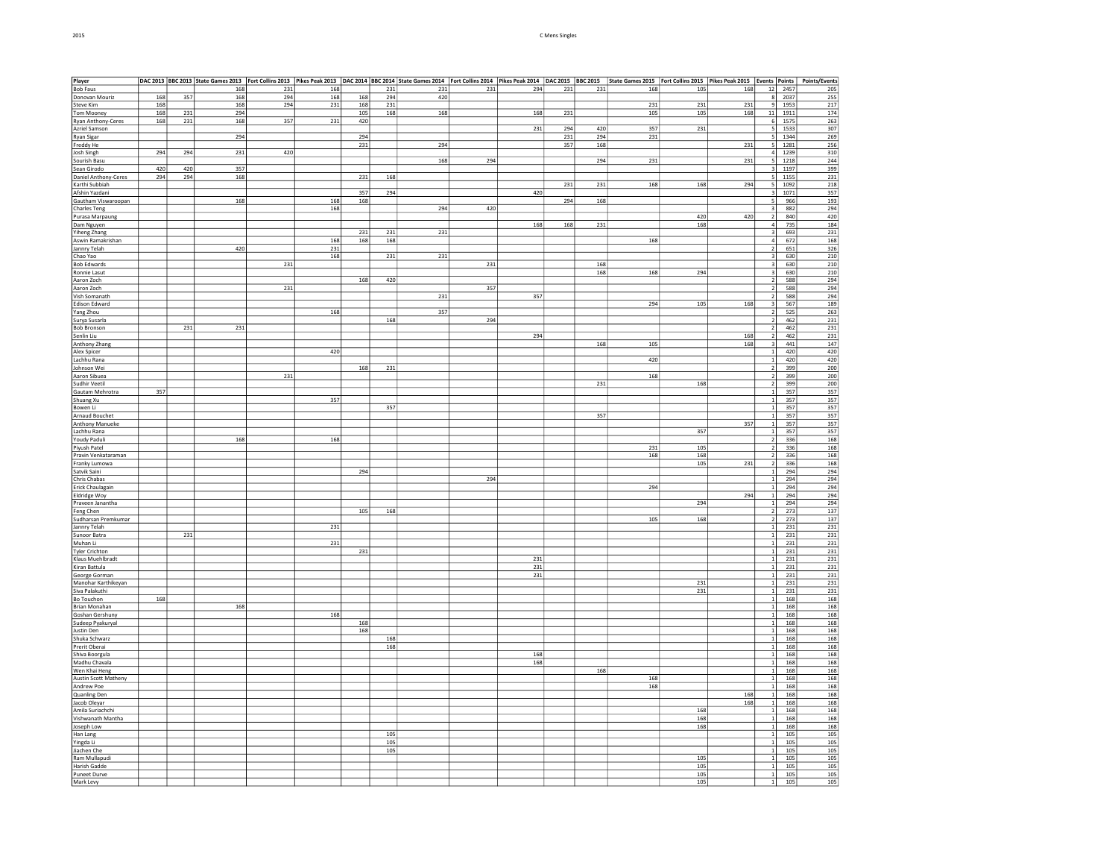| Player                      |     |     | $\frac{ \texttt{DAC 2013}  \text{BBC 2013}  \text{State Games 2013}  \text{For Collins 2013}  \text{Pikes Peak 2013}  \text{Pikes Peak 2013}  \text{DAC 2014}  \text{BBC 2014}  \text{State Games 2014}  \text{State Games 2014}  \text{Pikes Peak 2014}  \text{Pakes Peak 2014}  \text{Pakes Peak 2015}  \text{BBC 2015}  \text{State Games 2015}  \text{For Collins 2015}  \text{Pikes Peak 2015}  \text{Pekes Peak 2015}  \text{Pekes Peak 20$ |     |     |     |     |     |     |     |     |     |     |     |     |                         |            |                  |
|-----------------------------|-----|-----|---------------------------------------------------------------------------------------------------------------------------------------------------------------------------------------------------------------------------------------------------------------------------------------------------------------------------------------------------------------------------------------------------------------------------------------------------|-----|-----|-----|-----|-----|-----|-----|-----|-----|-----|-----|-----|-------------------------|------------|------------------|
| <b>Bob Faus</b>             |     |     |                                                                                                                                                                                                                                                                                                                                                                                                                                                   |     |     |     |     |     |     |     |     |     |     |     |     |                         |            |                  |
| Donovan Mouriz              | 168 | 357 | 168                                                                                                                                                                                                                                                                                                                                                                                                                                               | 294 | 168 | 168 | 294 | 420 |     |     |     |     |     |     |     | 8                       | 2037       | 255              |
| Steve Kim                   | 168 |     | 168                                                                                                                                                                                                                                                                                                                                                                                                                                               | 294 | 231 | 168 | 231 |     |     |     |     |     | 231 | 231 | 231 |                         | 9 1953     | 217              |
|                             |     |     |                                                                                                                                                                                                                                                                                                                                                                                                                                                   |     |     |     |     |     |     |     |     |     |     |     |     |                         |            |                  |
| <b>Tom Mooney</b>           | 168 | 231 | 294                                                                                                                                                                                                                                                                                                                                                                                                                                               |     |     | 105 | 168 | 168 |     | 168 | 231 |     | 105 | 105 | 168 | $11\,$                  | 1911       | 174              |
| Ryan Anthony-Ceres          | 168 | 231 | 168                                                                                                                                                                                                                                                                                                                                                                                                                                               | 357 | 231 | 420 |     |     |     |     |     |     |     |     |     |                         | 6 1575     | 263              |
| Azriel Samson               |     |     |                                                                                                                                                                                                                                                                                                                                                                                                                                                   |     |     |     |     |     |     | 231 | 294 | 420 | 357 | 231 |     |                         | $5 - 1533$ | 307              |
| Ryan Sigar                  |     |     | 294                                                                                                                                                                                                                                                                                                                                                                                                                                               |     |     | 294 |     |     |     |     | 231 | 294 | 231 |     |     | 5 <sub>5</sub>          | 1344       | 269              |
| Freddy He                   |     |     |                                                                                                                                                                                                                                                                                                                                                                                                                                                   |     |     | 231 |     | 294 |     |     | 357 | 168 |     |     | 231 |                         | $5 - 1281$ | 256              |
| Josh Singh                  | 294 | 294 | 231                                                                                                                                                                                                                                                                                                                                                                                                                                               | 420 |     |     |     |     |     |     |     |     |     |     |     |                         | 4 1239     | 310              |
| Sourish Basu                |     |     |                                                                                                                                                                                                                                                                                                                                                                                                                                                   |     |     |     |     | 168 | 294 |     |     | 294 | 231 |     | 231 | 5                       | 1218       | 244              |
|                             | 420 |     |                                                                                                                                                                                                                                                                                                                                                                                                                                                   |     |     |     |     |     |     |     |     |     |     |     |     |                         |            |                  |
| Sean Girodo                 |     | 420 | 357                                                                                                                                                                                                                                                                                                                                                                                                                                               |     |     |     |     |     |     |     |     |     |     |     |     | $\overline{\mathbf{3}}$ | 1197       | 399              |
| Daniel Anthony-Ceres        | 294 | 294 | 168                                                                                                                                                                                                                                                                                                                                                                                                                                               |     |     | 231 | 168 |     |     |     |     |     |     |     |     | 5                       | 1155       | 231              |
| Karthi Subbiah              |     |     |                                                                                                                                                                                                                                                                                                                                                                                                                                                   |     |     |     |     |     |     |     | 231 | 231 | 168 | 168 | 294 | 5 <sub>5</sub>          | 1092       | 218              |
| Afshin Yazdani              |     |     |                                                                                                                                                                                                                                                                                                                                                                                                                                                   |     |     | 357 | 294 |     |     | 420 |     |     |     |     |     | $\overline{3}$          | 1071       | 357              |
| Gautham Viswaroopan         |     |     | 168                                                                                                                                                                                                                                                                                                                                                                                                                                               |     | 168 | 168 |     |     |     |     | 294 | 168 |     |     |     | $5\overline{)}$         | 966        | 193              |
| Charles Teng                |     |     |                                                                                                                                                                                                                                                                                                                                                                                                                                                   |     | 168 |     |     | 294 | 420 |     |     |     |     |     |     | $\overline{\mathbf{3}}$ | 882        | 294              |
|                             |     |     |                                                                                                                                                                                                                                                                                                                                                                                                                                                   |     |     |     |     |     |     |     |     |     |     | 420 | 420 | $\overline{2}$          | 840        |                  |
| Purasa Marpaung             |     |     |                                                                                                                                                                                                                                                                                                                                                                                                                                                   |     |     |     |     |     |     |     |     |     |     |     |     |                         |            | 420              |
| Dam Nguyen                  |     |     |                                                                                                                                                                                                                                                                                                                                                                                                                                                   |     |     |     |     |     |     | 168 | 168 | 231 |     | 168 |     | $\overline{4}$          | 735        | 184              |
| <b>Yiheng Zhang</b>         |     |     |                                                                                                                                                                                                                                                                                                                                                                                                                                                   |     |     | 231 | 231 | 231 |     |     |     |     |     |     |     | $\overline{\mathbf{3}}$ | 693        | $\overline{231}$ |
| Aswin Ramakrishan           |     |     |                                                                                                                                                                                                                                                                                                                                                                                                                                                   |     | 168 | 168 | 168 |     |     |     |     |     | 168 |     |     | $\overline{4}$          | 672        | 168              |
| Jannry Telah                |     |     | 420                                                                                                                                                                                                                                                                                                                                                                                                                                               |     | 231 |     |     |     |     |     |     |     |     |     |     | $\overline{2}$          | 651        | 326              |
| Chao Yao                    |     |     |                                                                                                                                                                                                                                                                                                                                                                                                                                                   |     | 168 |     | 231 | 231 |     |     |     |     |     |     |     |                         | 630        | 210              |
|                             |     |     |                                                                                                                                                                                                                                                                                                                                                                                                                                                   |     |     |     |     |     |     |     |     |     |     |     |     | $\frac{3}{3}$           |            |                  |
| <b>Bob Edwards</b>          |     |     |                                                                                                                                                                                                                                                                                                                                                                                                                                                   | 231 |     |     |     |     | 231 |     |     | 168 |     |     |     |                         | 630        | 210              |
| Ronnie Lasut                |     |     |                                                                                                                                                                                                                                                                                                                                                                                                                                                   |     |     |     |     |     |     |     |     | 168 | 168 | 294 |     | $\overline{\mathbf{3}}$ | 630        | 210              |
| Aaron Zoch                  |     |     |                                                                                                                                                                                                                                                                                                                                                                                                                                                   |     |     | 168 | 420 |     |     |     |     |     |     |     |     | $\overline{2}$          | 588        | 294              |
| Aaron Zoch                  |     |     |                                                                                                                                                                                                                                                                                                                                                                                                                                                   | 231 |     |     |     |     | 357 |     |     |     |     |     |     | $\overline{2}$          | 588        | 294              |
| Vish Somanath               |     |     |                                                                                                                                                                                                                                                                                                                                                                                                                                                   |     |     |     |     | 231 |     | 357 |     |     |     |     |     | $\overline{2}$          | 588        | 294              |
|                             |     |     |                                                                                                                                                                                                                                                                                                                                                                                                                                                   |     |     |     |     |     |     |     |     |     | 294 | 105 | 168 |                         | 567        | 189              |
| <b>Edison Edward</b>        |     |     |                                                                                                                                                                                                                                                                                                                                                                                                                                                   |     |     |     |     |     |     |     |     |     |     |     |     | $\overline{\mathbf{3}}$ |            |                  |
| Yang Zhou                   |     |     |                                                                                                                                                                                                                                                                                                                                                                                                                                                   |     | 168 |     |     | 357 |     |     |     |     |     |     |     | $\sqrt{2}$              | 525        | 263              |
| Surya Susarla               |     |     |                                                                                                                                                                                                                                                                                                                                                                                                                                                   |     |     |     | 168 |     | 294 |     |     |     |     |     |     | $\overline{2}$          | 462        | 231              |
| <b>Bob Bronson</b>          |     | 231 | 231                                                                                                                                                                                                                                                                                                                                                                                                                                               |     |     |     |     |     |     |     |     |     |     |     |     | $\overline{2}$          | 462        | 231              |
| Senlin Liu                  |     |     |                                                                                                                                                                                                                                                                                                                                                                                                                                                   |     |     |     |     |     |     | 294 |     |     |     |     | 168 | $\overline{2}$          | 462        | 231              |
| Anthony Zhang               |     |     |                                                                                                                                                                                                                                                                                                                                                                                                                                                   |     |     |     |     |     |     |     |     | 168 | 105 |     | 168 | $\overline{\mathbf{3}}$ | 441        | 147              |
|                             |     |     |                                                                                                                                                                                                                                                                                                                                                                                                                                                   |     | 420 |     |     |     |     |     |     |     |     |     |     | $1\vert$                | 420        | 420              |
| Alex Spicer                 |     |     |                                                                                                                                                                                                                                                                                                                                                                                                                                                   |     |     |     |     |     |     |     |     |     |     |     |     |                         |            |                  |
| Lachhu Rana                 |     |     |                                                                                                                                                                                                                                                                                                                                                                                                                                                   |     |     |     |     |     |     |     |     |     | 420 |     |     | $\mathbf{1}$            | 420        | 420              |
| Johnson Wei                 |     |     |                                                                                                                                                                                                                                                                                                                                                                                                                                                   |     |     | 168 | 231 |     |     |     |     |     |     |     |     | $\overline{2}$          | 399        | 200              |
| Aaron Sibuea                |     |     |                                                                                                                                                                                                                                                                                                                                                                                                                                                   | 231 |     |     |     |     |     |     |     |     | 168 |     |     | $\overline{2}$          | 399        | 200              |
| Sudhir Veetil               |     |     |                                                                                                                                                                                                                                                                                                                                                                                                                                                   |     |     |     |     |     |     |     |     | 231 |     | 168 |     | $\overline{2}$          | 399        | 200              |
| Gautam Mehrotra             | 357 |     |                                                                                                                                                                                                                                                                                                                                                                                                                                                   |     |     |     |     |     |     |     |     |     |     |     |     | $\overline{1}$          | 357        | 357              |
| Shuang Xu                   |     |     |                                                                                                                                                                                                                                                                                                                                                                                                                                                   |     | 357 |     |     |     |     |     |     |     |     |     |     | $\mathbf{1}$            | 357        | 357              |
|                             |     |     |                                                                                                                                                                                                                                                                                                                                                                                                                                                   |     |     |     |     |     |     |     |     |     |     |     |     |                         | 357        |                  |
| Bowen Li                    |     |     |                                                                                                                                                                                                                                                                                                                                                                                                                                                   |     |     |     | 357 |     |     |     |     |     |     |     |     | $\mathbf{1}$            |            | 357              |
| Arnaud Bouchet              |     |     |                                                                                                                                                                                                                                                                                                                                                                                                                                                   |     |     |     |     |     |     |     |     | 357 |     |     |     | $\mathbf{1}$            | 357        | 357              |
| Anthony Manueke             |     |     |                                                                                                                                                                                                                                                                                                                                                                                                                                                   |     |     |     |     |     |     |     |     |     |     |     | 357 | $1\vert$                | 357        | 357              |
| Lachhu Rana                 |     |     |                                                                                                                                                                                                                                                                                                                                                                                                                                                   |     |     |     |     |     |     |     |     |     |     | 357 |     |                         | 357        | 357              |
| <b>Youdy Paduli</b>         |     |     | 168                                                                                                                                                                                                                                                                                                                                                                                                                                               |     | 168 |     |     |     |     |     |     |     |     |     |     | $\frac{1}{2}$           | 336        | 168              |
| Piyush Patel                |     |     |                                                                                                                                                                                                                                                                                                                                                                                                                                                   |     |     |     |     |     |     |     |     |     | 231 | 105 |     | $\overline{2}$          | 336        | 168              |
|                             |     |     |                                                                                                                                                                                                                                                                                                                                                                                                                                                   |     |     |     |     |     |     |     |     |     |     |     |     |                         |            |                  |
| Pravin Venkataraman         |     |     |                                                                                                                                                                                                                                                                                                                                                                                                                                                   |     |     |     |     |     |     |     |     |     | 168 | 168 |     | $\overline{2}$          | 336        | 168              |
| Franky Lumowa               |     |     |                                                                                                                                                                                                                                                                                                                                                                                                                                                   |     |     |     |     |     |     |     |     |     |     | 105 | 231 | $\overline{2}$          | 336        | 168              |
| Satvik Saini                |     |     |                                                                                                                                                                                                                                                                                                                                                                                                                                                   |     |     | 294 |     |     |     |     |     |     |     |     |     | $\overline{1}$          | 294        | 294              |
| Chris Chabas                |     |     |                                                                                                                                                                                                                                                                                                                                                                                                                                                   |     |     |     |     |     | 294 |     |     |     |     |     |     | 1                       | 294        | 294              |
| Erick Chaulagain            |     |     |                                                                                                                                                                                                                                                                                                                                                                                                                                                   |     |     |     |     |     |     |     |     |     | 294 |     |     | 1                       | 294        | 294              |
|                             |     |     |                                                                                                                                                                                                                                                                                                                                                                                                                                                   |     |     |     |     |     |     |     |     |     |     |     | 294 | $\overline{1}$          |            |                  |
| Eldridge Woy                |     |     |                                                                                                                                                                                                                                                                                                                                                                                                                                                   |     |     |     |     |     |     |     |     |     |     |     |     |                         | 294        | 294              |
| Praveen Janantha            |     |     |                                                                                                                                                                                                                                                                                                                                                                                                                                                   |     |     |     |     |     |     |     |     |     |     | 294 |     | 1                       | 294        | 294              |
| Feng Chen                   |     |     |                                                                                                                                                                                                                                                                                                                                                                                                                                                   |     |     | 105 | 168 |     |     |     |     |     |     |     |     |                         | 273        | 137              |
| Sudharsan Premkumar         |     |     |                                                                                                                                                                                                                                                                                                                                                                                                                                                   |     |     |     |     |     |     |     |     |     | 105 | 168 |     | $\overline{2}$          | 273        | 137              |
| Jannry Telah                |     |     |                                                                                                                                                                                                                                                                                                                                                                                                                                                   |     | 231 |     |     |     |     |     |     |     |     |     |     | $1\vert$                | 231        | 231              |
| Sunoor Batra                |     | 231 |                                                                                                                                                                                                                                                                                                                                                                                                                                                   |     |     |     |     |     |     |     |     |     |     |     |     | $\mathbf{1}$            | 231        | 231              |
| Muhan Li                    |     |     |                                                                                                                                                                                                                                                                                                                                                                                                                                                   |     | 231 |     |     |     |     |     |     |     |     |     |     | $\overline{1}$          | 231        |                  |
|                             |     |     |                                                                                                                                                                                                                                                                                                                                                                                                                                                   |     |     |     |     |     |     |     |     |     |     |     |     | $\mathbf{1}$            |            | 231              |
| <b>Tyler Crichton</b>       |     |     |                                                                                                                                                                                                                                                                                                                                                                                                                                                   |     |     | 231 |     |     |     |     |     |     |     |     |     |                         | 231        | 231              |
| Klaus Muehlbradt            |     |     |                                                                                                                                                                                                                                                                                                                                                                                                                                                   |     |     |     |     |     |     | 231 |     |     |     |     |     | $\mathbf{1}$            | 231        | 231              |
| Kiran Battula               |     |     |                                                                                                                                                                                                                                                                                                                                                                                                                                                   |     |     |     |     |     |     | 231 |     |     |     |     |     | $\overline{1}$          | 231        | 231              |
| George Gorman               |     |     |                                                                                                                                                                                                                                                                                                                                                                                                                                                   |     |     |     |     |     |     | 231 |     |     |     |     |     | $1\overline{ }$         | 231        | 231              |
| Manohar Karthikeyan         |     |     |                                                                                                                                                                                                                                                                                                                                                                                                                                                   |     |     |     |     |     |     |     |     |     |     | 231 |     | $\mathbf{1}$            | 231        | 231              |
| Siva Palakuthi              |     |     |                                                                                                                                                                                                                                                                                                                                                                                                                                                   |     |     |     |     |     |     |     |     |     |     | 231 |     | $\mathbf{1}$            | 231        | 231              |
| Bo Touchon                  | 168 |     |                                                                                                                                                                                                                                                                                                                                                                                                                                                   |     |     |     |     |     |     |     |     |     |     |     |     | $1\vert$                | 168        | 168              |
|                             |     |     |                                                                                                                                                                                                                                                                                                                                                                                                                                                   |     |     |     |     |     |     |     |     |     |     |     |     |                         | 168        |                  |
| Brian Monahan               |     |     | 168                                                                                                                                                                                                                                                                                                                                                                                                                                               |     |     |     |     |     |     |     |     |     |     |     |     | $\overline{1}$          |            | 168              |
| Goshan Gershuny             |     |     |                                                                                                                                                                                                                                                                                                                                                                                                                                                   |     | 168 |     |     |     |     |     |     |     |     |     |     | $1\overline{ }$         | 168        | 168              |
| Sudeep Pyakuryal            |     |     |                                                                                                                                                                                                                                                                                                                                                                                                                                                   |     |     | 168 |     |     |     |     |     |     |     |     |     | $\overline{1}$          | 168        | 168              |
| Justin Den                  |     |     |                                                                                                                                                                                                                                                                                                                                                                                                                                                   |     |     | 168 |     |     |     |     |     |     |     |     |     | 1                       | 168        | 168              |
| Shuka Schwarz               |     |     |                                                                                                                                                                                                                                                                                                                                                                                                                                                   |     |     |     | 168 |     |     |     |     |     |     |     |     | $1\vert$                | 168        | 168              |
| Prerit Oberai               |     |     |                                                                                                                                                                                                                                                                                                                                                                                                                                                   |     |     |     | 168 |     |     |     |     |     |     |     |     | $\overline{1}$          | 168        | 168              |
|                             |     |     |                                                                                                                                                                                                                                                                                                                                                                                                                                                   |     |     |     |     |     |     | 168 |     |     |     |     |     |                         |            |                  |
| Shiva Boorgula              |     |     |                                                                                                                                                                                                                                                                                                                                                                                                                                                   |     |     |     |     |     |     |     |     |     |     |     |     | 1                       | 168        | 168              |
| Madhu Chavala               |     |     |                                                                                                                                                                                                                                                                                                                                                                                                                                                   |     |     |     |     |     |     | 168 |     |     |     |     |     | $\mathbf{1}$            | 168        | 168              |
| Wen Khai Heng               |     |     |                                                                                                                                                                                                                                                                                                                                                                                                                                                   |     |     |     |     |     |     |     |     | 168 |     |     |     | $\overline{1}$          | 168        | 168              |
| <b>Austin Scott Matheny</b> |     |     |                                                                                                                                                                                                                                                                                                                                                                                                                                                   |     |     |     |     |     |     |     |     |     | 168 |     |     | 1                       | 168        | 168              |
| Andrew Poe                  |     |     |                                                                                                                                                                                                                                                                                                                                                                                                                                                   |     |     |     |     |     |     |     |     |     | 168 |     |     | $1\vert$                | 168        | 168              |
|                             |     |     |                                                                                                                                                                                                                                                                                                                                                                                                                                                   |     |     |     |     |     |     |     |     |     |     |     | 168 | $\overline{1}$          | 168        | 168              |
| <b>Quanling Den</b>         |     |     |                                                                                                                                                                                                                                                                                                                                                                                                                                                   |     |     |     |     |     |     |     |     |     |     |     |     |                         |            |                  |
| Jacob Oleyar                |     |     |                                                                                                                                                                                                                                                                                                                                                                                                                                                   |     |     |     |     |     |     |     |     |     |     |     | 168 | 1                       | 168        | 168              |
| Amila Suriachchi            |     |     |                                                                                                                                                                                                                                                                                                                                                                                                                                                   |     |     |     |     |     |     |     |     |     |     | 168 |     | $\mathbf{1}$            | 168        | 168              |
| Vishwanath Mantha           |     |     |                                                                                                                                                                                                                                                                                                                                                                                                                                                   |     |     |     |     |     |     |     |     |     |     | 168 |     | $\overline{1}$          | 168        | 168              |
| Joseph Low                  |     |     |                                                                                                                                                                                                                                                                                                                                                                                                                                                   |     |     |     |     |     |     |     |     |     |     | 168 |     | 1                       | 168        | 168              |
| Han Lang                    |     |     |                                                                                                                                                                                                                                                                                                                                                                                                                                                   |     |     |     | 105 |     |     |     |     |     |     |     |     | $\mathbf{1}$            | 105        | 105              |
| Yingda Li                   |     |     |                                                                                                                                                                                                                                                                                                                                                                                                                                                   |     |     |     | 105 |     |     |     |     |     |     |     |     | $\overline{1}$          | 105        | 105              |
|                             |     |     |                                                                                                                                                                                                                                                                                                                                                                                                                                                   |     |     |     |     |     |     |     |     |     |     |     |     |                         |            |                  |
| Jiachen Che                 |     |     |                                                                                                                                                                                                                                                                                                                                                                                                                                                   |     |     |     | 105 |     |     |     |     |     |     |     |     | $1\vert$                | 105        | 105              |
| Ram Mullapudi               |     |     |                                                                                                                                                                                                                                                                                                                                                                                                                                                   |     |     |     |     |     |     |     |     |     |     | 105 |     | $\overline{1}$          | 105        | 105              |
| Harish Gadde                |     |     |                                                                                                                                                                                                                                                                                                                                                                                                                                                   |     |     |     |     |     |     |     |     |     |     | 105 |     | $\mathbf{1}$            | 105        | 105              |
| Puneet Durve                |     |     |                                                                                                                                                                                                                                                                                                                                                                                                                                                   |     |     |     |     |     |     |     |     |     |     | 105 |     | $\overline{1}$          | 105        | 105              |
| Mark Levy                   |     |     |                                                                                                                                                                                                                                                                                                                                                                                                                                                   |     |     |     |     |     |     |     |     |     |     | 105 |     | $1\vert$                | 105        | 105              |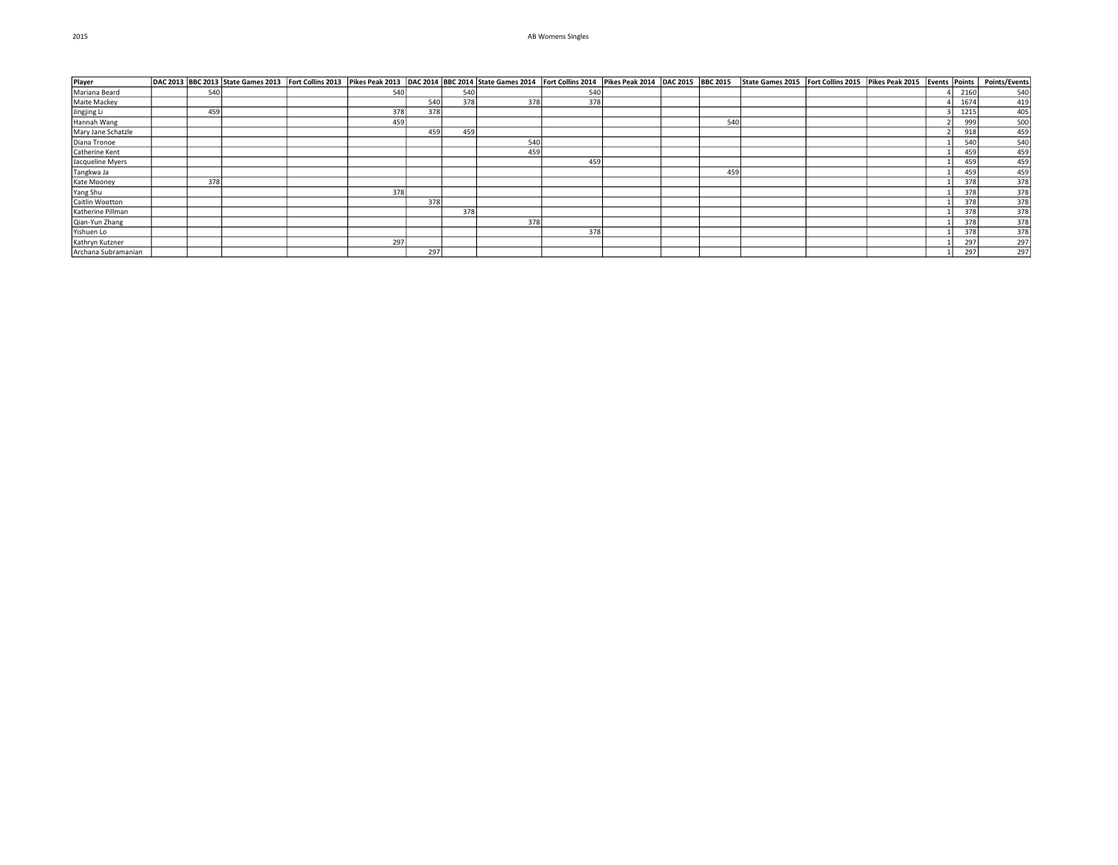| Player              |     |  |     |     |     | DAC 2013  BBC 2013  State Games 2013  Fort Collins 2013  Pikes Peak 2013  DAC 2014  BBC 2014  State Games 2014  Fort Collins 2014  Pikes Peak 2014  DAC 2014  Pikes Peak 2014  Pikes Peak 2015  Fort Collins 2015  Fort Collin |     |  |     |  |  |      |     |
|---------------------|-----|--|-----|-----|-----|--------------------------------------------------------------------------------------------------------------------------------------------------------------------------------------------------------------------------------|-----|--|-----|--|--|------|-----|
| Mariana Beard       | 540 |  | 540 |     | 540 |                                                                                                                                                                                                                                | 540 |  |     |  |  | 2160 | 540 |
| Maite Mackey        |     |  |     | 540 | 378 | 378                                                                                                                                                                                                                            | 378 |  |     |  |  | 1674 | 419 |
| Jingjing Li         | 459 |  | 378 | 378 |     |                                                                                                                                                                                                                                |     |  |     |  |  | 1215 | 405 |
| Hannah Wang         |     |  | 459 |     |     |                                                                                                                                                                                                                                |     |  | 540 |  |  | 999  | 500 |
| Mary Jane Schatzle  |     |  |     | 459 | 459 |                                                                                                                                                                                                                                |     |  |     |  |  | 918  | 459 |
| Diana Tronoe        |     |  |     |     |     | 540                                                                                                                                                                                                                            |     |  |     |  |  | 540  | 540 |
| Catherine Kent      |     |  |     |     |     | 459                                                                                                                                                                                                                            |     |  |     |  |  | 459  | 459 |
| Jacqueline Myers    |     |  |     |     |     |                                                                                                                                                                                                                                | 459 |  |     |  |  | 459  | 459 |
| Tangkwa Ja          |     |  |     |     |     |                                                                                                                                                                                                                                |     |  | 459 |  |  | 459  | 459 |
| Kate Mooney         | 378 |  |     |     |     |                                                                                                                                                                                                                                |     |  |     |  |  | 378  | 378 |
| Yang Shu            |     |  | 378 |     |     |                                                                                                                                                                                                                                |     |  |     |  |  | 378  | 378 |
| Caitlin Wootton     |     |  |     | 378 |     |                                                                                                                                                                                                                                |     |  |     |  |  | 378  | 378 |
| Katherine Pillman   |     |  |     |     | 378 |                                                                                                                                                                                                                                |     |  |     |  |  | 378  | 378 |
| Qian-Yun Zhang      |     |  |     |     |     | 378                                                                                                                                                                                                                            |     |  |     |  |  | 378  | 378 |
| Yishuen Lo          |     |  |     |     |     |                                                                                                                                                                                                                                | 378 |  |     |  |  | 378  | 378 |
| Kathryn Kutzner     |     |  | 297 |     |     |                                                                                                                                                                                                                                |     |  |     |  |  | 297  | 297 |
| Archana Subramanian |     |  |     | 297 |     |                                                                                                                                                                                                                                |     |  |     |  |  | 297  | 297 |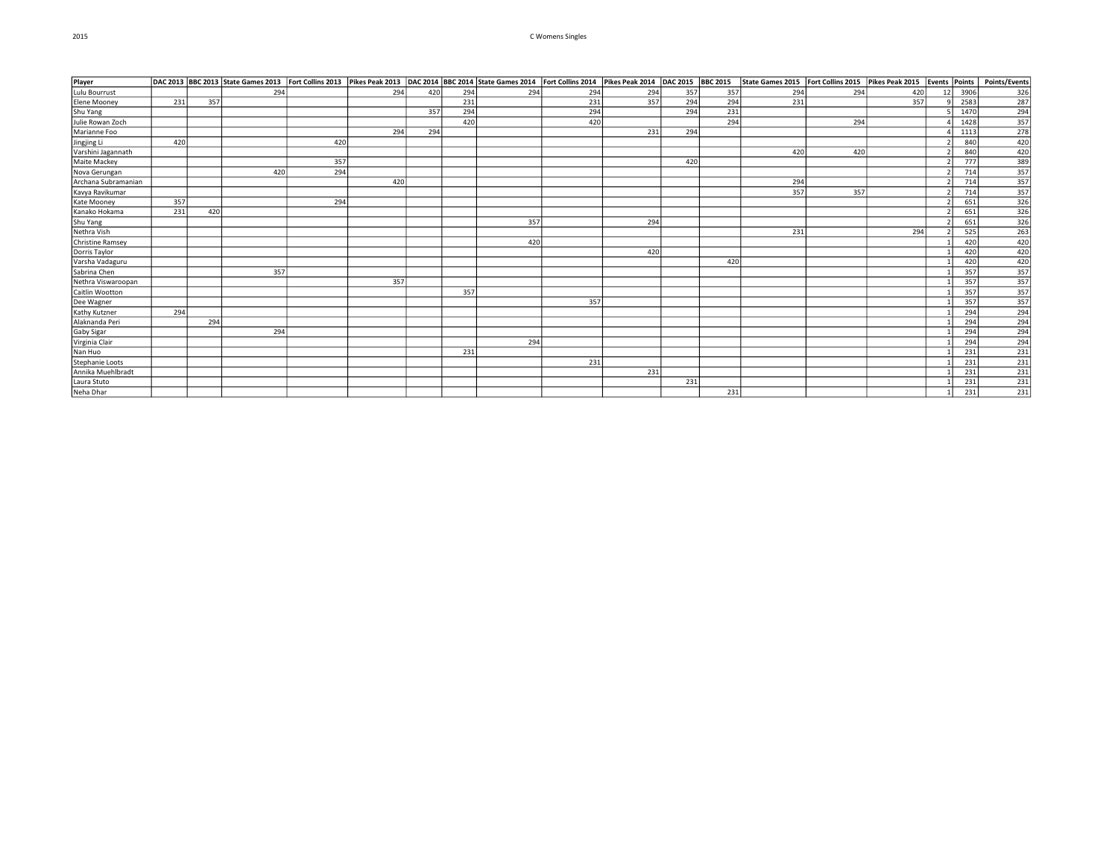# 2015 C Womens Singles

| Player              |     |     |     |     |     |     |     | DAC 2013 BBC 2013 State Games 2013 Fort Collins 2013 Pikes Peak 2013 DAC 2014 BBC 2014 State Games 2014 Fort Collins 2014 Pikes Peak 2014 DAC 2015 BBC 2015 |     |     |     |     | State Games 2015   Fort Collins 2015   Pikes Peak 2015 |     |     | Events Points |                  | Points/Events                                                            |
|---------------------|-----|-----|-----|-----|-----|-----|-----|-------------------------------------------------------------------------------------------------------------------------------------------------------------|-----|-----|-----|-----|--------------------------------------------------------|-----|-----|---------------|------------------|--------------------------------------------------------------------------|
| Lulu Bourrust       |     |     | 294 |     | 294 | 420 | 294 | 294                                                                                                                                                         | 294 | 294 | 357 | 357 | 294                                                    | 294 | 420 | 12            | 3906             | 326                                                                      |
| Elene Mooney        | 231 | 357 |     |     |     |     | 231 |                                                                                                                                                             | 231 | 357 | 294 | 294 | 231                                                    |     | 357 |               | 2583             | 287                                                                      |
| Shu Yang            |     |     |     |     |     | 357 | 294 |                                                                                                                                                             | 294 |     | 294 | 231 |                                                        |     |     |               | 1470             | 294                                                                      |
| Julie Rowan Zoch    |     |     |     |     |     |     | 420 |                                                                                                                                                             | 420 |     |     | 294 |                                                        | 294 |     |               | 1428             | 357                                                                      |
| Marianne Foo        |     |     |     |     | 294 | 294 |     |                                                                                                                                                             |     | 231 | 294 |     |                                                        |     |     |               | 1113             | 278                                                                      |
| Jingjing Li         | 420 |     |     | 420 |     |     |     |                                                                                                                                                             |     |     |     |     |                                                        |     |     |               | 840              | $\frac{1}{420}$                                                          |
| Varshini Jagannath  |     |     |     |     |     |     |     |                                                                                                                                                             |     |     |     |     | 420                                                    | 420 |     |               | 840              | $\begin{array}{r}\n 420 \\  \hline\n 389 \\  \hline\n 357\n \end{array}$ |
| Maite Mackey        |     |     |     | 357 |     |     |     |                                                                                                                                                             |     |     | 420 |     |                                                        |     |     |               | <b>777</b>       |                                                                          |
| Nova Gerungan       |     |     | 420 | 294 |     |     |     |                                                                                                                                                             |     |     |     |     |                                                        |     |     |               | 714              |                                                                          |
| Archana Subramanian |     |     |     |     | 420 |     |     |                                                                                                                                                             |     |     |     |     | 294                                                    |     |     |               | 714              |                                                                          |
| Kavya Ravikumar     |     |     |     |     |     |     |     |                                                                                                                                                             |     |     |     |     | 357                                                    | 357 |     |               | 714              | $\begin{array}{r}\n 357 \\  \hline\n 357 \\  \hline\n 326\n \end{array}$ |
| Kate Mooney         | 357 |     |     | 294 |     |     |     |                                                                                                                                                             |     |     |     |     |                                                        |     |     |               | 651              |                                                                          |
| Kanako Hokama       | 231 | 420 |     |     |     |     |     |                                                                                                                                                             |     |     |     |     |                                                        |     |     |               | 651              | $\frac{326}{326}$                                                        |
| Shu Yang            |     |     |     |     |     |     |     | 357                                                                                                                                                         |     | 294 |     |     |                                                        |     |     |               | 651              |                                                                          |
| Nethra Vish         |     |     |     |     |     |     |     |                                                                                                                                                             |     |     |     |     | 231                                                    |     | 294 |               | 525              |                                                                          |
| Christine Ramsey    |     |     |     |     |     |     |     | 420                                                                                                                                                         |     |     |     |     |                                                        |     |     |               | 420              | 420                                                                      |
| Dorris Taylor       |     |     |     |     |     |     |     |                                                                                                                                                             |     | 420 |     |     |                                                        |     |     |               | 420              | $\frac{420}{420}$                                                        |
| Varsha Vadaguru     |     |     |     |     |     |     |     |                                                                                                                                                             |     |     |     | 420 |                                                        |     |     |               | 420              |                                                                          |
| Sabrina Chen        |     |     | 357 |     |     |     |     |                                                                                                                                                             |     |     |     |     |                                                        |     |     |               | 357              | $\begin{array}{r}\n 357 \\  \hline\n 357 \\  \hline\n 357\n \end{array}$ |
| Nethra Viswaroopan  |     |     |     |     | 357 |     |     |                                                                                                                                                             |     |     |     |     |                                                        |     |     |               | 357              |                                                                          |
| Caitlin Wootton     |     |     |     |     |     |     | 357 |                                                                                                                                                             |     |     |     |     |                                                        |     |     |               | 357              |                                                                          |
| Dee Wagner          |     |     |     |     |     |     |     |                                                                                                                                                             | 357 |     |     |     |                                                        |     |     |               | 357              | 357<br>294<br>294<br>294<br>294<br>231<br>231                            |
| Kathy Kutzner       | 294 |     |     |     |     |     |     |                                                                                                                                                             |     |     |     |     |                                                        |     |     |               | 294              |                                                                          |
| Alaknanda Peri      |     | 294 |     |     |     |     |     |                                                                                                                                                             |     |     |     |     |                                                        |     |     |               | 294              |                                                                          |
| Gaby Sigar          |     |     | 294 |     |     |     |     |                                                                                                                                                             |     |     |     |     |                                                        |     |     |               | 294              |                                                                          |
| Virginia Clair      |     |     |     |     |     |     |     | 294                                                                                                                                                         |     |     |     |     |                                                        |     |     |               | 294              |                                                                          |
| Nan Huo             |     |     |     |     |     |     | 231 |                                                                                                                                                             |     |     |     |     |                                                        |     |     |               | 231              |                                                                          |
| Stephanie Loots     |     |     |     |     |     |     |     |                                                                                                                                                             | 231 |     |     |     |                                                        |     |     |               | $\overline{231}$ |                                                                          |
| Annika Muehlbradt   |     |     |     |     |     |     |     |                                                                                                                                                             |     | 231 |     |     |                                                        |     |     |               | 231              | $\frac{231}{231}$                                                        |
| Laura Stuto         |     |     |     |     |     |     |     |                                                                                                                                                             |     |     | 231 |     |                                                        |     |     |               | 231              |                                                                          |
| Neha Dhar           |     |     |     |     |     |     |     |                                                                                                                                                             |     |     |     | 231 |                                                        |     |     |               | 231              | 231                                                                      |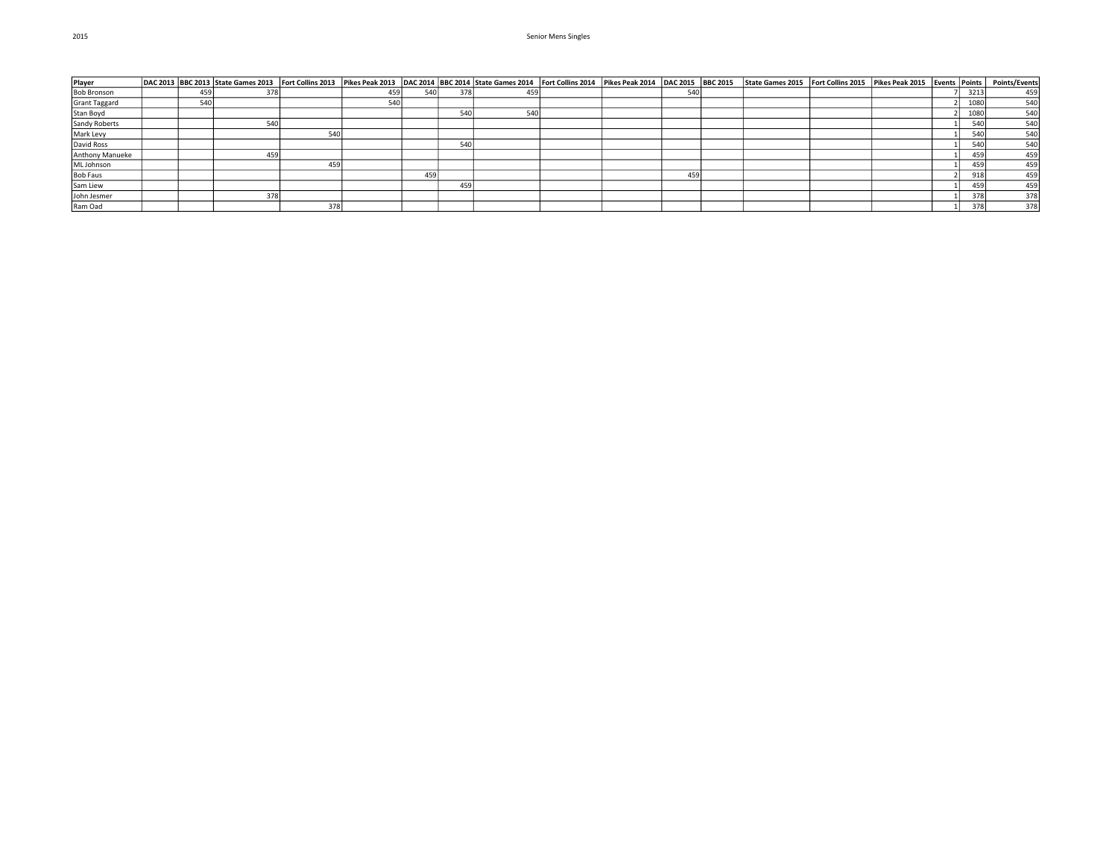| Player               |     |     |     |     |     |     | DAC 2013 BBC 2013 State Games 2013 Fort Collins 2013 Pikes Peak 2013 DAC 2014 BBC 2014 State Games 2014 Fort Collins 2014 Pikes Peak 2014 DAC 2015 BBC 2015 |  |     | State Games 2015   Fort Collins 2015   Pikes Peak 2015 |  | Events Points |      | <b>Points/Events</b> |
|----------------------|-----|-----|-----|-----|-----|-----|-------------------------------------------------------------------------------------------------------------------------------------------------------------|--|-----|--------------------------------------------------------|--|---------------|------|----------------------|
| <b>Bob Bronson</b>   | 459 |     |     | 459 | 540 | 378 | 459                                                                                                                                                         |  |     |                                                        |  |               | 3213 | 459                  |
| <b>Grant Taggard</b> | 540 |     |     | 540 |     |     |                                                                                                                                                             |  |     |                                                        |  |               | 1080 | 540                  |
| Stan Boyd            |     |     |     |     |     | 540 | 54                                                                                                                                                          |  |     |                                                        |  |               | 1080 | 540                  |
| Sandy Roberts        |     | 540 |     |     |     |     |                                                                                                                                                             |  |     |                                                        |  |               | 540  | 540                  |
| Mark Levy            |     |     | 540 |     |     |     |                                                                                                                                                             |  |     |                                                        |  |               | 540  | 540                  |
| David Ross           |     |     |     |     |     | 540 |                                                                                                                                                             |  |     |                                                        |  |               | 540  | 540                  |
| Anthony Manueke      |     |     |     |     |     |     |                                                                                                                                                             |  |     |                                                        |  |               | 459  | 459                  |
| ML Johnson           |     |     | 459 |     |     |     |                                                                                                                                                             |  |     |                                                        |  |               | 459  | 459                  |
| <b>Bob Faus</b>      |     |     |     |     | 459 |     |                                                                                                                                                             |  | 459 |                                                        |  |               | 918  | 459                  |
| Sam Liew             |     |     |     |     |     | 459 |                                                                                                                                                             |  |     |                                                        |  |               | 459  | 459                  |
| John Jesmer          |     | 378 |     |     |     |     |                                                                                                                                                             |  |     |                                                        |  |               | 378  | 378                  |
| Ram Oad              |     |     | 378 |     |     |     |                                                                                                                                                             |  |     |                                                        |  |               | 378  | 378                  |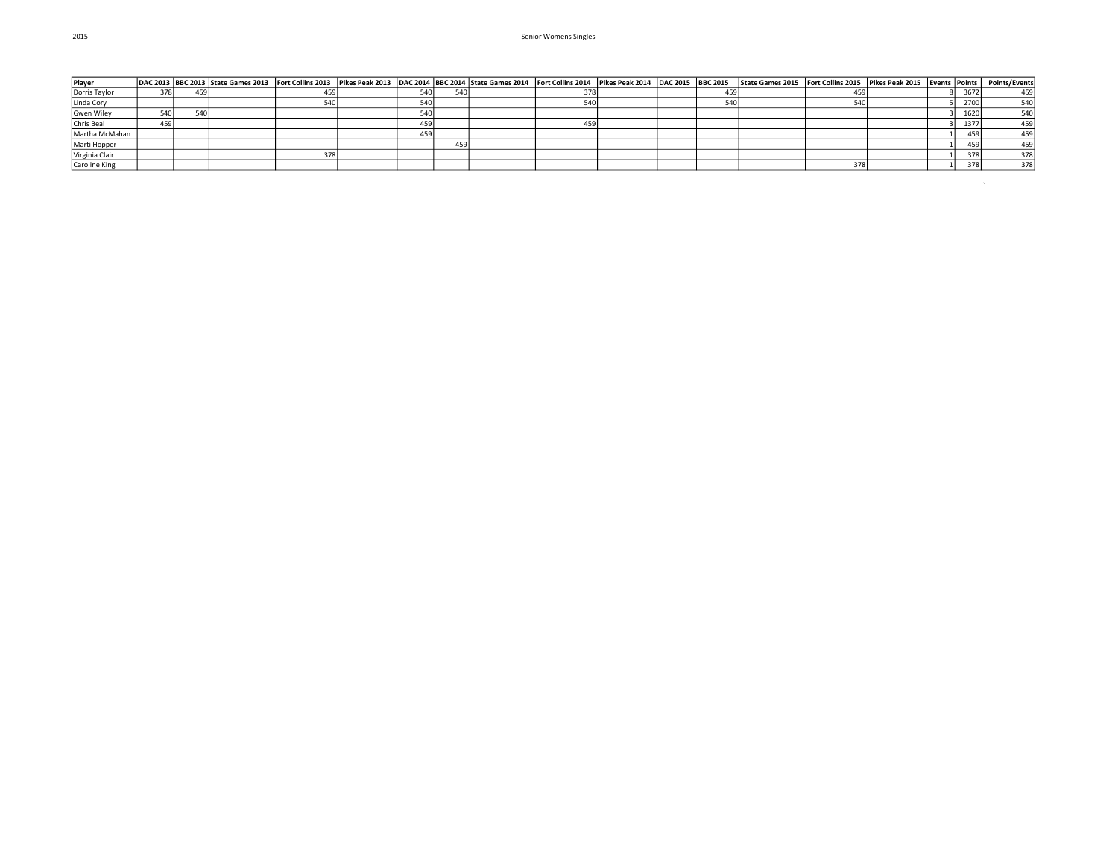| Player            |     |     |     |           |     | DAC 2013  BBC 2013  State Games 2013  Fort Collins 2013  Pikes Peak 2013  DAC 2014  BBC 2014  State Games 2014  Fort Collins 2014  Pikes Peak 2014  DAC 2015  BBC 2015 |     |  |     | State Games 2015   Fort Collins 2015   Pikes Peak 2015   Events   Points |  |      | <b>Points/Events</b> |
|-------------------|-----|-----|-----|-----------|-----|------------------------------------------------------------------------------------------------------------------------------------------------------------------------|-----|--|-----|--------------------------------------------------------------------------|--|------|----------------------|
| Dorris Taylor     | 378 | 459 | 459 | 540       |     |                                                                                                                                                                        | 378 |  | 459 |                                                                          |  | 3672 | 459                  |
| Linda Cory        |     |     |     | <b>CA</b> |     |                                                                                                                                                                        | 540 |  |     |                                                                          |  | 2700 | 540                  |
| <b>Gwen Wiley</b> | 540 | 540 |     | <b>FA</b> |     |                                                                                                                                                                        |     |  |     |                                                                          |  | 1620 | 540                  |
| Chris Beal        | 459 |     |     | 459       |     |                                                                                                                                                                        | 459 |  |     |                                                                          |  | 1377 | 459                  |
| Martha McMahan    |     |     |     | 459       |     |                                                                                                                                                                        |     |  |     |                                                                          |  | 459  | 459                  |
| Marti Hopper      |     |     |     |           | 459 |                                                                                                                                                                        |     |  |     |                                                                          |  | 459  | 459                  |
| Virginia Clair    |     |     | 378 |           |     |                                                                                                                                                                        |     |  |     |                                                                          |  | 378  | 378                  |
| Caroline King     |     |     |     |           |     |                                                                                                                                                                        |     |  |     |                                                                          |  | 378  | 378                  |

 $\sim$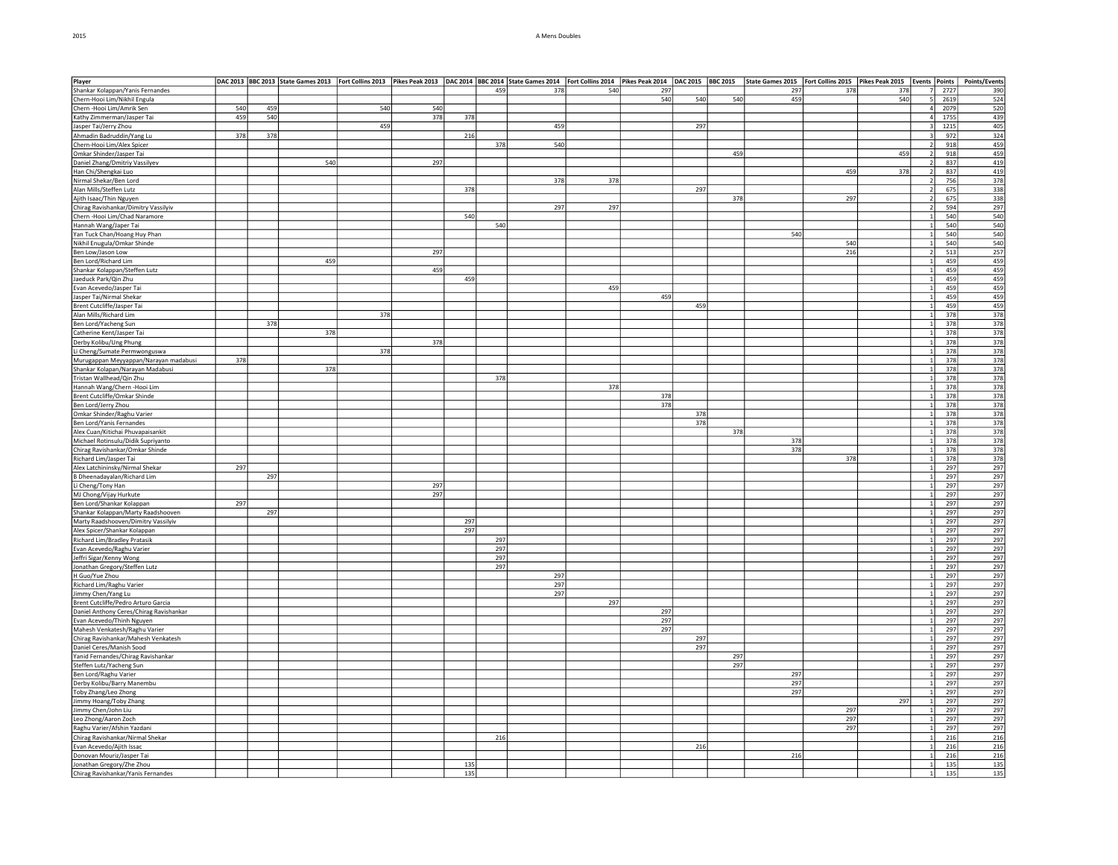#### 2015 A Mens Doubles

| Player                                  |     |     | DAC 2013  State Cames 2013  Fort Collins 2013  Fines Peak 2013  DAC 2014  BBC 2014  State Games 2014  Fort Collins 2014  Pikes Peak 2014  Pac 2014  Pikes Peak 2014  DAC 2014  Pikes Peak 2014  DAC 2015  BBC 2015  State Game |     |     |     |                  |     |     |     |     |     |     |     |     |                       | Points/Events |
|-----------------------------------------|-----|-----|--------------------------------------------------------------------------------------------------------------------------------------------------------------------------------------------------------------------------------|-----|-----|-----|------------------|-----|-----|-----|-----|-----|-----|-----|-----|-----------------------|---------------|
| Shankar Kolappan/Yanis Fernandes        |     |     |                                                                                                                                                                                                                                |     |     |     | 459              | 378 | 540 | 297 |     |     | 297 | 378 | 378 | 7<br>2727             | 390           |
| Chern-Hooi Lim/Nikhil Engula            |     |     |                                                                                                                                                                                                                                |     |     |     |                  |     |     | 540 | 540 | 540 | 459 |     | 540 | 2619<br>5             | 524           |
| Chern - Hooi Lim/Amrik Sen              | 540 | 459 |                                                                                                                                                                                                                                | 540 | 540 |     |                  |     |     |     |     |     |     |     |     | 2079<br>4             | 520           |
| Kathy Zimmerman/Jasper Tai              | 459 | 540 |                                                                                                                                                                                                                                |     | 378 | 378 |                  |     |     |     |     |     |     |     |     | 1755<br>4             | 439           |
| Jasper Tai/Jerry Zhou                   |     |     |                                                                                                                                                                                                                                | 459 |     |     |                  | 459 |     |     | 297 |     |     |     |     | 1215                  | 405           |
| Ahmadin Badruddin/Yang Lu               | 378 | 378 |                                                                                                                                                                                                                                |     |     | 216 |                  |     |     |     |     |     |     |     |     | 972<br>$\vert$ 3      | 324           |
| Chern-Hooi Lim/Alex Spicer              |     |     |                                                                                                                                                                                                                                |     |     |     | 378              | 540 |     |     |     |     |     |     |     | 918<br>$\overline{2}$ | 459           |
| Omkar Shinder/Jasper Tai                |     |     |                                                                                                                                                                                                                                |     |     |     |                  |     |     |     |     | 459 |     |     | 459 | 918<br>$\overline{z}$ | 459           |
| Daniel Zhang/Dmitriy Vassilyev          |     |     | 540                                                                                                                                                                                                                            |     | 297 |     |                  |     |     |     |     |     |     |     |     | 837<br>$\overline{2}$ | 419           |
| Han Chi/Shengkai Luo                    |     |     |                                                                                                                                                                                                                                |     |     |     |                  |     |     |     |     |     |     | 459 | 378 | 837                   | 419           |
| Nirmal Shekar/Ben Lord                  |     |     |                                                                                                                                                                                                                                |     |     |     |                  | 378 | 378 |     |     |     |     |     |     | 756<br>$\overline{2}$ | 378           |
| Alan Mills/Steffen Lutz                 |     |     |                                                                                                                                                                                                                                |     |     | 378 |                  |     |     |     | 297 |     |     |     |     | 675<br>$\overline{2}$ | 338           |
| Ajith Isaac/Thin Nguyen                 |     |     |                                                                                                                                                                                                                                |     |     |     |                  |     |     |     |     | 378 |     | 297 |     | 675<br>$\overline{2}$ | 338           |
| Chirag Ravishankar/Dimitry Vassilyiv    |     |     |                                                                                                                                                                                                                                |     |     |     |                  | 297 | 297 |     |     |     |     |     |     | 594<br>$\overline{2}$ | 297           |
| Chern - Hooi Lim/Chad Naramore          |     |     |                                                                                                                                                                                                                                |     |     | 540 |                  |     |     |     |     |     |     |     |     | 540                   | 540           |
| Hannah Wang/Japer Tai                   |     |     |                                                                                                                                                                                                                                |     |     |     | 540              |     |     |     |     |     |     |     |     | 540<br>$\mathbf{1}$   | 540           |
| an Tuck Chan/Hoang Huy Phan             |     |     |                                                                                                                                                                                                                                |     |     |     |                  |     |     |     |     |     | 540 |     |     | 540                   | 540           |
| Nikhil Enugula/Omkar Shinde             |     |     |                                                                                                                                                                                                                                |     |     |     |                  |     |     |     |     |     |     | 540 |     | 540<br>$\overline{1}$ | 540           |
| Ben Low/Jason Low                       |     |     |                                                                                                                                                                                                                                |     | 297 |     |                  |     |     |     |     |     |     | 216 |     | $\vert$ 2<br>513      | 257           |
| Ben Lord/Richard Lim                    |     |     | 459                                                                                                                                                                                                                            |     |     |     |                  |     |     |     |     |     |     |     |     | $\vert$ 1<br>459      | 459           |
| Shankar Kolappan/Steffen Lutz           |     |     |                                                                                                                                                                                                                                |     | 459 |     |                  |     |     |     |     |     |     |     |     | 459                   | 459           |
| Jaeduck Park/Qin Zhu                    |     |     |                                                                                                                                                                                                                                |     |     | 459 |                  |     |     |     |     |     |     |     |     | 459                   | 459           |
|                                         |     |     |                                                                                                                                                                                                                                |     |     |     |                  |     | 459 |     |     |     |     |     |     | 459                   | 459           |
| Evan Acevedo/Jasper Tai                 |     |     |                                                                                                                                                                                                                                |     |     |     |                  |     |     |     |     |     |     |     |     |                       |               |
| Jasper Tai/Nirmal Shekar                |     |     |                                                                                                                                                                                                                                |     |     |     |                  |     |     | 459 |     |     |     |     |     | 459                   | 459           |
| Brent Cutcliffe/Jasper Tai              |     |     |                                                                                                                                                                                                                                |     |     |     |                  |     |     |     | 459 |     |     |     |     | $\vert$ 1<br>459      | 459           |
| Alan Mills/Richard Lim                  |     |     |                                                                                                                                                                                                                                | 378 |     |     |                  |     |     |     |     |     |     |     |     | 378<br>$\mathbf{1}$   | 378           |
| Ben Lord/Yacheng Sun                    |     | 378 |                                                                                                                                                                                                                                |     |     |     |                  |     |     |     |     |     |     |     |     | 378<br>1              | 378           |
| Catherine Kent/Jasper Tai               |     |     | 378                                                                                                                                                                                                                            |     |     |     |                  |     |     |     |     |     |     |     |     | 378<br>$\overline{1}$ | 378           |
| Derby Kolibu/Ung Phung                  |     |     |                                                                                                                                                                                                                                |     | 378 |     |                  |     |     |     |     |     |     |     |     | 378                   | 378           |
| Li Cheng/Sumate Permwonguswa            |     |     |                                                                                                                                                                                                                                | 378 |     |     |                  |     |     |     |     |     |     |     |     | 378                   | 378           |
| Murugappan Meyyappan/Narayan madabusi   | 378 |     |                                                                                                                                                                                                                                |     |     |     |                  |     |     |     |     |     |     |     |     | 378<br>$\overline{1}$ | 378           |
| Shankar Kolapan/Narayan Madabusi        |     |     | 378                                                                                                                                                                                                                            |     |     |     |                  |     |     |     |     |     |     |     |     | 378<br>1              | 378           |
| Tristan Wallhead/Qin Zhu                |     |     |                                                                                                                                                                                                                                |     |     |     | $\overline{378}$ |     |     |     |     |     |     |     |     | 378<br>$\overline{1}$ | 378           |
| Hannah Wang/Chern - Hooi Lim            |     |     |                                                                                                                                                                                                                                |     |     |     |                  |     | 378 |     |     |     |     |     |     | 378<br>$\overline{1}$ | 378           |
| Brent Cutcliffe/Omkar Shinde            |     |     |                                                                                                                                                                                                                                |     |     |     |                  |     |     | 378 |     |     |     |     |     | 378                   | 378           |
| Ben Lord/Jerry Zhou                     |     |     |                                                                                                                                                                                                                                |     |     |     |                  |     |     | 378 |     |     |     |     |     | 378                   | 378           |
| Omkar Shinder/Raghu Varier              |     |     |                                                                                                                                                                                                                                |     |     |     |                  |     |     |     | 378 |     |     |     |     | 378<br>$\frac{1}{2}$  | 378           |
| Ben Lord/Yanis Fernandes                |     |     |                                                                                                                                                                                                                                |     |     |     |                  |     |     |     | 378 |     |     |     |     | 378<br>$\mathbf{1}$   | 378           |
| Alex Cuan/Kitichai Phuvapaisankit       |     |     |                                                                                                                                                                                                                                |     |     |     |                  |     |     |     |     | 378 |     |     |     | 378<br>1              | 378           |
| Michael Rotinsulu/Didik Supriyanto      |     |     |                                                                                                                                                                                                                                |     |     |     |                  |     |     |     |     |     | 378 |     |     | 378<br>$\mathbf{1}$   | 378           |
| Chirag Ravishankar/Omkar Shinde         |     |     |                                                                                                                                                                                                                                |     |     |     |                  |     |     |     |     |     | 378 |     |     | 378                   | 378           |
| Richard Lim/Jasper Tai                  |     |     |                                                                                                                                                                                                                                |     |     |     |                  |     |     |     |     |     |     | 378 |     | 378<br>$\overline{1}$ | 378           |
| Alex Latchininsky/Nirmal Shekar         | 297 |     |                                                                                                                                                                                                                                |     |     |     |                  |     |     |     |     |     |     |     |     | $\overline{1}$<br>297 | 297           |
| <b>B Dheenadayalan/Richard Lim</b>      |     | 297 |                                                                                                                                                                                                                                |     |     |     |                  |     |     |     |     |     |     |     |     | 297<br>1              | 297           |
| i Cheng/Tony Han                        |     |     |                                                                                                                                                                                                                                |     | 297 |     |                  |     |     |     |     |     |     |     |     | 297<br>$\overline{1}$ | 297           |
|                                         |     |     |                                                                                                                                                                                                                                |     | 297 |     |                  |     |     |     |     |     |     |     |     | 297                   | 297           |
| MJ Chong/Vijay Hurkute                  | 297 |     |                                                                                                                                                                                                                                |     |     |     |                  |     |     |     |     |     |     |     |     | 297                   | 297           |
| Ben Lord/Shankar Kolappan               |     | 297 |                                                                                                                                                                                                                                |     |     |     |                  |     |     |     |     |     |     |     |     | 297                   | 297           |
| Shankar Kolappan/Marty Raadshooven      |     |     |                                                                                                                                                                                                                                |     |     |     |                  |     |     |     |     |     |     |     |     |                       |               |
| Marty Raadshooven/Dimitry Vassilyiv     |     |     |                                                                                                                                                                                                                                |     |     | 297 |                  |     |     |     |     |     |     |     |     | 297                   | 297           |
| Alex Spicer/Shankar Kolappan            |     |     |                                                                                                                                                                                                                                |     |     | 297 |                  |     |     |     |     |     |     |     |     | 297<br>$\frac{1}{2}$  | 297           |
| Richard Lim/Bradley Pratasik            |     |     |                                                                                                                                                                                                                                |     |     |     | 297              |     |     |     |     |     |     |     |     | 297<br>$\overline{1}$ | 297           |
| Evan Acevedo/Raghu Varier               |     |     |                                                                                                                                                                                                                                |     |     |     | 297              |     |     |     |     |     |     |     |     | 297<br>$\overline{1}$ | 297           |
| Jeffri Sigar/Kenny Wong                 |     |     |                                                                                                                                                                                                                                |     |     |     | 297              |     |     |     |     |     |     |     |     | 297                   | 297           |
| Jonathan Gregory/Steffen Lutz           |     |     |                                                                                                                                                                                                                                |     |     |     | 297              |     |     |     |     |     |     |     |     | 297                   | 297           |
| H Guo/Yue Zhou                          |     |     |                                                                                                                                                                                                                                |     |     |     |                  | 297 |     |     |     |     |     |     |     | 297                   | 297           |
| Richard Lim/Raghu Varier                |     |     |                                                                                                                                                                                                                                |     |     |     |                  | 297 |     |     |     |     |     |     |     | 297<br>1              | 297           |
| Jimmy Chen/Yang Lu                      |     |     |                                                                                                                                                                                                                                |     |     |     |                  | 297 |     |     |     |     |     |     |     | 297<br>$\overline{1}$ | 297           |
| Brent Cutcliffe/Pedro Arturo Garcia     |     |     |                                                                                                                                                                                                                                |     |     |     |                  |     | 297 |     |     |     |     |     |     | 297                   | 297           |
| Daniel Anthony Ceres/Chirag Ravishankar |     |     |                                                                                                                                                                                                                                |     |     |     |                  |     |     | 297 |     |     |     |     |     | 297                   | 297           |
| Evan Acevedo/Thinh Nguyen               |     |     |                                                                                                                                                                                                                                |     |     |     |                  |     |     | 297 |     |     |     |     |     | 297                   | 297           |
| Mahesh Venkatesh/Raghu Varier           |     |     |                                                                                                                                                                                                                                |     |     |     |                  |     |     | 297 |     |     |     |     |     | 297                   | 297           |
| Chirag Ravishankar/Mahesh Venkatesh     |     |     |                                                                                                                                                                                                                                |     |     |     |                  |     |     |     | 297 |     |     |     |     | 297<br>$\overline{1}$ | 297           |
| Daniel Ceres/Manish Sood                |     |     |                                                                                                                                                                                                                                |     |     |     |                  |     |     |     | 297 |     |     |     |     | 297<br>-1             | 297           |
| Yanid Fernandes/Chirag Ravishankar      |     |     |                                                                                                                                                                                                                                |     |     |     |                  |     |     |     |     | 297 |     |     |     | 297<br>$\overline{1}$ | 297           |
| Steffen Lutz/Yacheng Sun                |     |     |                                                                                                                                                                                                                                |     |     |     |                  |     |     |     |     | 297 |     |     |     | 297                   | 297           |
| Ben Lord/Raghu Varier                   |     |     |                                                                                                                                                                                                                                |     |     |     |                  |     |     |     |     |     | 297 |     |     | 297                   | 297           |
| Derby Kolibu/Barry Manembu              |     |     |                                                                                                                                                                                                                                |     |     |     |                  |     |     |     |     |     | 297 |     |     | 297<br>$\overline{1}$ | 297           |
| <b>Toby Zhang/Leo Zhong</b>             |     |     |                                                                                                                                                                                                                                |     |     |     |                  |     |     |     |     |     | 297 |     |     | 1<br>297              | 297           |
| immy Hoang/Toby Zhang                   |     |     |                                                                                                                                                                                                                                |     |     |     |                  |     |     |     |     |     |     |     | 297 | 297<br>$\mathbf{1}$   | 297           |
| Jimmy Chen/John Liu                     |     |     |                                                                                                                                                                                                                                |     |     |     |                  |     |     |     |     |     |     | 297 |     | 297<br>$\overline{1}$ | 297           |
| Leo Zhong/Aaron Zoch                    |     |     |                                                                                                                                                                                                                                |     |     |     |                  |     |     |     |     |     |     | 297 |     | 297                   | 297           |
| Raghu Varier/Afshin Yazdani             |     |     |                                                                                                                                                                                                                                |     |     |     |                  |     |     |     |     |     |     | 297 |     | 297                   | 297           |
|                                         |     |     |                                                                                                                                                                                                                                |     |     |     |                  |     |     |     |     |     |     |     |     |                       |               |
| Chirag Ravishankar/Nirmal Shekar        |     |     |                                                                                                                                                                                                                                |     |     |     | 216              |     |     |     |     |     |     |     |     | 216                   | 216           |
| Evan Acevedo/Ajith Issac                |     |     |                                                                                                                                                                                                                                |     |     |     |                  |     |     |     | 216 |     |     |     |     | $\overline{1}$<br>216 | 216           |
| Donovan Mouriz/Jasper Tai               |     |     |                                                                                                                                                                                                                                |     |     |     |                  |     |     |     |     |     | 216 |     |     | 216<br>$\frac{1}{2}$  | 216           |
| Jonathan Gregory/Zhe Zhou               |     |     |                                                                                                                                                                                                                                |     |     | 135 |                  |     |     |     |     |     |     |     |     | 135<br>$\mathbf{1}$   | 135           |
| Chirag Ravishankar/Yanis Fernandes      |     |     |                                                                                                                                                                                                                                |     |     | 135 |                  |     |     |     |     |     |     |     |     | 135                   | 135           |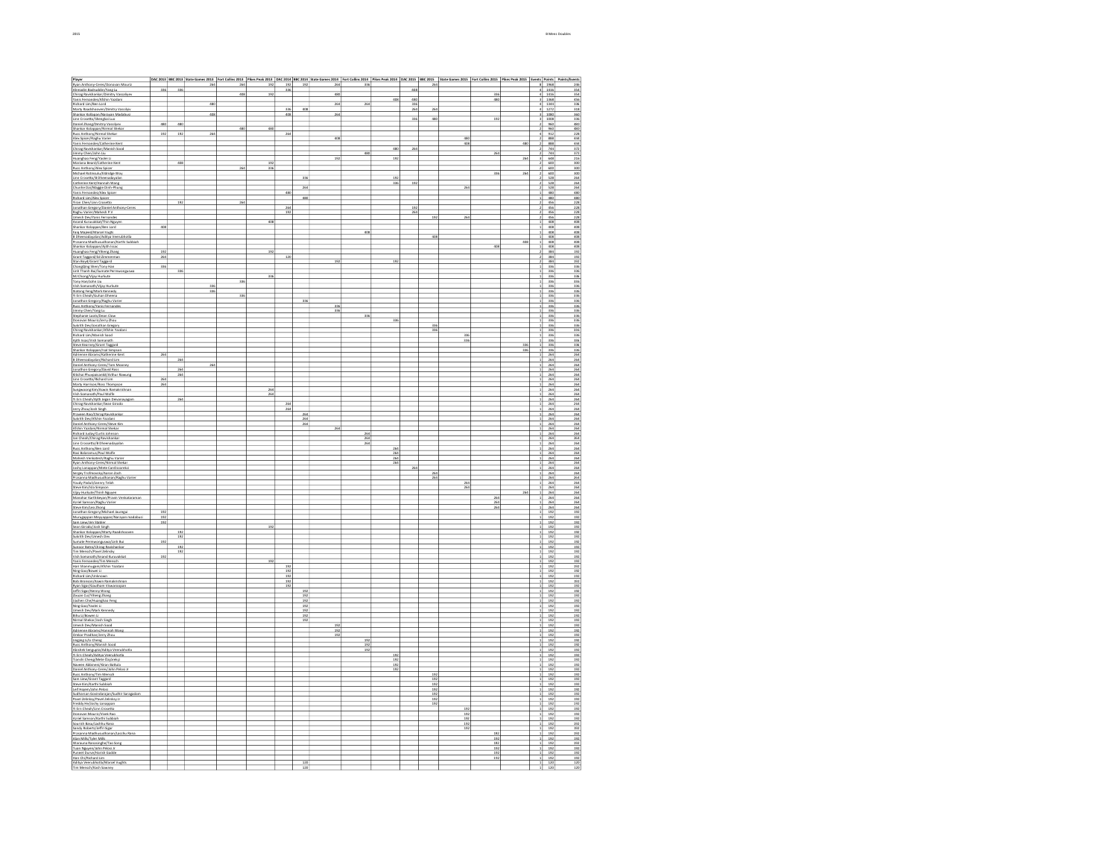| Player                                                                                                                                                                                                                                              |            |                   | 264 | 264 | 192        | 192        | 192               | 264        | 336        |                  |            | 264             | DAC 2013  88C 2013  8ate Games 2013  Fort Collins 2013  Pikes Peak 2013  DAC 2014  8BC 2014  State Games 2014  Fort Collins 2014  Pikes Peak 2014  DAC 2015  BEC 2015  BEC 2015  State Games 2015  Fort Collins 2015  Pikes Pe |            |                  |    | 8 1958                                                                                                                                                                                                                                                                                                                                                                                                                              | Points/Events<br>246                                                                                                        |
|-----------------------------------------------------------------------------------------------------------------------------------------------------------------------------------------------------------------------------------------------------|------------|-------------------|-----|-----|------------|------------|-------------------|------------|------------|------------------|------------|-----------------|--------------------------------------------------------------------------------------------------------------------------------------------------------------------------------------------------------------------------------|------------|------------------|----|-------------------------------------------------------------------------------------------------------------------------------------------------------------------------------------------------------------------------------------------------------------------------------------------------------------------------------------------------------------------------------------------------------------------------------------|-----------------------------------------------------------------------------------------------------------------------------|
| Ryan Anthony-Ceres/Donovan Mouriz<br>Ahmadin Badruddin/Yang Lu                                                                                                                                                                                      | 336        | 336               |     |     |            | 336        |                   |            |            |                  | 408        |                 |                                                                                                                                                                                                                                |            |                  |    | 4 1416                                                                                                                                                                                                                                                                                                                                                                                                                              | 354                                                                                                                         |
| Chirag Ravishankar/Dimitry Vassaliyev<br>Yanis Fernandes/Afshin Yazdani                                                                                                                                                                             |            |                   |     | 408 | 192        |            |                   | 480        |            | 408              | 480        |                 |                                                                                                                                                                                                                                | 336<br>48  |                  |    | 1416<br>1368                                                                                                                                                                                                                                                                                                                                                                                                                        | 354<br>456                                                                                                                  |
| -<br>Richard Lim/Ben Lord<br>Marty Raadshooven/Dimitry Vassilyiv<br>Shankar Kollapan/Narayan Madabusi                                                                                                                                               |            |                   | 480 |     |            |            |                   | 264        | 264        |                  | 336<br>264 |                 |                                                                                                                                                                                                                                |            |                  |    | $\frac{1344}{1272}$                                                                                                                                                                                                                                                                                                                                                                                                                 | $\frac{336}{318}$                                                                                                           |
|                                                                                                                                                                                                                                                     |            |                   | 403 |     |            | 336<br>408 | 40i               | 264        |            |                  |            | 264             |                                                                                                                                                                                                                                |            |                  |    | 1080                                                                                                                                                                                                                                                                                                                                                                                                                                | 360                                                                                                                         |
| Linn Crosetto/Shengkai Luo<br>Daniel Zhang/Dmitriy Vassilyev                                                                                                                                                                                        |            |                   |     |     |            |            |                   |            |            |                  | 336        | 480             |                                                                                                                                                                                                                                | 192        |                  |    | 1008                                                                                                                                                                                                                                                                                                                                                                                                                                | 336                                                                                                                         |
| Shankar Kolappan/Nirmal Shekar                                                                                                                                                                                                                      | 480        | 480               |     | 480 | 480        |            |                   |            |            |                  |            |                 |                                                                                                                                                                                                                                |            |                  | 21 | 960<br>960                                                                                                                                                                                                                                                                                                                                                                                                                          | 480<br>480                                                                                                                  |
| Russ Anthony Nirmal Shekar<br>Russ Anthony Nirmal Shekar<br>Alex Spicer/Raghu Variar<br>Yanis Fernandes/Catherine Kent<br>Chirag Ravisharica/Manish Sood<br>Nimes: Chon (Isho Liu                                                                   | 192        | 192               | 264 |     |            | 264        |                   | 408        |            |                  |            |                 | 480                                                                                                                                                                                                                            |            |                  |    | 912                                                                                                                                                                                                                                                                                                                                                                                                                                 | 228                                                                                                                         |
|                                                                                                                                                                                                                                                     |            |                   |     |     |            |            |                   |            |            |                  |            |                 | 408                                                                                                                                                                                                                            |            | 480              |    | 888<br>888<br>744<br>744                                                                                                                                                                                                                                                                                                                                                                                                            | $\begin{array}{r} 444 \\ 444 \\ \hline 372 \\ 372 \\ \hline \end{array}$                                                    |
|                                                                                                                                                                                                                                                     |            |                   |     |     |            |            |                   |            |            | $\overline{48}$  | 264        |                 |                                                                                                                                                                                                                                | 26         |                  |    |                                                                                                                                                                                                                                                                                                                                                                                                                                     |                                                                                                                             |
| Jimmy Chen/John Liu<br>Huanghao Feng/Yaolei Li                                                                                                                                                                                                      |            |                   |     |     |            |            |                   | 192        |            | 192              |            |                 |                                                                                                                                                                                                                                |            | 264              |    | 648                                                                                                                                                                                                                                                                                                                                                                                                                                 | 216                                                                                                                         |
| Mariana Beard/Catherine Kent<br>Russ Anthony/Alex Spicer                                                                                                                                                                                            |            | 408               |     | 264 | 192<br>336 |            |                   |            |            |                  |            |                 |                                                                                                                                                                                                                                |            |                  | 21 | 600<br>600                                                                                                                                                                                                                                                                                                                                                                                                                          | 300<br>300                                                                                                                  |
|                                                                                                                                                                                                                                                     |            |                   |     |     |            |            |                   |            |            |                  |            |                 |                                                                                                                                                                                                                                | 336        | 264              |    |                                                                                                                                                                                                                                                                                                                                                                                                                                     |                                                                                                                             |
| Michael Rotinsula/Eldridge Woy<br>Linn Crosetto/B Dheenadayalan<br>Catherine Kett/Hannah Wang<br>Churke Dai/Maggie Dinh-Phung<br>Churke Dai/Maggie Dinh-Phung<br>Vani: Encannedas/Abus Saines                                                       |            |                   |     |     |            |            | 336               |            |            | 192<br>336       | 192        |                 |                                                                                                                                                                                                                                |            |                  |    | 600<br>528<br>528<br>528                                                                                                                                                                                                                                                                                                                                                                                                            | $\frac{300}{264}$ $\frac{264}{264}$                                                                                         |
|                                                                                                                                                                                                                                                     |            |                   |     |     |            |            | 264               |            |            |                  |            |                 | 264                                                                                                                                                                                                                            |            |                  |    |                                                                                                                                                                                                                                                                                                                                                                                                                                     |                                                                                                                             |
| Yanis Fernandez/Alex Spicer<br>Richard Lim/Alex Spicer                                                                                                                                                                                              |            |                   |     |     |            | 480        | 480               |            |            |                  |            |                 |                                                                                                                                                                                                                                |            |                  |    | 480<br>480                                                                                                                                                                                                                                                                                                                                                                                                                          | 480                                                                                                                         |
| Yiran Chen/Linn Crosetto                                                                                                                                                                                                                            |            | 192               |     |     |            |            |                   |            |            |                  |            |                 |                                                                                                                                                                                                                                |            |                  |    | 456                                                                                                                                                                                                                                                                                                                                                                                                                                 | $\frac{480}{228}$                                                                                                           |
| Jonathan Gregory/Daniel Anthony-Ceres<br>Raghu Varier/Mahesh P.V<br>Limesh Dev/Yanis Ferrandes<br>Anand Kuruvakkat/Thin Nguyen<br>Anankat Kolonona (Ren Lord                                                                                        |            |                   |     |     |            | 264<br>192 |                   |            |            |                  | 192<br>264 |                 |                                                                                                                                                                                                                                |            |                  | ٥l | 456                                                                                                                                                                                                                                                                                                                                                                                                                                 | 228                                                                                                                         |
|                                                                                                                                                                                                                                                     |            |                   |     |     |            |            |                   |            |            |                  |            | $\frac{192}{2}$ | 264                                                                                                                                                                                                                            |            |                  |    | $\frac{1}{8}$ $\frac{1}{88}$ $\frac{1}{88}$ $\frac{1}{88}$                                                                                                                                                                                                                                                                                                                                                                          | $\begin{array}{r}\n 228 \\  \hline\n 228 \\  \hline\n 408 \\  \hline\n 408 \\  \hline\n 408 \\  \hline\n 100\n \end{array}$ |
|                                                                                                                                                                                                                                                     | 408        |                   |     |     |            |            |                   |            |            |                  |            |                 |                                                                                                                                                                                                                                |            |                  |    |                                                                                                                                                                                                                                                                                                                                                                                                                                     |                                                                                                                             |
| Shankar Kolappan/Ben Lord<br>Faiq Majeed/Marcel Vugts<br>B Dheenadayalan/Aditya Veerubhotla                                                                                                                                                         |            |                   |     |     |            |            |                   |            | 408        |                  |            | 408             |                                                                                                                                                                                                                                |            |                  |    | 408<br>408                                                                                                                                                                                                                                                                                                                                                                                                                          | 408<br>403                                                                                                                  |
| Prasanna Madhusudhanan/Karthi Subbiah                                                                                                                                                                                                               |            |                   |     |     |            |            |                   |            |            |                  |            |                 |                                                                                                                                                                                                                                |            | 408              |    | 408                                                                                                                                                                                                                                                                                                                                                                                                                                 | $-408$                                                                                                                      |
| Shankar Kolappan/Aith Issac                                                                                                                                                                                                                         | 192        |                   |     |     | 192        |            |                   |            |            |                  |            |                 |                                                                                                                                                                                                                                | 408        |                  |    | 408<br>384                                                                                                                                                                                                                                                                                                                                                                                                                          | 408                                                                                                                         |
|                                                                                                                                                                                                                                                     | 264        |                   |     |     |            | 120        |                   |            |            |                  |            |                 |                                                                                                                                                                                                                                |            |                  |    | 384                                                                                                                                                                                                                                                                                                                                                                                                                                 | $\frac{192}{192}$                                                                                                           |
| Shankar Kolappanyajun Islam<br>Grant Taggard/Ed Zimmerman<br>Stan Boyd/Grant Taggard<br>ChangQing Shank Taggard<br>ChangQing Shank Ricord                                                                                                           | 336        |                   |     |     |            |            |                   | 192        |            | 192              |            |                 |                                                                                                                                                                                                                                |            |                  |    | $384$<br>$336$                                                                                                                                                                                                                                                                                                                                                                                                                      | $\frac{192}{336}$                                                                                                           |
| Linh Thanh Bui/Sumate Permwonguswa<br>MJ Chong/Vijay Hurkute                                                                                                                                                                                        |            | 336               |     |     |            |            |                   |            |            |                  |            |                 |                                                                                                                                                                                                                                |            |                  |    | 336                                                                                                                                                                                                                                                                                                                                                                                                                                 | $\frac{336}{336}$                                                                                                           |
| Tony Han/John Liu                                                                                                                                                                                                                                   |            |                   |     | 336 | 336        |            |                   |            |            |                  |            |                 |                                                                                                                                                                                                                                |            |                  |    | 336<br>336                                                                                                                                                                                                                                                                                                                                                                                                                          |                                                                                                                             |
| Vish Somanath/Vijay Hurkute                                                                                                                                                                                                                         |            |                   | 336 |     |            |            |                   |            |            |                  |            |                 |                                                                                                                                                                                                                                |            |                  |    | 336                                                                                                                                                                                                                                                                                                                                                                                                                                 | 336<br>336                                                                                                                  |
| Xiatong Feng/Mark Kennedy                                                                                                                                                                                                                           |            |                   | 336 | 336 |            |            |                   |            |            |                  |            |                 |                                                                                                                                                                                                                                |            |                  |    | 336                                                                                                                                                                                                                                                                                                                                                                                                                                 | 336                                                                                                                         |
| <b>Xianoig Fergyman Khoneys</b><br>Vi Ern Cheah/Guhan Dheena<br>Jonathon Gregory/Raghu Varier<br>Russ Anthony/Yanis Fernandes                                                                                                                       |            |                   |     |     |            |            | 336               |            |            |                  |            |                 |                                                                                                                                                                                                                                |            |                  |    | $\begin{array}{r} 336 \\ 336 \\ 336 \\ \hline 336 \end{array}$                                                                                                                                                                                                                                                                                                                                                                      | $\frac{38}{38}$<br>$\frac{38}{38}$                                                                                          |
| Jimmy Chen/Yang Lu                                                                                                                                                                                                                                  |            |                   |     |     |            |            |                   | 336<br>336 |            |                  |            |                 |                                                                                                                                                                                                                                |            |                  |    | 336                                                                                                                                                                                                                                                                                                                                                                                                                                 |                                                                                                                             |
| Stephanie Loots/Dean Clow                                                                                                                                                                                                                           |            |                   |     |     |            |            |                   |            | 336        |                  |            |                 |                                                                                                                                                                                                                                |            |                  |    | 336                                                                                                                                                                                                                                                                                                                                                                                                                                 | 336                                                                                                                         |
| Donovan Mouriz/Jerry Zhou<br>Sukrith Dev/Jonathan Gregory                                                                                                                                                                                           |            |                   |     |     |            |            |                   |            |            | 336              |            | 336             |                                                                                                                                                                                                                                |            |                  |    | 336<br>336                                                                                                                                                                                                                                                                                                                                                                                                                          | $\frac{336}{336}$                                                                                                           |
| State Dige Ravishankar/Afshin Yazdani<br>Richard Lim/Manish Sood<br>Richard Lim/Manish Sood<br>Ajith Issac/Vish Somanath<br>Steve Kearney/Grant Taggard                                                                                             |            |                   |     |     |            |            |                   |            |            |                  |            | 336             |                                                                                                                                                                                                                                |            |                  |    | 336                                                                                                                                                                                                                                                                                                                                                                                                                                 |                                                                                                                             |
|                                                                                                                                                                                                                                                     |            |                   |     |     |            |            |                   |            |            |                  |            |                 | 336<br>336                                                                                                                                                                                                                     |            |                  |    | $\begin{array}{r} 336 \\ 336 \\ 336 \end{array}$                                                                                                                                                                                                                                                                                                                                                                                    | $\begin{array}{r} 380 \\ 386 \\ 336 \\ 386 \\ \end{array}$                                                                  |
|                                                                                                                                                                                                                                                     |            |                   |     |     |            |            |                   |            |            |                  |            |                 |                                                                                                                                                                                                                                |            | 336              |    |                                                                                                                                                                                                                                                                                                                                                                                                                                     |                                                                                                                             |
| Sharikar Kolappan/Isal Simpson<br>Adrianne Abrams/Katherine Kent                                                                                                                                                                                    | 264        |                   |     |     |            |            |                   |            |            |                  |            |                 |                                                                                                                                                                                                                                |            | 336              |    | 336<br>264                                                                                                                                                                                                                                                                                                                                                                                                                          | $\frac{336}{264}$                                                                                                           |
| B Dheenadayalan/Richard Lim                                                                                                                                                                                                                         |            | 264               |     |     |            |            |                   |            |            |                  |            |                 |                                                                                                                                                                                                                                |            |                  |    | 264                                                                                                                                                                                                                                                                                                                                                                                                                                 | 264                                                                                                                         |
|                                                                                                                                                                                                                                                     |            |                   | 264 |     |            |            |                   |            |            |                  |            |                 |                                                                                                                                                                                                                                |            |                  |    | 264                                                                                                                                                                                                                                                                                                                                                                                                                                 | 264                                                                                                                         |
| Container provides the Mooney<br>Sanial Anthony-Cares/Tom Mooney<br>Sanial Phurpaisanki/Arthur Rawung<br>Line Crosetto/Richard Lim<br>Line Crosetto/Richard Lim<br>Line Marsh March Phoenican                                                       |            | $\frac{264}{264}$ |     |     |            |            |                   |            |            |                  |            |                 |                                                                                                                                                                                                                                |            |                  |    | $\frac{264}{264}$                                                                                                                                                                                                                                                                                                                                                                                                                   | $\frac{264}{264}$                                                                                                           |
| Marty Harrison/Ross Thompson                                                                                                                                                                                                                        | 26<br>264  |                   |     |     |            |            |                   |            |            |                  |            |                 |                                                                                                                                                                                                                                |            |                  |    | 264                                                                                                                                                                                                                                                                                                                                                                                                                                 |                                                                                                                             |
| Sungwoong Kim/Aswin Ramakrishnan                                                                                                                                                                                                                    |            |                   |     |     | 264        |            |                   |            |            |                  |            |                 |                                                                                                                                                                                                                                |            |                  |    | 264                                                                                                                                                                                                                                                                                                                                                                                                                                 | $\frac{264}{264}$                                                                                                           |
| Vish Somanath/Paul Wolfe<br>Yi Ern Cheah/Ajith Jegan Deivanayagam                                                                                                                                                                                   |            | 264               |     |     | 264        |            |                   |            |            |                  |            |                 |                                                                                                                                                                                                                                |            |                  |    | 264<br>264                                                                                                                                                                                                                                                                                                                                                                                                                          | 264                                                                                                                         |
|                                                                                                                                                                                                                                                     |            |                   |     |     |            | 264        |                   |            |            |                  |            |                 |                                                                                                                                                                                                                                |            |                  |    | 264<br>264<br>264<br>264<br>264                                                                                                                                                                                                                                                                                                                                                                                                     |                                                                                                                             |
|                                                                                                                                                                                                                                                     |            |                   |     |     |            | 264        | 264               |            |            |                  |            |                 |                                                                                                                                                                                                                                |            |                  |    |                                                                                                                                                                                                                                                                                                                                                                                                                                     |                                                                                                                             |
|                                                                                                                                                                                                                                                     |            |                   |     |     |            |            | $rac{264}{264}$   |            |            |                  |            |                 |                                                                                                                                                                                                                                |            |                  |    |                                                                                                                                                                                                                                                                                                                                                                                                                                     |                                                                                                                             |
| Vitern ChearlyApth Jegan Devanay<br>Cherge Ravishankar/Sean Girodo<br>2017 Zhou/Josh Singh<br>Praveen Rao/Chirag Ravishankar<br>Sakrith Dev/Afshir Vardani<br>Sakrith Deva<br>Mahin Yazdani/Nirmal Shekar<br>Ridhard Juday/Curtis Dhekar<br>Ri      |            |                   |     |     |            |            |                   | 264        |            |                  |            |                 |                                                                                                                                                                                                                                |            |                  |    | 264                                                                                                                                                                                                                                                                                                                                                                                                                                 | 264<br>264<br>264<br>264<br>264<br>264                                                                                      |
| Ian Cheah/Chirag Ravishankar                                                                                                                                                                                                                        |            |                   |     |     |            |            |                   |            | 264<br>264 |                  |            |                 |                                                                                                                                                                                                                                |            |                  |    | 264<br>264                                                                                                                                                                                                                                                                                                                                                                                                                          | 264                                                                                                                         |
|                                                                                                                                                                                                                                                     |            |                   |     |     |            |            |                   |            | 264        |                  |            |                 |                                                                                                                                                                                                                                |            |                  |    | 264                                                                                                                                                                                                                                                                                                                                                                                                                                 | $\frac{264}{264}$                                                                                                           |
| Jan Crossetto/B Dheenadayalan<br>Linn Crossetto/B Dheenadayalan<br>Russ Anthony/Ben Lord<br>Ravi Balaramus/Paul Wolfe<br>Mahesh Venkatesh/Raghu Varier<br>Ryan Anthony-Ceres/Wilmal Shekar<br>Ryan Anthony-Ceres/Wilmal Shekar                      |            |                   |     |     |            |            |                   |            |            | $\overline{264}$ |            |                 |                                                                                                                                                                                                                                |            |                  |    | 264                                                                                                                                                                                                                                                                                                                                                                                                                                 |                                                                                                                             |
|                                                                                                                                                                                                                                                     |            |                   |     |     |            |            |                   |            |            | $rac{264}{264}$  |            |                 |                                                                                                                                                                                                                                |            |                  |    | $rac{264}{264}$                                                                                                                                                                                                                                                                                                                                                                                                                     | $\frac{264}{264}$                                                                                                           |
| Joshy Lonappan/Mete CanOzcorekci                                                                                                                                                                                                                    |            |                   |     |     |            |            |                   |            |            | 264              | 264        |                 |                                                                                                                                                                                                                                |            |                  |    | 264<br>264                                                                                                                                                                                                                                                                                                                                                                                                                          |                                                                                                                             |
| Sergey Trofmovsky/Aaron Zoch<br>Prasanna Madhusudhanan/Raghu Varier                                                                                                                                                                                 |            |                   |     |     |            |            |                   |            |            |                  |            | 264             |                                                                                                                                                                                                                                |            |                  |    | 264                                                                                                                                                                                                                                                                                                                                                                                                                                 | 264                                                                                                                         |
| Youdy Paduli/Jannry Telah                                                                                                                                                                                                                           |            |                   |     |     |            |            |                   |            |            |                  |            | 264             | 264                                                                                                                                                                                                                            |            |                  |    | 264<br>264                                                                                                                                                                                                                                                                                                                                                                                                                          | 264<br>264                                                                                                                  |
| -<br>Steve Kim/Isla Simpson<br>Vijay Hurkute/Thinh Nguyen<br>Manchar Karthikeyan/Pravin Venkataraman<br>Aariel Samson/Raghu Varier                                                                                                                  |            |                   |     |     |            |            |                   |            |            |                  |            |                 | 264                                                                                                                                                                                                                            |            |                  |    | $\frac{264}{264}$                                                                                                                                                                                                                                                                                                                                                                                                                   | $\frac{264}{264}$                                                                                                           |
|                                                                                                                                                                                                                                                     |            |                   |     |     |            |            |                   |            |            |                  |            |                 |                                                                                                                                                                                                                                | 264        | $\overline{264}$ |    |                                                                                                                                                                                                                                                                                                                                                                                                                                     |                                                                                                                             |
|                                                                                                                                                                                                                                                     |            |                   |     |     |            |            |                   |            |            |                  |            |                 |                                                                                                                                                                                                                                | 264        |                  |    |                                                                                                                                                                                                                                                                                                                                                                                                                                     |                                                                                                                             |
| Steve Kim/Leo Zhong                                                                                                                                                                                                                                 | 192        |                   |     |     |            |            |                   |            |            |                  |            |                 |                                                                                                                                                                                                                                | 264        |                  |    | 264<br>192                                                                                                                                                                                                                                                                                                                                                                                                                          | 264<br>192                                                                                                                  |
|                                                                                                                                                                                                                                                     | 192<br>192 |                   |     |     |            |            |                   |            |            |                  |            |                 |                                                                                                                                                                                                                                |            |                  |    | 192<br>192                                                                                                                                                                                                                                                                                                                                                                                                                          | 192<br>192                                                                                                                  |
| Steve Kimilee Zinora<br>Jonathan Gregory/Michael Jauregui<br>Murugappan Meyappan/Narayan madabusi<br>Saan Liev/Jim Stabler<br>Saan Girodo/Jooh Singh<br>Shankar Kolappan/Marty Raadshooven<br>Samake Permwonasswa/Linh Bui<br>Samake Permwonasswa/L |            |                   |     |     | 192        |            |                   |            |            |                  |            |                 |                                                                                                                                                                                                                                |            |                  |    |                                                                                                                                                                                                                                                                                                                                                                                                                                     |                                                                                                                             |
|                                                                                                                                                                                                                                                     |            | 192<br>192        |     |     |            |            |                   |            |            |                  |            |                 |                                                                                                                                                                                                                                |            |                  |    | $\frac{192}{192}$                                                                                                                                                                                                                                                                                                                                                                                                                   | $\frac{192}{192}$                                                                                                           |
| Sumate Permwonguswa/Linh Bui                                                                                                                                                                                                                        | 192        |                   |     |     |            |            |                   |            |            |                  |            |                 |                                                                                                                                                                                                                                |            |                  |    | 192                                                                                                                                                                                                                                                                                                                                                                                                                                 | 192                                                                                                                         |
| Sunoor Batra/Chirag Ravishankar<br>Tim Mensch/Pavel Zelinsky                                                                                                                                                                                        |            | 192<br>192        |     |     |            |            |                   |            |            |                  |            |                 |                                                                                                                                                                                                                                |            |                  |    | 192<br>192                                                                                                                                                                                                                                                                                                                                                                                                                          | 192<br>192                                                                                                                  |
| Vish Somanath/Anand Kuruvakkat                                                                                                                                                                                                                      | 192        |                   |     |     |            |            |                   |            |            |                  |            |                 |                                                                                                                                                                                                                                |            |                  |    | 192                                                                                                                                                                                                                                                                                                                                                                                                                                 | 192                                                                                                                         |
| Yanis Fernandez/Tim Mensch<br>Hari Shanmugam/Afshin Yazdi<br>Ning Gao/Bowei Li<br>/Afshin Yazdani                                                                                                                                                   |            |                   |     |     | 192        |            |                   |            |            |                  |            |                 |                                                                                                                                                                                                                                |            |                  |    | $\frac{192}{192}$<br>$\frac{192}{192}$                                                                                                                                                                                                                                                                                                                                                                                              | $\begin{array}{r} 192 \\ 192 \\ 192 \\ 192 \\ 192 \\ 192 \\ \hline \end{array}$                                             |
|                                                                                                                                                                                                                                                     |            |                   |     |     |            | 192<br>192 |                   |            |            |                  |            |                 |                                                                                                                                                                                                                                |            |                  |    |                                                                                                                                                                                                                                                                                                                                                                                                                                     |                                                                                                                             |
| <u>Richard Lim/Linknown</u><br>Bob Bronson/Aswin Ramakrishnan<br>Ryan Sigar/Gautham Viswaroopan                                                                                                                                                     |            |                   |     |     |            | 192<br>192 |                   |            |            |                  |            |                 |                                                                                                                                                                                                                                |            |                  |    | 192                                                                                                                                                                                                                                                                                                                                                                                                                                 | 192                                                                                                                         |
|                                                                                                                                                                                                                                                     |            |                   |     |     |            | 192        |                   |            |            |                  |            |                 |                                                                                                                                                                                                                                |            |                  |    | 192                                                                                                                                                                                                                                                                                                                                                                                                                                 | 192                                                                                                                         |
| Jeffri Sigar/Kenny Wong<br>Zixuan Cui/Yiheng Zhang                                                                                                                                                                                                  |            |                   |     |     |            |            | 192<br>192        |            |            |                  |            |                 |                                                                                                                                                                                                                                |            |                  |    | 192<br>192                                                                                                                                                                                                                                                                                                                                                                                                                          | 192<br>192                                                                                                                  |
| Sachen Caly Fining Shang<br>Sachen Che/Huanghao Feng<br>Ning Gao/Yaclei Li<br>Bhita Li/Bowen Li<br>Bhita Li Chakar/Jack Sianh                                                                                                                       |            |                   |     |     |            |            | $\frac{192}{192}$ |            |            |                  |            |                 |                                                                                                                                                                                                                                |            |                  |    | $\begin{array}{r}\n 192 \\  \hline\n 192 \\  \hline\n 192 \\  \hline\n 192 \\  \hline\n 192 \\  \hline\n 192 \\  \hline\n 192 \\  \hline\n 192 \\  \hline\n 192 \\  \hline\n 192 \\  \hline\n 192 \\  \hline\n 192 \\  \hline\n 192 \\  \hline\n 192 \\  \hline\n 192 \\  \hline\n 192 \\  \hline\n 192 \\  \hline\n 192 \\  \hline\n 192 \\  \hline\n 192 \\  \hline\n 192 \\  \hline\n 192 \\  \hline\n 192 \\  \hline\n 192 \\ $ | $\begin{array}{r} 192 \\ 192 \\ 192 \\ 192 \\ 192 \\ 192 \\ \hline \end{array}$                                             |
|                                                                                                                                                                                                                                                     |            |                   |     |     |            |            | 192               |            |            |                  |            |                 |                                                                                                                                                                                                                                |            |                  |    |                                                                                                                                                                                                                                                                                                                                                                                                                                     |                                                                                                                             |
|                                                                                                                                                                                                                                                     |            |                   |     |     |            |            | 192               |            |            |                  |            |                 |                                                                                                                                                                                                                                |            |                  |    |                                                                                                                                                                                                                                                                                                                                                                                                                                     |                                                                                                                             |
| Nirmal Shekar/Josh Singh<br>Umesh Dev/Manish Sood                                                                                                                                                                                                   |            |                   |     |     |            |            | 192               | 192        |            |                  |            |                 |                                                                                                                                                                                                                                |            |                  |    | 192<br>192                                                                                                                                                                                                                                                                                                                                                                                                                          | 192<br>192                                                                                                                  |
| Adrienne Abrams/Hannah Wang<br>Omkar Pradhan/Jerry Zhou                                                                                                                                                                                             |            |                   |     |     |            |            |                   | 192<br>192 |            |                  |            |                 |                                                                                                                                                                                                                                |            |                  |    | 192<br>192                                                                                                                                                                                                                                                                                                                                                                                                                          | 192<br>192                                                                                                                  |
| Omkar PVathan/Jerry Zhou<br>Shuss Anthony Marish Sood<br>Russ Anthony Marish Sood<br>Abishek Sengupta/Aditya Veerubhotla<br>Yi Ern Cheah/Aditya Veerubhotla<br>Tianshi Cheny/Mete Oxprekri                                                          |            |                   |     |     |            |            |                   |            | 192        |                  |            |                 |                                                                                                                                                                                                                                |            |                  |    | 192                                                                                                                                                                                                                                                                                                                                                                                                                                 | $\frac{192}{192}$                                                                                                           |
|                                                                                                                                                                                                                                                     |            |                   |     |     |            |            |                   |            | 192        |                  |            |                 |                                                                                                                                                                                                                                |            |                  |    | 192<br>192                                                                                                                                                                                                                                                                                                                                                                                                                          |                                                                                                                             |
|                                                                                                                                                                                                                                                     |            |                   |     |     |            |            |                   |            | 192        | 192              |            |                 |                                                                                                                                                                                                                                |            |                  |    | 192                                                                                                                                                                                                                                                                                                                                                                                                                                 | $\frac{192}{192}$                                                                                                           |
| Naveen Abbineni/Kiran Battula                                                                                                                                                                                                                       |            |                   |     |     |            |            |                   |            |            | 192<br>192       |            |                 |                                                                                                                                                                                                                                |            |                  |    | 192<br>192                                                                                                                                                                                                                                                                                                                                                                                                                          | 192<br>192                                                                                                                  |
| Daniel Anthony-Ceres/John Pelosi Jr.                                                                                                                                                                                                                |            |                   |     |     |            |            |                   |            |            | 192              |            |                 |                                                                                                                                                                                                                                |            |                  |    | 192                                                                                                                                                                                                                                                                                                                                                                                                                                 | 192                                                                                                                         |
| Russ Anthony/Tim Mensch<br>Sam Liew/Grant Taggard                                                                                                                                                                                                   |            |                   |     |     |            |            |                   |            |            |                  |            | 192<br>192      |                                                                                                                                                                                                                                |            |                  |    | 192<br>192                                                                                                                                                                                                                                                                                                                                                                                                                          | 192<br>192                                                                                                                  |
| Steve Kim/Karthi Subbiah<br>Leif Hojem/John Pelosi                                                                                                                                                                                                  |            |                   |     |     |            |            |                   |            |            |                  |            | 192             |                                                                                                                                                                                                                                |            |                  |    | $\frac{192}{192}$                                                                                                                                                                                                                                                                                                                                                                                                                   |                                                                                                                             |
| Sudharsan Govindarajan/Sudhir Saragadam                                                                                                                                                                                                             |            |                   |     |     |            |            |                   |            |            |                  |            | 192<br>192      |                                                                                                                                                                                                                                |            |                  |    | 192                                                                                                                                                                                                                                                                                                                                                                                                                                 | $\begin{array}{r} 192 \\ 192 \\ \hline 192 \\ 192 \end{array}$                                                              |
| Pavel Zelinksy/Pavel Zelinksy Jr                                                                                                                                                                                                                    |            |                   |     |     |            |            |                   |            |            |                  |            | 192             |                                                                                                                                                                                                                                |            |                  |    | 192                                                                                                                                                                                                                                                                                                                                                                                                                                 | 192                                                                                                                         |
| Freddy He/Joshy Lonappan<br>Yi Ern Cheah/Linn Crosetto                                                                                                                                                                                              |            |                   |     |     |            |            |                   |            |            |                  |            | 192             | 192                                                                                                                                                                                                                            |            |                  |    | 192<br>192                                                                                                                                                                                                                                                                                                                                                                                                                          | 192<br>192                                                                                                                  |
| Donovan Mouriz/Vivek Rao                                                                                                                                                                                                                            |            |                   |     |     |            |            |                   |            |            |                  |            |                 | 192                                                                                                                                                                                                                            |            |                  |    | 192                                                                                                                                                                                                                                                                                                                                                                                                                                 | 192                                                                                                                         |
| Arriel Samson/Karthi Subbiah<br>Sourish Basu/Lachhi Subbiah<br>Sandy Roberts/Jeffri Sigar                                                                                                                                                           |            |                   |     |     |            |            |                   |            |            |                  |            |                 | 192<br>192<br>192                                                                                                                                                                                                              |            |                  |    | $\frac{192}{192}$                                                                                                                                                                                                                                                                                                                                                                                                                   | $\frac{192}{192}$                                                                                                           |
|                                                                                                                                                                                                                                                     |            |                   |     |     |            |            |                   |            |            |                  |            |                 |                                                                                                                                                                                                                                |            |                  |    |                                                                                                                                                                                                                                                                                                                                                                                                                                     |                                                                                                                             |
| Prasanna Madhusudhanan/Lacchu Rana<br>Alan Milk/Tyler Milk                                                                                                                                                                                          |            |                   |     |     |            |            |                   |            |            |                  |            |                 |                                                                                                                                                                                                                                | 192<br>192 |                  |    | 192<br>192                                                                                                                                                                                                                                                                                                                                                                                                                          | 192<br>192                                                                                                                  |
| Warauna Ranasinghe/Tao Song                                                                                                                                                                                                                         |            |                   |     |     |            |            |                   |            |            |                  |            |                 |                                                                                                                                                                                                                                | 192        |                  |    | 192                                                                                                                                                                                                                                                                                                                                                                                                                                 | 192                                                                                                                         |
| Tuan Nguyen/John Pelosi Jr                                                                                                                                                                                                                          |            |                   |     |     |            |            |                   |            |            |                  |            |                 |                                                                                                                                                                                                                                | 192<br>192 |                  |    | 192<br>192                                                                                                                                                                                                                                                                                                                                                                                                                          | 192                                                                                                                         |
|                                                                                                                                                                                                                                                     |            |                   |     |     |            |            |                   |            |            |                  |            |                 |                                                                                                                                                                                                                                | 192        |                  |    |                                                                                                                                                                                                                                                                                                                                                                                                                                     | $\begin{array}{r} 192 \\ 192 \\ 120 \\ 120 \\ 120 \end{array}$                                                              |
| Punset Durve/Harish Gadde<br>Han Chi/Richard Lim<br>Aditya Veerubhotla/Marcel Vughts<br>Tim Mensch/Kash Sawney                                                                                                                                      |            |                   |     |     |            |            |                   |            |            |                  |            |                 |                                                                                                                                                                                                                                |            |                  |    | $\frac{192}{120}$                                                                                                                                                                                                                                                                                                                                                                                                                   |                                                                                                                             |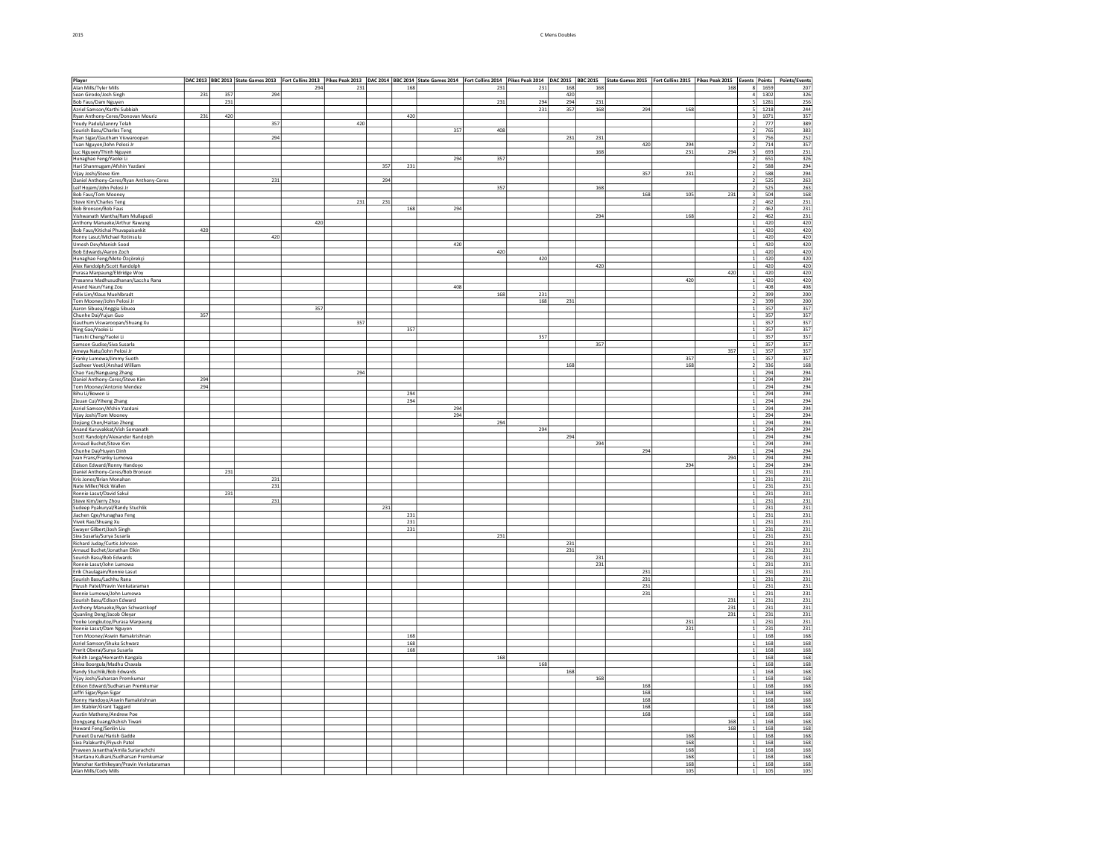| Player                                                              |             |     | DAC 2013  BBC 2013  State Games 2013  Fort Collins 2013  Pikes Peak 2013  DAC 2014  BBC 2014  State Games 2014  Fort Collins 2014  Pikes Peak 2014  DAC 2015  BBC 2015  State Games 2015  Fort Collins 2015 Peak 2014  DAC 201 |     |     |     |     |     |     |     |            |     |     |         |         |                                  |              |            |
|---------------------------------------------------------------------|-------------|-----|--------------------------------------------------------------------------------------------------------------------------------------------------------------------------------------------------------------------------------|-----|-----|-----|-----|-----|-----|-----|------------|-----|-----|---------|---------|----------------------------------|--------------|------------|
| Alan Mills/Tyler Mills                                              |             |     |                                                                                                                                                                                                                                | 294 | 231 |     | 168 |     | 231 | 231 | 168        | 168 |     |         | 168     |                                  | 8 1659       | 207        |
| Sean Girodo/Josh Singh                                              | 231         | 357 | 294                                                                                                                                                                                                                            |     |     |     |     |     | 231 | 294 | 420<br>294 | 231 |     |         |         | 51                               | 1302<br>1281 | 326        |
| Bob Faus/Dam Nguyen                                                 |             | 231 |                                                                                                                                                                                                                                |     |     |     |     |     |     |     |            |     | 294 |         |         |                                  |              | 256<br>244 |
| Azriel Samson/Karthi Subbiah<br>Ryan Anthony-Ceres/Donovan Mouriz   | ${\bf 231}$ | 420 |                                                                                                                                                                                                                                |     |     |     | 420 |     |     | 231 | 357        | 168 |     | 168     |         | $\overline{\mathbf{3}}$          | 1218<br>1071 | 357        |
| Youdy Paduli/Jannry Telah                                           |             |     | 357                                                                                                                                                                                                                            |     | 420 |     |     |     |     |     |            |     |     |         |         |                                  | 777          | 389        |
| Sourish Basu/Charles Teng                                           |             |     |                                                                                                                                                                                                                                |     |     |     |     | 357 | 408 |     |            |     |     |         |         | $\overline{2}$                   | 765          | 383        |
| Ryan Sigar/Gautham Viswaroopan                                      |             |     | 294                                                                                                                                                                                                                            |     |     |     |     |     |     |     | 231        | 231 |     |         |         | $\overline{\mathbf{3}}$          | 756          | 252        |
| Tuan Nguyen/John Pelosi Jr                                          |             |     |                                                                                                                                                                                                                                |     |     |     |     |     |     |     |            |     | 420 | 294     |         | $\overline{2}$                   | 714          | 357        |
| Luc Nguyen/Thinh Nguyen                                             |             |     |                                                                                                                                                                                                                                |     |     |     |     |     |     |     |            | 168 |     | 231     | 294     | 3                                | 693          | 231        |
| Hunaghao Feng/Yaolei Li                                             |             |     |                                                                                                                                                                                                                                |     |     | 357 | 231 | 294 | 357 |     |            |     |     |         |         | 2 <sup>1</sup><br>$\overline{2}$ | 651<br>588   | 326<br>294 |
| Hari Shanmugam/Afshin Yazdani<br>Vijay Joshi/Steve Kim              |             |     |                                                                                                                                                                                                                                |     |     |     |     |     |     |     |            |     | 357 | 231     |         | $\mathcal{P}$                    | 588          | 294        |
| Daniel Anthony-Ceres/Ryan Anthony-Ceres                             |             |     | 231                                                                                                                                                                                                                            |     |     | 294 |     |     |     |     |            |     |     |         |         | $\overline{2}$                   | 525          | 263        |
| Leif Hojem/John Pelosi Jr                                           |             |     |                                                                                                                                                                                                                                |     |     |     |     |     | 357 |     |            | 168 |     |         |         | $\mathcal{D}$                    | 525          | 263        |
| <b>Bob Faus/Tom Mooney</b>                                          |             |     |                                                                                                                                                                                                                                |     |     |     |     |     |     |     |            |     | 168 | $105\,$ | 231     | $\vert$ 3                        | 504          | 168        |
| <b>Steve Kim/Charles Teng</b>                                       |             |     |                                                                                                                                                                                                                                |     | 231 | 231 |     |     |     |     |            |     |     |         |         |                                  | 462          | 231        |
| Bob Bronson/Bob Faus                                                |             |     |                                                                                                                                                                                                                                |     |     |     | 168 | 294 |     |     |            |     |     |         |         | $\overline{2}$                   | 462          | 231        |
| Vishwanath Mantha/Ram Mullapudi                                     |             |     |                                                                                                                                                                                                                                |     |     |     |     |     |     |     |            | 294 |     | 168     |         |                                  | 462          | 231        |
| Anthony Manueke/Arthur Rawung<br>Bob Faus/Kitichai Phuvapaisankit   | 420         |     |                                                                                                                                                                                                                                | 420 |     |     |     |     |     |     |            |     |     |         |         |                                  | 420<br>420   | 420<br>420 |
| Ronny Lasut/Michael Rotinsulu                                       |             |     | 420                                                                                                                                                                                                                            |     |     |     |     |     |     |     |            |     |     |         |         |                                  | 420          | 420        |
| Umesh Dev/Manish Sood                                               |             |     |                                                                                                                                                                                                                                |     |     |     |     | 420 |     |     |            |     |     |         |         | $\mathbf{1}$                     | 420          | 420        |
| Bob Edwards/Aaron Zoch                                              |             |     |                                                                                                                                                                                                                                |     |     |     |     |     | 420 |     |            |     |     |         |         | 1                                | 420          | 420        |
| Hunaghao Feng/Mete Özçörekçi                                        |             |     |                                                                                                                                                                                                                                |     |     |     |     |     |     | 420 |            |     |     |         |         | $\mathbf{1}$                     | 420          | 420        |
| Alex Randolph/Scott Randolph                                        |             |     |                                                                                                                                                                                                                                |     |     |     |     |     |     |     |            | 420 |     |         |         | $\mathbf{1}$                     | 420          | 420        |
| Purasa Marpaung/Eldridge Woy                                        |             |     |                                                                                                                                                                                                                                |     |     |     |     |     |     |     |            |     |     | 420     | 420     | $\mathbf{1}$                     | 420          | 420        |
| Prasanna Madhusudhanan/Lacchu Rana                                  |             |     |                                                                                                                                                                                                                                |     |     |     |     | 408 |     |     |            |     |     |         |         | 1 <sup>1</sup><br>1 <sup>1</sup> | 420<br>408   | 420<br>408 |
| Anand Naun/Yang Zou<br>Felix Lim/Klaus Muehlbradt                   |             |     |                                                                                                                                                                                                                                |     |     |     |     |     | 168 | 231 |            |     |     |         |         | 2 <sup>1</sup>                   | 399          | 200        |
| Tom Mooney/John Pelosi Jr                                           |             |     |                                                                                                                                                                                                                                |     |     |     |     |     |     | 168 | 231        |     |     |         |         |                                  | 399          | 200        |
| Aaron Sibuea/Anggia Sibuea                                          |             |     |                                                                                                                                                                                                                                | 357 |     |     |     |     |     |     |            |     |     |         |         | 1                                | 357          | 357        |
| Chunhe Dai/Yujun Guo                                                | 357         |     |                                                                                                                                                                                                                                |     |     |     |     |     |     |     |            |     |     |         |         |                                  | 357          | 357        |
| Gauthum Viswaroopan/Shuang Xu                                       |             |     |                                                                                                                                                                                                                                |     | 357 |     |     |     |     |     |            |     |     |         |         | $\mathbf{1}$                     | 357          | 357        |
| Ning Gao/Yaolei Li                                                  |             |     |                                                                                                                                                                                                                                |     |     |     | 357 |     |     |     |            |     |     |         |         |                                  | 357          | 357        |
| Tianshi Cheng/Yaolei Li                                             |             |     |                                                                                                                                                                                                                                |     |     |     |     |     |     | 357 |            |     |     |         |         |                                  | 357          | 357        |
| Samson Gudise/Siva Susarla                                          |             |     |                                                                                                                                                                                                                                |     |     |     |     |     |     |     |            | 357 |     |         |         | $\mathbf{1}$                     | 357          | 357        |
| Ameya Natu/John Pelosi Jr<br>Franky Lumowa/Jimmy Suoth              |             |     |                                                                                                                                                                                                                                |     |     |     |     |     |     |     |            |     |     | 357     | 357     | 1                                | 357<br>357   | 357<br>357 |
| Sudheer Veetil/Arshad William                                       |             |     |                                                                                                                                                                                                                                |     |     |     |     |     |     |     | 168        |     |     | 168     |         |                                  | 336          | 168        |
| Chao Yao/Nanguang Zhang                                             |             |     |                                                                                                                                                                                                                                |     | 294 |     |     |     |     |     |            |     |     |         |         | 1 <sup>1</sup>                   | 294          | 294        |
| Daniel Anthony-Ceres/Steve Kim                                      | 294         |     |                                                                                                                                                                                                                                |     |     |     |     |     |     |     |            |     |     |         |         | $\mathbf{1}$                     | 294          | 294        |
| Tom Mooney/Antonio Mendez                                           | 294         |     |                                                                                                                                                                                                                                |     |     |     |     |     |     |     |            |     |     |         |         | 1 <sup>1</sup>                   | 294          | 294        |
| Bihu Li/Bowen Li                                                    |             |     |                                                                                                                                                                                                                                |     |     |     | 294 |     |     |     |            |     |     |         |         |                                  | 294          | 294        |
| Zixuan Cui/Yiheng Zhang<br>Azriel Samson/Afshin Yazdani             |             |     |                                                                                                                                                                                                                                |     |     |     | 294 | 294 |     |     |            |     |     |         |         | 1 <sup>1</sup><br>1 <sup>1</sup> | 294<br>294   | 294<br>294 |
| Vijay Joshi/Tom Mooney                                              |             |     |                                                                                                                                                                                                                                |     |     |     |     | 294 |     |     |            |     |     |         |         | 1                                | 294          | 294        |
| Dejiang Chen/Haitao Zheng                                           |             |     |                                                                                                                                                                                                                                |     |     |     |     |     | 294 |     |            |     |     |         |         | 1                                | 294          | 294        |
| Anand Kuruvakkat/Vish Somanath                                      |             |     |                                                                                                                                                                                                                                |     |     |     |     |     |     | 294 |            |     |     |         |         | 11                               | 294          | 294        |
| Scott Randolph/Alexander Randolph                                   |             |     |                                                                                                                                                                                                                                |     |     |     |     |     |     |     | 294        |     |     |         |         | $1\vert$                         | 294          | 294        |
| Arnaud Buchet/Steve Kim                                             |             |     |                                                                                                                                                                                                                                |     |     |     |     |     |     |     |            | 294 |     |         |         | $\mathbf{1}$                     | 294          | 294        |
| Chunhe Dai/Huyen Dinh                                               |             |     |                                                                                                                                                                                                                                |     |     |     |     |     |     |     |            |     | 294 |         | 294     | $1\vert$                         | 294<br>294   | 294        |
| Ivan Frans/Franky Lumowa<br>Edison Edward/Ronny Handoyo             |             |     |                                                                                                                                                                                                                                |     |     |     |     |     |     |     |            |     |     | 294     |         |                                  | 294          | 294<br>294 |
| Daniel Anthony-Ceres/Bob Bronson                                    |             | 231 |                                                                                                                                                                                                                                |     |     |     |     |     |     |     |            |     |     |         |         |                                  | 231          | 231        |
| Kris Jones/Brian Monahan                                            |             |     | 231                                                                                                                                                                                                                            |     |     |     |     |     |     |     |            |     |     |         |         | $\mathbf{1}$                     | 231          | 231        |
| Nate Miller/Nick Wallen                                             |             |     | 231                                                                                                                                                                                                                            |     |     |     |     |     |     |     |            |     |     |         |         | $\mathbf{1}$                     | 231          | 231        |
| Ronnie Lasut/David Sakul                                            |             | 231 |                                                                                                                                                                                                                                |     |     |     |     |     |     |     |            |     |     |         |         | $\mathbf{1}$                     | 231          | 231        |
| Steve Kim/Jerry Zhou                                                |             |     | 231                                                                                                                                                                                                                            |     |     |     |     |     |     |     |            |     |     |         |         | $\mathbf{1}$                     | 231          | 231        |
| Sudeep Pyakuryal/Randy Stuchlik                                     |             |     |                                                                                                                                                                                                                                |     |     | 231 | 231 |     |     |     |            |     |     |         |         | $\mathbf{1}$<br>1 <sup>1</sup>   | 231<br>231   | 231<br>231 |
| Jiachen Cge/Hunaghao Feng<br>Vivek Rao/Shuang Xu                    |             |     |                                                                                                                                                                                                                                |     |     |     | 231 |     |     |     |            |     |     |         |         | 11                               | 231          | 231        |
| Swayer Gilbert/Josh Singh                                           |             |     |                                                                                                                                                                                                                                |     |     |     | 231 |     |     |     |            |     |     |         |         |                                  | 231          | 231        |
| Siva Susarla/Surya Susarla                                          |             |     |                                                                                                                                                                                                                                |     |     |     |     |     | 231 |     |            |     |     |         |         | 1 <sup>1</sup>                   | 231          | 231        |
| Richard Juday/Curtis Johnson                                        |             |     |                                                                                                                                                                                                                                |     |     |     |     |     |     |     | 231        |     |     |         |         | 1                                | 231          | 231        |
| Arnaud Buchet/Jonathan Elkin                                        |             |     |                                                                                                                                                                                                                                |     |     |     |     |     |     |     | 231        |     |     |         |         | 1                                | 231          | 231        |
| Sourish Basu/Bob Edwards                                            |             |     |                                                                                                                                                                                                                                |     |     |     |     |     |     |     |            | 231 |     |         |         | 1                                | 231          | 231        |
| Ronnie Lasut/John Lumowa<br>Erik Chaulagain/Ronnie Lasut            |             |     |                                                                                                                                                                                                                                |     |     |     |     |     |     |     |            | 231 | 231 |         |         |                                  | 231<br>231   | 231<br>231 |
| Sourish Basu/Lachhu Rana                                            |             |     |                                                                                                                                                                                                                                |     |     |     |     |     |     |     |            |     | 231 |         |         |                                  | 231          | 231        |
| Piyush Patel/Pravin Venkataraman                                    |             |     |                                                                                                                                                                                                                                |     |     |     |     |     |     |     |            |     | 231 |         |         | 1                                | 231          | 231        |
| Bennie Lumowa/John Lumowa                                           |             |     |                                                                                                                                                                                                                                |     |     |     |     |     |     |     |            |     | 231 |         |         |                                  | 231          | 231        |
| Sourish Basu/Edison Edward                                          |             |     |                                                                                                                                                                                                                                |     |     |     |     |     |     |     |            |     |     |         | $231\,$ | 1                                | 231          | 231        |
| Anthony Manueke/Ryan Schwarzkopf                                    |             |     |                                                                                                                                                                                                                                |     |     |     |     |     |     |     |            |     |     |         | 231     | $\mathbf{1}$                     | 231          | 231        |
| Quanling Deng/Jacob Oleyar                                          |             |     |                                                                                                                                                                                                                                |     |     |     |     |     |     |     |            |     |     | 231     | 231     | $1\vert$<br>$\mathbf{1}$         | 231<br>231   | 231<br>231 |
| Yooke Longkutoy/Purasa Marpaung                                     |             |     |                                                                                                                                                                                                                                |     |     |     |     |     |     |     |            |     |     | 231     |         | 1 <sup>1</sup>                   | 231          | 231        |
| Ronnie Lasut/Dam Nguyen<br>Tom Mooney/Aswin Ramakrishnan            |             |     |                                                                                                                                                                                                                                |     |     |     | 168 |     |     |     |            |     |     |         |         | $\mathbf{1}$                     | 168          | 168        |
| Azriel Samson/Shuka Schwarz                                         |             |     |                                                                                                                                                                                                                                |     |     |     | 168 |     |     |     |            |     |     |         |         | 1 <sup>1</sup>                   | 168          | 168        |
| Prerit Oberai/Surya Susarla                                         |             |     |                                                                                                                                                                                                                                |     |     |     | 168 |     |     |     |            |     |     |         |         | 1 <sup>1</sup>                   | 168          | 168        |
| Rohith Janga/Hemanth Kangala                                        |             |     |                                                                                                                                                                                                                                |     |     |     |     |     | 168 |     |            |     |     |         |         | $\mathbf{1}$                     | 168          | 168        |
| Shiva Boorgula/Madhu Chavala                                        |             |     |                                                                                                                                                                                                                                |     |     |     |     |     |     | 168 |            |     |     |         |         | 1                                | 168          | 168        |
| Randy Stuchlik/Bob Edwards                                          |             |     |                                                                                                                                                                                                                                |     |     |     |     |     |     |     | 168        |     |     |         |         | 1                                | 168          | 168        |
| Vijay Joshi/Suharsan Premkumar<br>Edison Edward/Sudharsan Premkumar |             |     |                                                                                                                                                                                                                                |     |     |     |     |     |     |     |            | 168 | 168 |         |         | 1                                | 168<br>168   | 168<br>168 |
| Jeffri Sigar/Ryan Sigar                                             |             |     |                                                                                                                                                                                                                                |     |     |     |     |     |     |     |            |     | 168 |         |         | 1                                | 168          | 168        |
| Ronny Handoyo/Aswin Ramakrishnan                                    |             |     |                                                                                                                                                                                                                                |     |     |     |     |     |     |     |            |     | 168 |         |         | $\mathbf{1}$                     | 168          | 168        |
| Jim Stabler/Grant Taggard                                           |             |     |                                                                                                                                                                                                                                |     |     |     |     |     |     |     |            |     | 168 |         |         | $\overline{1}$                   | 168          | 168        |
| Austin Matheny/Andrew Poe                                           |             |     |                                                                                                                                                                                                                                |     |     |     |     |     |     |     |            |     | 168 |         |         | 1                                | 168          | 168        |
| Dongyang Kuang/Ashish Tiwari                                        |             |     |                                                                                                                                                                                                                                |     |     |     |     |     |     |     |            |     |     |         | 168     | 1                                | 168          | 168        |
| Howard Feng/Senlin Liu                                              |             |     |                                                                                                                                                                                                                                |     |     |     |     |     |     |     |            |     |     | 168     | 168     | $\mathbf{1}$<br>$\overline{1}$   | 168<br>168   | 168<br>168 |
| Puneet Durve/Harish Gadde<br>Siva Palakurthi/Pivush Patel           |             |     |                                                                                                                                                                                                                                |     |     |     |     |     |     |     |            |     |     | 168     |         | $\mathbf{1}$                     | 168          | 168        |
| Praveen Janantha/Amila Suriarachchi                                 |             |     |                                                                                                                                                                                                                                |     |     |     |     |     |     |     |            |     |     | 168     |         | $\mathbf{1}$                     | 168          | 168        |
| Shantanu Kulkani/Sudharsan Premkumar                                |             |     |                                                                                                                                                                                                                                |     |     |     |     |     |     |     |            |     |     | 168     |         | 1 <sup>1</sup>                   | 168          | 168        |
| Manohar Karthikeyan/Pravin Venkataraman                             |             |     |                                                                                                                                                                                                                                |     |     |     |     |     |     |     |            |     |     | 168     |         | 1                                | 168          | 168        |
| Alan Mills/Cody Mills                                               |             |     |                                                                                                                                                                                                                                |     |     |     |     |     |     |     |            |     |     | 105     |         | 1 <sup>1</sup>                   | 105          | 105        |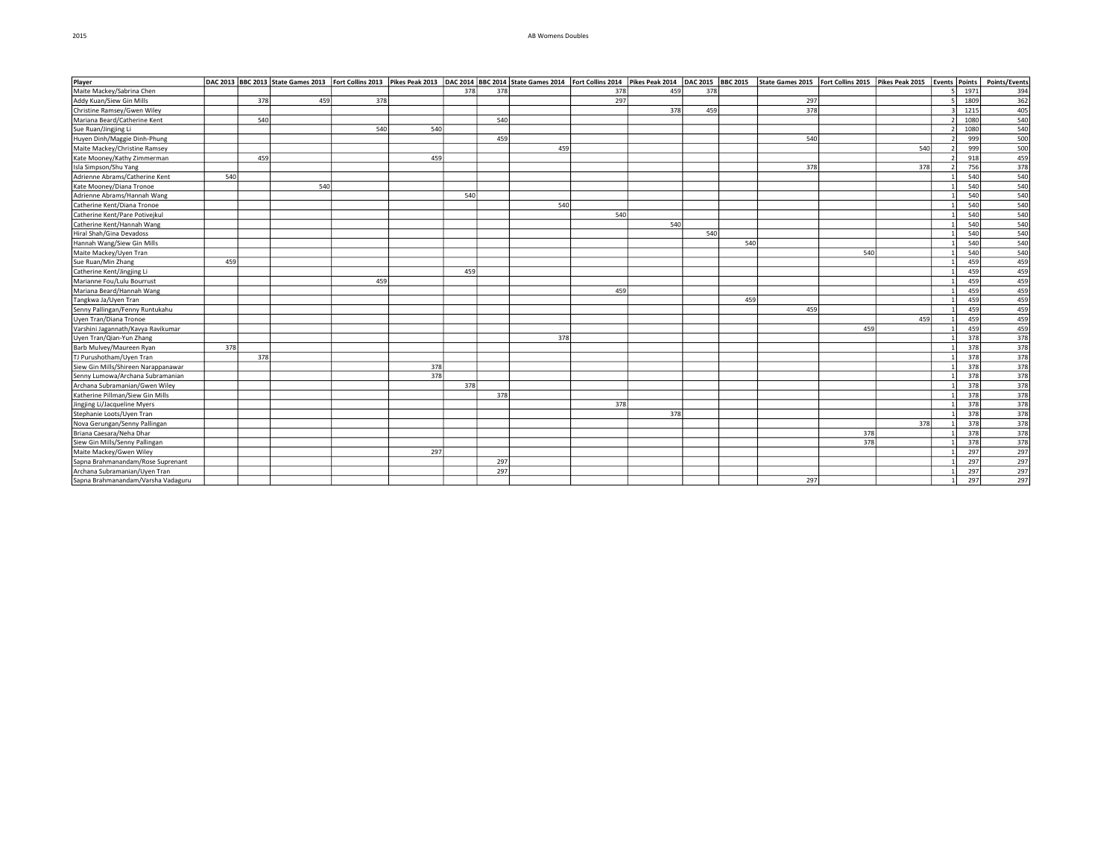## 2015 AB Womens Doubles

| Player                              |     |     | DAC 2013 BBC 2013 State Games 2013 Fort Collins 2013 Pikes Peak 2013 DAC 2014 BBC 2014 State Games 2014 Fort Collins 2014 Pikes Peak 2014 |     |     |     |     |     |     |     | DAC 2015 BBC 2015 |     | State Games 2015   Fort Collins 2015   Pikes Peak 2015   Events   Points |     |     |      | Points/Events     |
|-------------------------------------|-----|-----|-------------------------------------------------------------------------------------------------------------------------------------------|-----|-----|-----|-----|-----|-----|-----|-------------------|-----|--------------------------------------------------------------------------|-----|-----|------|-------------------|
| Maite Mackey/Sabrina Chen           |     |     |                                                                                                                                           |     |     | 378 | 378 |     | 378 | 459 | 378               |     |                                                                          |     |     | 1971 | 394               |
| Addy Kuan/Siew Gin Mills            |     | 378 | 459                                                                                                                                       | 378 |     |     |     |     | 297 |     |                   |     | 297                                                                      |     |     | 1809 | 362               |
| Christine Ramsey/Gwen Wiley         |     |     |                                                                                                                                           |     |     |     |     |     |     | 378 | 459               |     | 378                                                                      |     |     | 1215 | 405               |
| Mariana Beard/Catherine Kent        |     | 540 |                                                                                                                                           |     |     |     | 540 |     |     |     |                   |     |                                                                          |     |     | 1080 | 540               |
| Sue Ruan/Jingjing Li                |     |     |                                                                                                                                           | 540 | 540 |     |     |     |     |     |                   |     |                                                                          |     |     | 1080 | 540               |
| Huyen Dinh/Maggie Dinh-Phung        |     |     |                                                                                                                                           |     |     |     | 459 |     |     |     |                   |     | 540                                                                      |     |     | 999  | 500               |
| Maite Mackey/Christine Ramsey       |     |     |                                                                                                                                           |     |     |     |     | 459 |     |     |                   |     |                                                                          |     | 540 | 999  | 500               |
| Kate Mooney/Kathy Zimmerman         |     | 459 |                                                                                                                                           |     | 459 |     |     |     |     |     |                   |     |                                                                          |     |     | 918  | 459               |
| Isla Simpson/Shu Yang               |     |     |                                                                                                                                           |     |     |     |     |     |     |     |                   |     | 378                                                                      |     | 378 | 756  | 378               |
| Adrienne Abrams/Catherine Kent      | 540 |     |                                                                                                                                           |     |     |     |     |     |     |     |                   |     |                                                                          |     |     | 540  | 540               |
| Kate Mooney/Diana Tronoe            |     |     | 540                                                                                                                                       |     |     |     |     |     |     |     |                   |     |                                                                          |     |     | 540  | 540               |
| Adrienne Abrams/Hannah Wang         |     |     |                                                                                                                                           |     |     | 540 |     |     |     |     |                   |     |                                                                          |     |     | 540  | 540               |
| Catherine Kent/Diana Tronoe         |     |     |                                                                                                                                           |     |     |     |     | 540 |     |     |                   |     |                                                                          |     |     | 540  | $\frac{540}{540}$ |
| Catherine Kent/Pare Potivejkul      |     |     |                                                                                                                                           |     |     |     |     |     | 540 |     |                   |     |                                                                          |     |     | 540  |                   |
| Catherine Kent/Hannah Wang          |     |     |                                                                                                                                           |     |     |     |     |     |     | 540 |                   |     |                                                                          |     |     | 540  | 540               |
| Hiral Shah/Gina Devadoss            |     |     |                                                                                                                                           |     |     |     |     |     |     |     | 540               |     |                                                                          |     |     | 540  | 540               |
| Hannah Wang/Siew Gin Mills          |     |     |                                                                                                                                           |     |     |     |     |     |     |     |                   | 540 |                                                                          |     |     | 540  | 540               |
| Maite Mackey/Uyen Tran              |     |     |                                                                                                                                           |     |     |     |     |     |     |     |                   |     |                                                                          | 540 |     | 540  | 540               |
| Sue Ruan/Min Zhang                  | 459 |     |                                                                                                                                           |     |     |     |     |     |     |     |                   |     |                                                                          |     |     | 459  | 459               |
| Catherine Kent/Jingjing Li          |     |     |                                                                                                                                           |     |     | 459 |     |     |     |     |                   |     |                                                                          |     |     | 459  | 459               |
| Marianne Fou/Lulu Bourrust          |     |     |                                                                                                                                           | 459 |     |     |     |     |     |     |                   |     |                                                                          |     |     | 459  | 459               |
| Mariana Beard/Hannah Wang           |     |     |                                                                                                                                           |     |     |     |     |     | 459 |     |                   |     |                                                                          |     |     | 459  | 459               |
| Tangkwa Ja/Uyen Tran                |     |     |                                                                                                                                           |     |     |     |     |     |     |     |                   | 459 |                                                                          |     |     | 459  | 459               |
| Senny Pallingan/Fenny Runtukahu     |     |     |                                                                                                                                           |     |     |     |     |     |     |     |                   |     | 459                                                                      |     |     | 459  | 459               |
| Uyen Tran/Diana Tronoe              |     |     |                                                                                                                                           |     |     |     |     |     |     |     |                   |     |                                                                          |     | 459 | 459  | 459               |
| Varshini Jagannath/Kavya Ravikumar  |     |     |                                                                                                                                           |     |     |     |     |     |     |     |                   |     |                                                                          | 459 |     | 459  | 459               |
| Uyen Tran/Qian-Yun Zhang            |     |     |                                                                                                                                           |     |     |     |     | 378 |     |     |                   |     |                                                                          |     |     | 378  | 378               |
| Barb Mulvey/Maureen Ryan            | 378 |     |                                                                                                                                           |     |     |     |     |     |     |     |                   |     |                                                                          |     |     | 378  | 378               |
| TJ Purushotham/Uyen Tran            |     | 378 |                                                                                                                                           |     |     |     |     |     |     |     |                   |     |                                                                          |     |     | 378  | 378               |
| Siew Gin Mills/Shireen Narappanawar |     |     |                                                                                                                                           |     | 378 |     |     |     |     |     |                   |     |                                                                          |     |     | 378  | 378               |
| Senny Lumowa/Archana Subramanian    |     |     |                                                                                                                                           |     | 378 |     |     |     |     |     |                   |     |                                                                          |     |     | 378  | 378               |
| Archana Subramanian/Gwen Wiley      |     |     |                                                                                                                                           |     |     | 378 |     |     |     |     |                   |     |                                                                          |     |     | 378  | 378               |
| Katherine Pillman/Siew Gin Mills    |     |     |                                                                                                                                           |     |     |     | 378 |     |     |     |                   |     |                                                                          |     |     | 378  | 378               |
| Jingjing Li/Jacqueline Myers        |     |     |                                                                                                                                           |     |     |     |     |     | 378 |     |                   |     |                                                                          |     |     | 378  | 378               |
| Stephanie Loots/Uyen Tran           |     |     |                                                                                                                                           |     |     |     |     |     |     | 378 |                   |     |                                                                          |     |     | 378  | 378               |
| Nova Gerungan/Senny Pallingan       |     |     |                                                                                                                                           |     |     |     |     |     |     |     |                   |     |                                                                          |     | 378 | 378  | 378               |
| Briana Caesara/Neha Dhar            |     |     |                                                                                                                                           |     |     |     |     |     |     |     |                   |     |                                                                          | 378 |     | 378  | $\overline{378}$  |
| Siew Gin Mills/Senny Pallingan      |     |     |                                                                                                                                           |     |     |     |     |     |     |     |                   |     |                                                                          | 378 |     | 378  | 378               |
| Maite Mackey/Gwen Wiley             |     |     |                                                                                                                                           |     | 297 |     |     |     |     |     |                   |     |                                                                          |     |     | 297  | 297               |
| Sapna Brahmanandam/Rose Suprenant   |     |     |                                                                                                                                           |     |     |     | 297 |     |     |     |                   |     |                                                                          |     |     | 297  | 297               |
| Archana Subramanian/Uyen Tran       |     |     |                                                                                                                                           |     |     |     | 297 |     |     |     |                   |     |                                                                          |     |     | 297  | 297               |
| Sapna Brahmanandam/Varsha Vadaguru  |     |     |                                                                                                                                           |     |     |     |     |     |     |     |                   |     | 297                                                                      |     |     | 297  | 297               |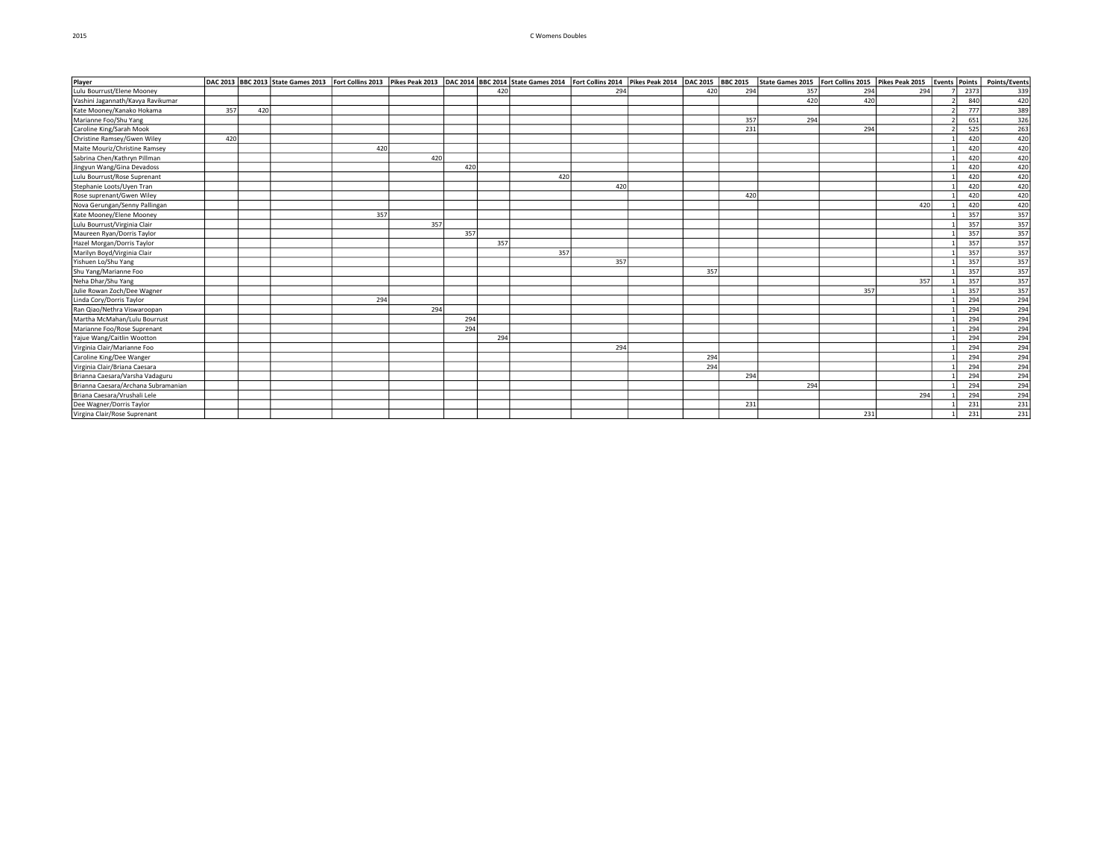## 2015 C Womens Doubles

| Player                              |     |     | DAC 2013 BBC 2013 State Games 2013 Fort Collins 2013 Pikes Peak 2013 DAC 2014 BBC 2014 State Games 2014 Fort Collins 2014 |     |     |     |     |     |     | Pikes Peak 2014   DAC 2015   BBC 2015 |     |     | State Games 2015   Fort Collins 2015   Pikes Peak 2015   Events   Points |     |     |      | Points/Events                                                                                               |
|-------------------------------------|-----|-----|---------------------------------------------------------------------------------------------------------------------------|-----|-----|-----|-----|-----|-----|---------------------------------------|-----|-----|--------------------------------------------------------------------------|-----|-----|------|-------------------------------------------------------------------------------------------------------------|
| Lulu Bourrust/Elene Moonev          |     |     |                                                                                                                           |     |     |     | 420 |     | 294 |                                       | 420 | 294 | 357                                                                      | 294 | 294 | 2373 | 339                                                                                                         |
| Vashini Jagannath/Kavya Ravikumar   |     |     |                                                                                                                           |     |     |     |     |     |     |                                       |     |     | 420                                                                      | 420 |     | 840  | 420                                                                                                         |
| Kate Mooney/Kanako Hokama           | 357 | 420 |                                                                                                                           |     |     |     |     |     |     |                                       |     |     |                                                                          |     |     | 777  |                                                                                                             |
| Marianne Foo/Shu Yang               |     |     |                                                                                                                           |     |     |     |     |     |     |                                       |     | 357 | 294                                                                      |     |     | 651  |                                                                                                             |
| Caroline King/Sarah Mook            |     |     |                                                                                                                           |     |     |     |     |     |     |                                       |     | 231 |                                                                          | 294 |     | 525  |                                                                                                             |
| Christine Ramsey/Gwen Wiley         | 420 |     |                                                                                                                           |     |     |     |     |     |     |                                       |     |     |                                                                          |     |     | 420  | $\begin{array}{r}\n 420 \\  \hline\n 389 \\  \hline\n 326 \\  \hline\n 263 \\  \hline\n 420\n \end{array}$  |
| Maite Mouriz/Christine Ramsey       |     |     |                                                                                                                           | 420 |     |     |     |     |     |                                       |     |     |                                                                          |     |     | 420  | 420                                                                                                         |
| Sabrina Chen/Kathryn Pillman        |     |     |                                                                                                                           |     | 420 |     |     |     |     |                                       |     |     |                                                                          |     |     | 420  | 420                                                                                                         |
| Jingyun Wang/Gina Devadoss          |     |     |                                                                                                                           |     |     | 420 |     |     |     |                                       |     |     |                                                                          |     |     | 420  | $\frac{420}{420}$                                                                                           |
| Lulu Bourrust/Rose Suprenant        |     |     |                                                                                                                           |     |     |     |     | 420 |     |                                       |     |     |                                                                          |     |     | 420  |                                                                                                             |
| Stephanie Loots/Uyen Tran           |     |     |                                                                                                                           |     |     |     |     |     | 420 |                                       |     |     |                                                                          |     |     | 420  | 420                                                                                                         |
| Rose suprenant/Gwen Wiley           |     |     |                                                                                                                           |     |     |     |     |     |     |                                       |     | 420 |                                                                          |     |     | 420  | 420                                                                                                         |
| Nova Gerungan/Senny Pallingan       |     |     |                                                                                                                           |     |     |     |     |     |     |                                       |     |     |                                                                          |     | 420 | 420  | 420                                                                                                         |
| Kate Mooney/Elene Mooney            |     |     |                                                                                                                           | 357 |     |     |     |     |     |                                       |     |     |                                                                          |     |     | 357  | 357                                                                                                         |
| Lulu Bourrust/Virginia Clair        |     |     |                                                                                                                           |     | 357 |     |     |     |     |                                       |     |     |                                                                          |     |     | 357  | $\begin{array}{r} 357 \\ 357 \\ \hline 357 \\ \hline 357 \\ \hline 357 \\ \hline 357 \\ \hline \end{array}$ |
| Maureen Ryan/Dorris Taylor          |     |     |                                                                                                                           |     |     | 357 |     |     |     |                                       |     |     |                                                                          |     |     | 357  |                                                                                                             |
| Hazel Morgan/Dorris Taylor          |     |     |                                                                                                                           |     |     |     | 357 |     |     |                                       |     |     |                                                                          |     |     | 357  |                                                                                                             |
| Marilyn Boyd/Virginia Clair         |     |     |                                                                                                                           |     |     |     |     | 357 |     |                                       |     |     |                                                                          |     |     | 357  |                                                                                                             |
| Yishuen Lo/Shu Yang                 |     |     |                                                                                                                           |     |     |     |     |     | 357 |                                       |     |     |                                                                          |     |     | 357  |                                                                                                             |
| Shu Yang/Marianne Foo               |     |     |                                                                                                                           |     |     |     |     |     |     |                                       | 357 |     |                                                                          |     |     | 357  | 357                                                                                                         |
| Neha Dhar/Shu Yang                  |     |     |                                                                                                                           |     |     |     |     |     |     |                                       |     |     |                                                                          |     | 357 | 357  | 357                                                                                                         |
| Julie Rowan Zoch/Dee Wagner         |     |     |                                                                                                                           |     |     |     |     |     |     |                                       |     |     |                                                                          | 357 |     | 357  | 357                                                                                                         |
| Linda Cory/Dorris Taylor            |     |     |                                                                                                                           | 294 |     |     |     |     |     |                                       |     |     |                                                                          |     |     | 294  |                                                                                                             |
| Ran Qiao/Nethra Viswaroopan         |     |     |                                                                                                                           |     | 294 |     |     |     |     |                                       |     |     |                                                                          |     |     | 294  |                                                                                                             |
| Martha McMahan/Lulu Bourrust        |     |     |                                                                                                                           |     |     | 294 |     |     |     |                                       |     |     |                                                                          |     |     | 294  |                                                                                                             |
| Marianne Foo/Rose Suprenant         |     |     |                                                                                                                           |     |     | 294 |     |     |     |                                       |     |     |                                                                          |     |     | 294  |                                                                                                             |
| Yajue Wang/Caitlin Wootton          |     |     |                                                                                                                           |     |     |     | 294 |     |     |                                       |     |     |                                                                          |     |     | 294  |                                                                                                             |
| Virginia Clair/Marianne Foo         |     |     |                                                                                                                           |     |     |     |     |     | 294 |                                       |     |     |                                                                          |     |     | 294  |                                                                                                             |
| Caroline King/Dee Wanger            |     |     |                                                                                                                           |     |     |     |     |     |     |                                       | 294 |     |                                                                          |     |     | 294  |                                                                                                             |
| Virginia Clair/Briana Caesara       |     |     |                                                                                                                           |     |     |     |     |     |     |                                       | 294 |     |                                                                          |     |     | 294  |                                                                                                             |
| Brianna Caesara/Varsha Vadaguru     |     |     |                                                                                                                           |     |     |     |     |     |     |                                       |     | 294 |                                                                          |     |     | 294  |                                                                                                             |
| Brianna Caesara/Archana Subramanian |     |     |                                                                                                                           |     |     |     |     |     |     |                                       |     |     | 294                                                                      |     |     | 294  | 294<br>294<br>294<br>294<br>294<br>294<br>294<br>294<br>294<br>294                                          |
| Briana Caesara/Vrushali Lele        |     |     |                                                                                                                           |     |     |     |     |     |     |                                       |     |     |                                                                          |     | 294 | 294  |                                                                                                             |
| Dee Wagner/Dorris Taylor            |     |     |                                                                                                                           |     |     |     |     |     |     |                                       |     | 231 |                                                                          |     |     | 231  | 231                                                                                                         |
| Virgina Clair/Rose Suprenant        |     |     |                                                                                                                           |     |     |     |     |     |     |                                       |     |     |                                                                          | 231 |     | 231  | 231                                                                                                         |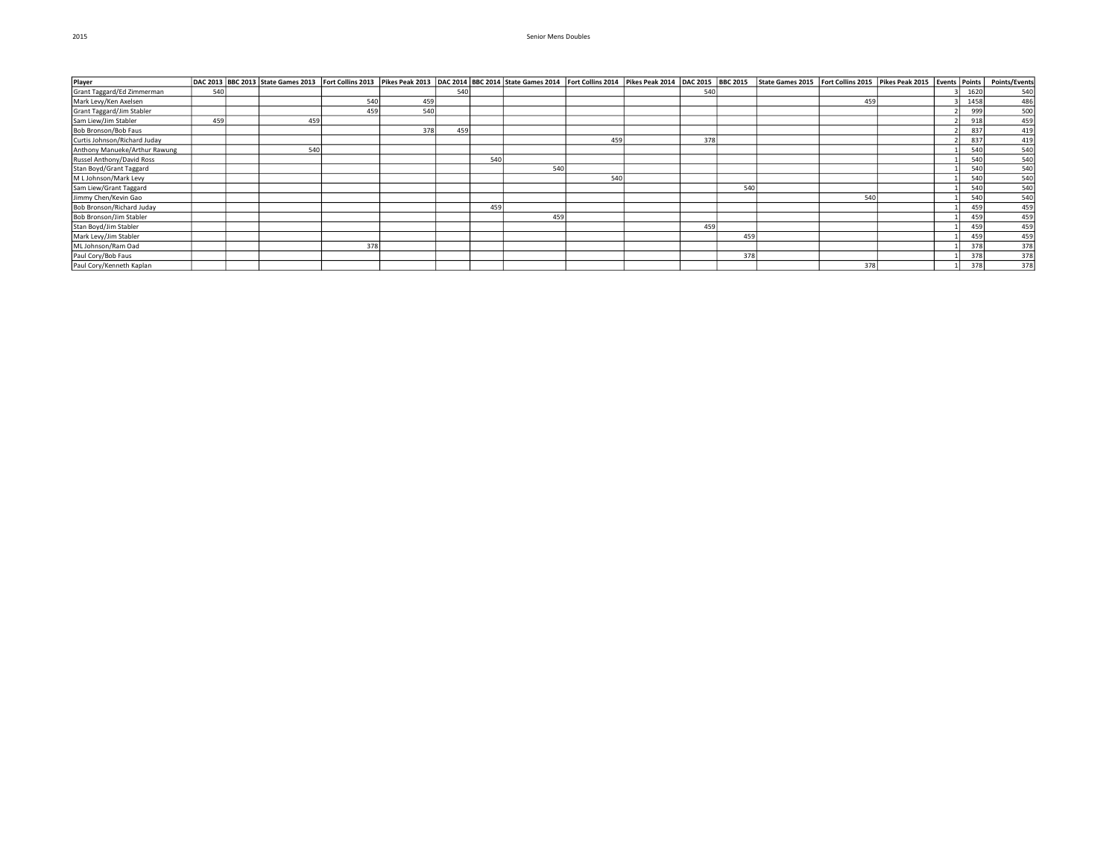| Player                        |     |     |     |     |     |     |     |     |     |     | DAC 2013  BBC 2013  State Games 2013  Fort Collins 2013  Pikes Peak 2013  DAC 2014  BBC 2014  Btate Games 2014  Fort Collins 2014  Pikes Peak 2014  Pikes Peak 2014  Pikes Peak 2014  Pikes Peak 2015  State Games 2015  Fort |     |  |      | <b>Points/Events</b> |
|-------------------------------|-----|-----|-----|-----|-----|-----|-----|-----|-----|-----|-------------------------------------------------------------------------------------------------------------------------------------------------------------------------------------------------------------------------------|-----|--|------|----------------------|
| Grant Taggard/Ed Zimmerman    | 540 |     |     |     | 540 |     |     |     | 540 |     |                                                                                                                                                                                                                               |     |  | 1620 | 540                  |
| Mark Levy/Ken Axelsen         |     |     | 540 | 459 |     |     |     |     |     |     |                                                                                                                                                                                                                               | 459 |  | 1458 | 486                  |
| Grant Taggard/Jim Stabler     |     |     | 459 | 540 |     |     |     |     |     |     |                                                                                                                                                                                                                               |     |  | 999  | 500                  |
| Sam Liew/Jim Stabler          | 459 | 459 |     |     |     |     |     |     |     |     |                                                                                                                                                                                                                               |     |  | 918  | 459                  |
| Bob Bronson/Bob Faus          |     |     |     | 378 | 459 |     |     |     |     |     |                                                                                                                                                                                                                               |     |  | 837  | 419                  |
| Curtis Johnson/Richard Juday  |     |     |     |     |     |     |     | 459 | 378 |     |                                                                                                                                                                                                                               |     |  | 837  | 419                  |
| Anthony Manueke/Arthur Rawung |     | 540 |     |     |     |     |     |     |     |     |                                                                                                                                                                                                                               |     |  | 540  | 540                  |
| Russel Anthony/David Ross     |     |     |     |     |     | 540 |     |     |     |     |                                                                                                                                                                                                                               |     |  | 540  | 540                  |
| Stan Boyd/Grant Taggard       |     |     |     |     |     |     | 540 |     |     |     |                                                                                                                                                                                                                               |     |  | 540  | 540                  |
| M L Johnson/Mark Levy         |     |     |     |     |     |     |     | 540 |     |     |                                                                                                                                                                                                                               |     |  | 540  | 540                  |
| Sam Liew/Grant Taggard        |     |     |     |     |     |     |     |     |     | 540 |                                                                                                                                                                                                                               |     |  | 540  | 540                  |
| Jimmy Chen/Kevin Gao          |     |     |     |     |     |     |     |     |     |     |                                                                                                                                                                                                                               | 540 |  | 540  | 540                  |
| Bob Bronson/Richard Juday     |     |     |     |     |     | 459 |     |     |     |     |                                                                                                                                                                                                                               |     |  | 459  | 459                  |
| Bob Bronson/Jim Stabler       |     |     |     |     |     |     | 459 |     |     |     |                                                                                                                                                                                                                               |     |  | 459  | 459                  |
| Stan Boyd/Jim Stabler         |     |     |     |     |     |     |     |     | 459 |     |                                                                                                                                                                                                                               |     |  | 459  | 459                  |
| Mark Levy/Jim Stabler         |     |     |     |     |     |     |     |     |     | 459 |                                                                                                                                                                                                                               |     |  | 459  | 459                  |
| ML Johnson/Ram Oad            |     |     | 378 |     |     |     |     |     |     |     |                                                                                                                                                                                                                               |     |  | 378  | 378                  |
| Paul Cory/Bob Faus            |     |     |     |     |     |     |     |     |     | 378 |                                                                                                                                                                                                                               |     |  | 378  | 378                  |
| Paul Cory/Kenneth Kaplan      |     |     |     |     |     |     |     |     |     |     |                                                                                                                                                                                                                               | 378 |  | 378  | 378                  |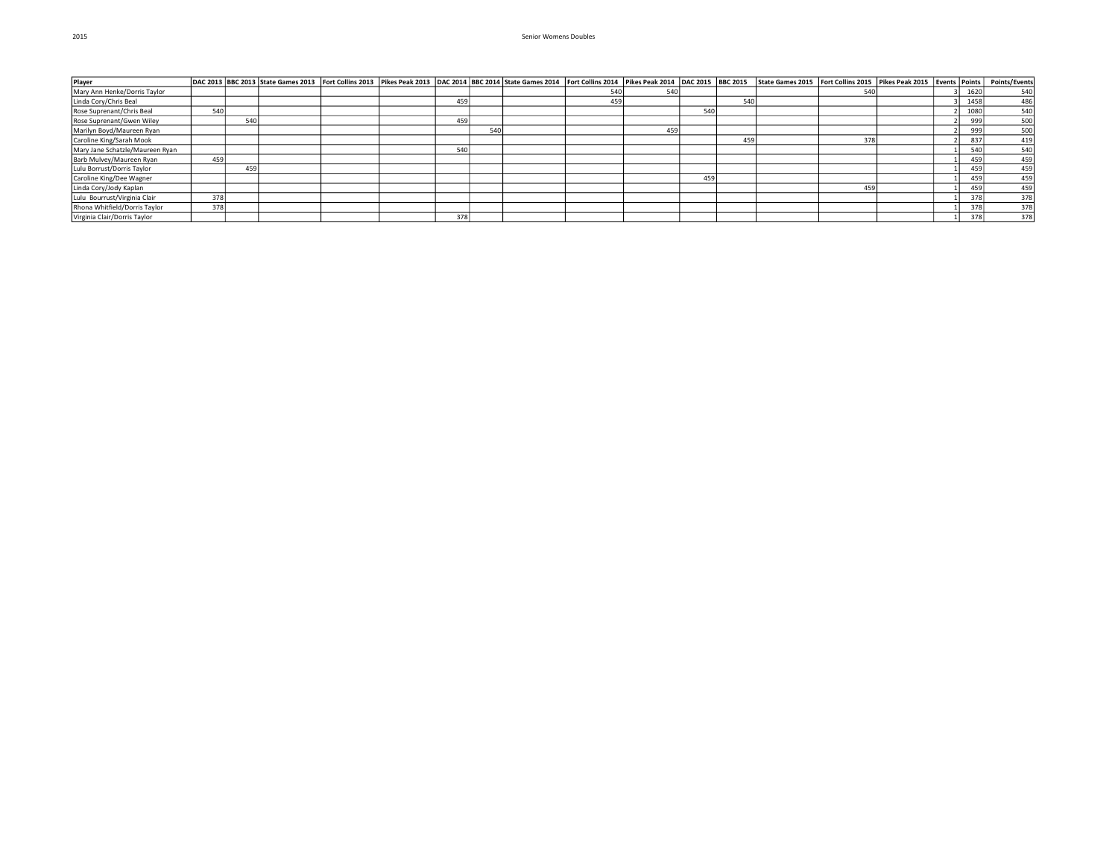| Player                          |     |     | DAC 2013 BBC 2013 State Games 2013 Fort Collins 2013 Pikes Peak 2013 DAC 2014 BBC 2014 State Games 2014 Fort Collins 2014 Pikes Peak 2014 DAC 2015 BBC 2015 |  |     |     |     |     |     |     | State Games 2015   Fort Collins 2015   Pikes Peak 2015   Events   Points |     |  |      | <b>Points/Events</b> |
|---------------------------------|-----|-----|-------------------------------------------------------------------------------------------------------------------------------------------------------------|--|-----|-----|-----|-----|-----|-----|--------------------------------------------------------------------------|-----|--|------|----------------------|
| Mary Ann Henke/Dorris Taylor    |     |     |                                                                                                                                                             |  |     |     | 540 | 540 |     |     |                                                                          |     |  | 1620 | 540                  |
| Linda Cory/Chris Beal           |     |     |                                                                                                                                                             |  | 459 |     | 459 |     |     | 54  |                                                                          |     |  | 1458 | 486                  |
| Rose Suprenant/Chris Beal       | 540 |     |                                                                                                                                                             |  |     |     |     |     | 54  |     |                                                                          |     |  | 1080 | 540                  |
| Rose Suprenant/Gwen Wiley       |     | 540 |                                                                                                                                                             |  | 459 |     |     |     |     |     |                                                                          |     |  | 999  | 500                  |
| Marilyn Boyd/Maureen Ryan       |     |     |                                                                                                                                                             |  |     | 540 |     | 459 |     |     |                                                                          |     |  | 999  | 500                  |
| Caroline King/Sarah Mook        |     |     |                                                                                                                                                             |  |     |     |     |     |     | 459 |                                                                          | 378 |  | 837  | 419                  |
| Mary Jane Schatzle/Maureen Ryan |     |     |                                                                                                                                                             |  | 540 |     |     |     |     |     |                                                                          |     |  | 540  | 540                  |
| Barb Mulvey/Maureen Ryan        | 459 |     |                                                                                                                                                             |  |     |     |     |     |     |     |                                                                          |     |  | 459  | 459                  |
| Lulu Borrust/Dorris Taylor      |     | 459 |                                                                                                                                                             |  |     |     |     |     |     |     |                                                                          |     |  | 459  | 459                  |
| Caroline King/Dee Wagner        |     |     |                                                                                                                                                             |  |     |     |     |     | 459 |     |                                                                          |     |  | 459  | 459                  |
| Linda Cory/Jody Kaplan          |     |     |                                                                                                                                                             |  |     |     |     |     |     |     |                                                                          | 459 |  | 459  | 459                  |
| Lulu Bourrust/Virginia Clair    | 378 |     |                                                                                                                                                             |  |     |     |     |     |     |     |                                                                          |     |  | 378  | 378                  |
| Rhona Whitfield/Dorris Taylor   | 378 |     |                                                                                                                                                             |  |     |     |     |     |     |     |                                                                          |     |  | 378  | 378                  |
| Virginia Clair/Dorris Taylor    |     |     |                                                                                                                                                             |  | 378 |     |     |     |     |     |                                                                          |     |  | 378  | 378                  |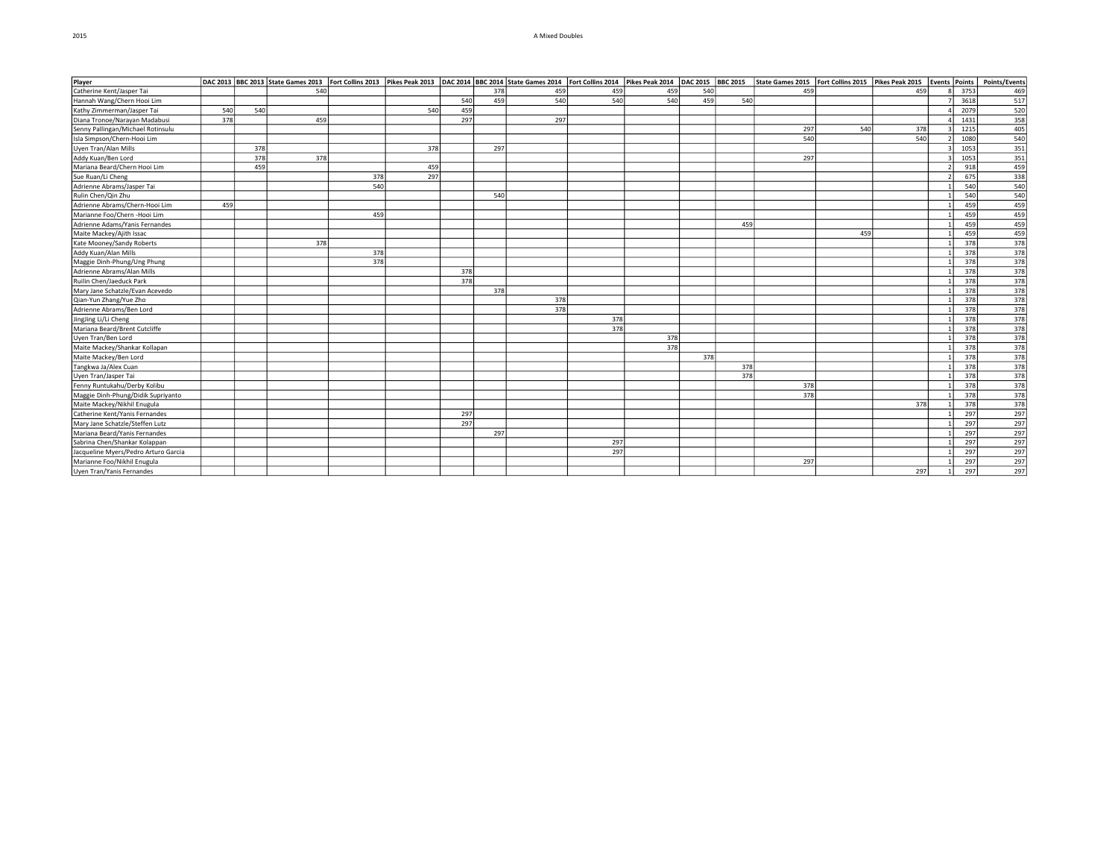#### 2015 A Mixed Doubles

| Player                               |     |     |     |     |     |     |     |     |     |     |     |     | DAC 2013 State Games 2013   Fort Collins 2013   Pikes Peak 2013   DAC 2014   BBC 2014   State Games 2014   Fort Collins 2014   Pikes Peak 2014   DAC 2014   Pikes Peak 2015   Fort Collins 2015   Fort Collins 2015   Fort Col |     |     |      |                   |
|--------------------------------------|-----|-----|-----|-----|-----|-----|-----|-----|-----|-----|-----|-----|--------------------------------------------------------------------------------------------------------------------------------------------------------------------------------------------------------------------------------|-----|-----|------|-------------------|
| Catherine Kent/Jasper Tai            |     |     | 540 |     |     |     | 378 | 459 | 459 | 459 | 540 |     | 459                                                                                                                                                                                                                            |     | 459 | 3753 | 469               |
| Hannah Wang/Chern Hooi Lim           |     |     |     |     |     | 540 | 459 | 540 | 540 | 540 | 459 | 540 |                                                                                                                                                                                                                                |     |     | 3618 | 517               |
| Kathy Zimmerman/Jasper Tai           | 540 | 540 |     |     | 540 | 459 |     |     |     |     |     |     |                                                                                                                                                                                                                                |     |     | 2079 | 520               |
| Diana Tronoe/Narayan Madabusi        | 378 |     | 459 |     |     | 297 |     | 297 |     |     |     |     |                                                                                                                                                                                                                                |     |     | 1431 |                   |
| Senny Pallingan/Michael Rotinsulu    |     |     |     |     |     |     |     |     |     |     |     |     | 297                                                                                                                                                                                                                            | 540 | 378 | 1215 | $\frac{358}{405}$ |
| Isla Simpson/Chern-Hooi Lim          |     |     |     |     |     |     |     |     |     |     |     |     | 540                                                                                                                                                                                                                            |     | 540 | 1080 | $\frac{540}{351}$ |
| Uyen Tran/Alan Mills                 |     | 378 |     |     | 378 |     | 297 |     |     |     |     |     |                                                                                                                                                                                                                                |     |     | 1053 |                   |
| Addy Kuan/Ben Lord                   |     | 378 | 378 |     |     |     |     |     |     |     |     |     | 297                                                                                                                                                                                                                            |     |     | 1053 | 351               |
| Mariana Beard/Chern Hooi Lim         |     | 459 |     |     | 459 |     |     |     |     |     |     |     |                                                                                                                                                                                                                                |     |     | 918  | 459               |
| Sue Ruan/Li Cheng                    |     |     |     | 378 | 297 |     |     |     |     |     |     |     |                                                                                                                                                                                                                                |     |     | 675  | $\frac{338}{540}$ |
| Adrienne Abrams/Jasper Tai           |     |     |     | 540 |     |     |     |     |     |     |     |     |                                                                                                                                                                                                                                |     |     | 540  |                   |
| Rulin Chen/Qin Zhu                   |     |     |     |     |     |     | 540 |     |     |     |     |     |                                                                                                                                                                                                                                |     |     | 540  |                   |
| Adrienne Abrams/Chern-Hooi Lim       | 459 |     |     |     |     |     |     |     |     |     |     |     |                                                                                                                                                                                                                                |     |     | 459  | 459               |
| Marianne Foo/Chern - Hooi Lim        |     |     |     | 459 |     |     |     |     |     |     |     |     |                                                                                                                                                                                                                                |     |     | 459  | 459               |
| Adrienne Adams/Yanis Fernandes       |     |     |     |     |     |     |     |     |     |     |     | 459 |                                                                                                                                                                                                                                |     |     | 459  | 459               |
| Maite Mackey/Ajith Issac             |     |     |     |     |     |     |     |     |     |     |     |     |                                                                                                                                                                                                                                | 459 |     | 459  | 459               |
| Kate Mooney/Sandy Roberts            |     |     | 378 |     |     |     |     |     |     |     |     |     |                                                                                                                                                                                                                                |     |     | 378  | 378               |
| Addy Kuan/Alan Mills                 |     |     |     | 378 |     |     |     |     |     |     |     |     |                                                                                                                                                                                                                                |     |     | 378  | 378               |
| Maggie Dinh-Phung/Ung Phung          |     |     |     | 378 |     |     |     |     |     |     |     |     |                                                                                                                                                                                                                                |     |     | 378  | 378               |
| Adrienne Abrams/Alan Mills           |     |     |     |     |     | 378 |     |     |     |     |     |     |                                                                                                                                                                                                                                |     |     | 378  | $\frac{378}{378}$ |
| Ruilin Chen/Jaeduck Park             |     |     |     |     |     | 378 |     |     |     |     |     |     |                                                                                                                                                                                                                                |     |     | 378  |                   |
| Mary Jane Schatzle/Evan Acevedo      |     |     |     |     |     |     | 378 |     |     |     |     |     |                                                                                                                                                                                                                                |     |     | 378  | 378               |
| Qian-Yun Zhang/Yue Zho               |     |     |     |     |     |     |     | 378 |     |     |     |     |                                                                                                                                                                                                                                |     |     | 378  | 378               |
| Adrienne Abrams/Ben Lord             |     |     |     |     |     |     |     | 378 |     |     |     |     |                                                                                                                                                                                                                                |     |     | 378  | 378               |
| JingJing Li/Li Cheng                 |     |     |     |     |     |     |     |     | 378 |     |     |     |                                                                                                                                                                                                                                |     |     | 378  | 378               |
| Mariana Beard/Brent Cutcliffe        |     |     |     |     |     |     |     |     | 378 |     |     |     |                                                                                                                                                                                                                                |     |     | 378  | $\overline{378}$  |
| Uyen Tran/Ben Lord                   |     |     |     |     |     |     |     |     |     | 378 |     |     |                                                                                                                                                                                                                                |     |     | 378  | $\frac{378}{378}$ |
| Maite Mackey/Shankar Kollapan        |     |     |     |     |     |     |     |     |     | 378 |     |     |                                                                                                                                                                                                                                |     |     | 378  |                   |
| Maite Mackey/Ben Lord                |     |     |     |     |     |     |     |     |     |     | 378 |     |                                                                                                                                                                                                                                |     |     | 378  | 378               |
| Tangkwa Ja/Alex Cuan                 |     |     |     |     |     |     |     |     |     |     |     | 378 |                                                                                                                                                                                                                                |     |     | 378  | 378               |
| Uyen Tran/Jasper Tai                 |     |     |     |     |     |     |     |     |     |     |     | 378 |                                                                                                                                                                                                                                |     |     | 378  | 378               |
| Fenny Runtukahu/Derby Kolibu         |     |     |     |     |     |     |     |     |     |     |     |     | 378                                                                                                                                                                                                                            |     |     | 378  | 378               |
| Maggie Dinh-Phung/Didik Supriyanto   |     |     |     |     |     |     |     |     |     |     |     |     | 378                                                                                                                                                                                                                            |     |     | 378  | 378               |
| Maite Mackey/Nikhil Enugula          |     |     |     |     |     |     |     |     |     |     |     |     |                                                                                                                                                                                                                                |     | 378 | 378  | 378               |
| Catherine Kent/Yanis Fernandes       |     |     |     |     |     | 297 |     |     |     |     |     |     |                                                                                                                                                                                                                                |     |     | 297  | 297               |
| Mary Jane Schatzle/Steffen Lutz      |     |     |     |     |     | 297 |     |     |     |     |     |     |                                                                                                                                                                                                                                |     |     | 297  | 297               |
| Mariana Beard/Yanis Fernandes        |     |     |     |     |     |     | 297 |     |     |     |     |     |                                                                                                                                                                                                                                |     |     | 297  | 297               |
| Sabrina Chen/Shankar Kolappan        |     |     |     |     |     |     |     |     | 297 |     |     |     |                                                                                                                                                                                                                                |     |     | 297  | 297               |
| Jacqueline Myers/Pedro Arturo Garcia |     |     |     |     |     |     |     |     | 297 |     |     |     |                                                                                                                                                                                                                                |     |     | 297  | 297               |
| Marianne Foo/Nikhil Enugula          |     |     |     |     |     |     |     |     |     |     |     |     | 297                                                                                                                                                                                                                            |     |     | 297  | 297               |
| Uyen Tran/Yanis Fernandes            |     |     |     |     |     |     |     |     |     |     |     |     |                                                                                                                                                                                                                                |     | 297 | 297  | 297               |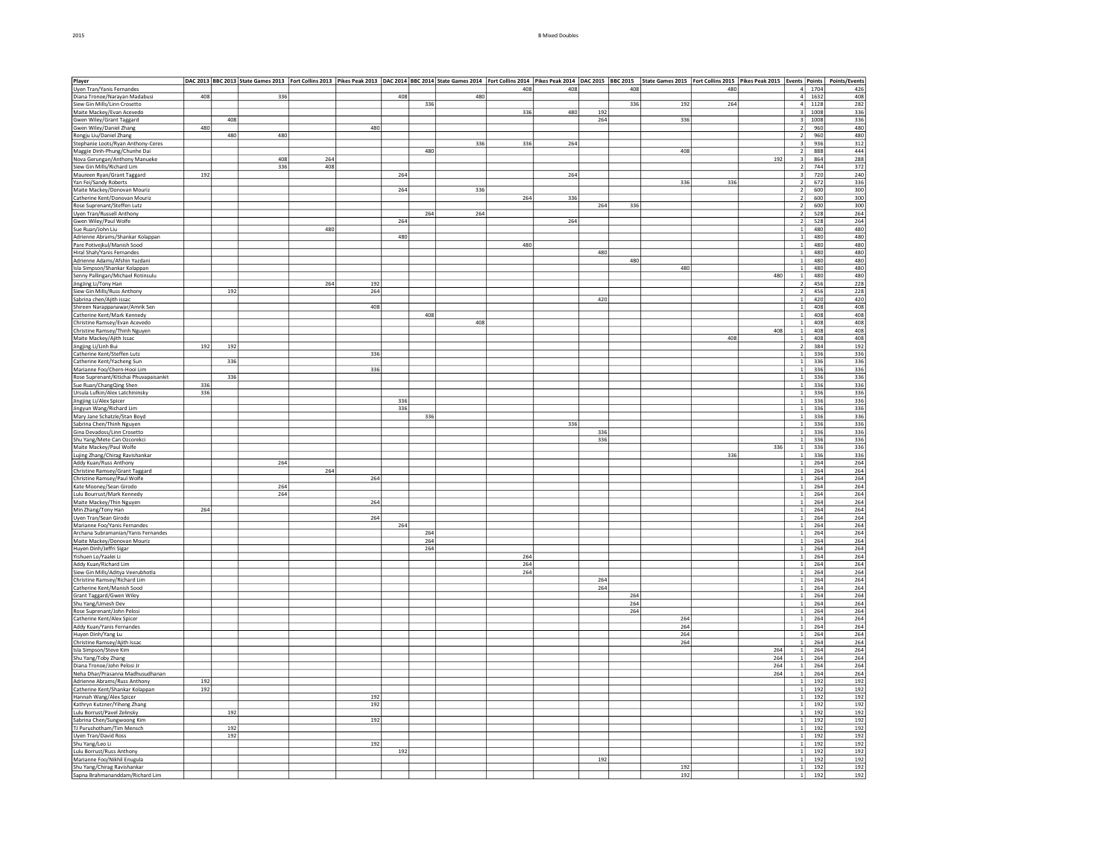| Player                                                |     |     | DAC 2013  BBC 2013  State Games 2013  Fort Collins 2013  Pikes Peak 2013  DAC 2014  BBC 2014  State Games 2014  Fort Collins 2014  Fikes Peak 2014  BBC 2014  BBC 2014  BBC 2014  BBC 2014  BBC 2014  BBC 2014  DBC 2015  BBC |     |     |     |     |     |     |     |     |     |     |     |     |                         |          |                   |
|-------------------------------------------------------|-----|-----|-------------------------------------------------------------------------------------------------------------------------------------------------------------------------------------------------------------------------------|-----|-----|-----|-----|-----|-----|-----|-----|-----|-----|-----|-----|-------------------------|----------|-------------------|
| Uyen Tran/Yanis Fernandes                             |     |     |                                                                                                                                                                                                                               |     |     |     |     |     | 408 | 408 |     | 408 |     | 480 |     |                         | 4 1704   | 426               |
| Diana Tronoe/Narayan Madabusi                         | 408 |     | 336                                                                                                                                                                                                                           |     |     | 408 |     | 480 |     |     |     |     |     |     |     |                         | $4$ 1632 | 408               |
| Siew Gin Mills/Linn Crosetto                          |     |     |                                                                                                                                                                                                                               |     |     |     | 336 |     |     |     |     | 336 | 192 | 264 |     | $\overline{4}$          | 1128     | 282               |
| Maite Mackey/Evan Acevedo                             |     |     |                                                                                                                                                                                                                               |     |     |     |     |     | 336 | 480 | 192 |     |     |     |     | $\overline{\mathbf{3}}$ | 1008     | 336               |
|                                                       |     | 408 |                                                                                                                                                                                                                               |     |     |     |     |     |     |     | 264 |     |     |     |     |                         | 1008     |                   |
| Gwen Wiley/Grant Taggard                              | 480 |     |                                                                                                                                                                                                                               |     | 480 |     |     |     |     |     |     |     | 336 |     |     | 3<br>$\overline{2}$     | 960      | 336               |
| Gwen Wiley/Daniel Zhang                               |     |     |                                                                                                                                                                                                                               |     |     |     |     |     |     |     |     |     |     |     |     |                         |          | 480               |
| Rongju Liu/Daniel Zhang                               |     | 480 | 480                                                                                                                                                                                                                           |     |     |     |     |     |     |     |     |     |     |     |     | $\overline{2}$          | 960      | 480               |
| Stephanie Loots/Ryan Anthony-Ceres                    |     |     |                                                                                                                                                                                                                               |     |     |     |     | 336 | 336 | 264 |     |     |     |     |     | 3                       | 936      | 312               |
| Maggie Dinh-Phung/Chunhe Dai                          |     |     |                                                                                                                                                                                                                               |     |     |     | 480 |     |     |     |     |     | 408 |     |     | $\overline{2}$          | 888      | 444               |
| Nova Gerungan/Anthony Manueke                         |     |     | 408                                                                                                                                                                                                                           | 264 |     |     |     |     |     |     |     |     |     |     | 192 | 3                       | 864      | 288               |
| Siew Gin Mills/Richard Lim                            |     |     | 336                                                                                                                                                                                                                           | 408 |     |     |     |     |     |     |     |     |     |     |     | $\overline{2}$          | 744      | 372               |
| Maureen Ryan/Grant Taggard                            | 192 |     |                                                                                                                                                                                                                               |     |     | 264 |     |     |     | 264 |     |     |     |     |     | $\overline{\mathbf{3}}$ | 720      | 240               |
| Yan Fei/Sandy Roberts                                 |     |     |                                                                                                                                                                                                                               |     |     |     |     |     |     |     |     |     | 336 | 336 |     | $\overline{2}$          | 672      | 336               |
| Maite Mackey/Donovan Mouriz                           |     |     |                                                                                                                                                                                                                               |     |     | 264 |     | 336 |     |     |     |     |     |     |     | $\overline{2}$          | 600      | 300               |
| Catherine Kent/Donovan Mouriz                         |     |     |                                                                                                                                                                                                                               |     |     |     |     |     | 264 | 336 |     |     |     |     |     | $\overline{\mathbf{2}}$ | 600      | 300               |
| Rose Suprenant/Steffen Lutz                           |     |     |                                                                                                                                                                                                                               |     |     |     |     |     |     |     | 264 | 336 |     |     |     | $\overline{2}$          | 600      | 300               |
| Uyen Tran/Russell Anthony                             |     |     |                                                                                                                                                                                                                               |     |     |     | 264 | 264 |     |     |     |     |     |     |     | $\overline{2}$          | 528      | 264               |
|                                                       |     |     |                                                                                                                                                                                                                               |     |     | 264 |     |     |     | 264 |     |     |     |     |     | $\overline{2}$          |          |                   |
| Gwen Wiley/Paul Wolfe                                 |     |     |                                                                                                                                                                                                                               |     |     |     |     |     |     |     |     |     |     |     |     |                         | 528      | 264               |
| Sue Ruan/John Liu                                     |     |     |                                                                                                                                                                                                                               | 480 |     |     |     |     |     |     |     |     |     |     |     | $\overline{1}$          | 480      | 480               |
| Adrienne Abrams/Shankar Kolappan                      |     |     |                                                                                                                                                                                                                               |     |     | 480 |     |     |     |     |     |     |     |     |     | $\mathbf{1}$            | 480      | 480               |
| Pare Potivejkul/Manish Sood                           |     |     |                                                                                                                                                                                                                               |     |     |     |     |     | 480 |     |     |     |     |     |     | $\,$ 1 $\,$             | 480      | 480               |
| Hiral Shah/Yanis Fernandes                            |     |     |                                                                                                                                                                                                                               |     |     |     |     |     |     |     | 480 |     |     |     |     | $\overline{1}$          | 480      | 480               |
| Adrienne Adams/Afshin Yazdani                         |     |     |                                                                                                                                                                                                                               |     |     |     |     |     |     |     |     | 480 |     |     |     | $\mathbf{1}$            | 480      | 480               |
| Isla Simpson/Shankar Kolappan                         |     |     |                                                                                                                                                                                                                               |     |     |     |     |     |     |     |     |     | 480 |     |     | $\,$ 1                  | 480      | 480               |
| Senny Pallingan/Michael Rotinsulu                     |     |     |                                                                                                                                                                                                                               |     |     |     |     |     |     |     |     |     |     |     | 480 | $\overline{1}$          | 480      | 480               |
| JingJing Li/Tony Han                                  |     |     |                                                                                                                                                                                                                               | 264 | 192 |     |     |     |     |     |     |     |     |     |     | $\overline{2}$          | 456      | 228               |
| Siew Gin Mills/Russ Anthony                           |     | 192 |                                                                                                                                                                                                                               |     | 264 |     |     |     |     |     |     |     |     |     |     | $\overline{2}$          | 456      | 228               |
| Sabrina chen/Ajith issac                              |     |     |                                                                                                                                                                                                                               |     |     |     |     |     |     |     | 420 |     |     |     |     | $\vert$                 | 420      | 420               |
| Shireen Narappanawar/Amrik Sen                        |     |     |                                                                                                                                                                                                                               |     | 408 |     |     |     |     |     |     |     |     |     |     | $\mathbf{1}$            | 408      | 408               |
|                                                       |     |     |                                                                                                                                                                                                                               |     |     |     |     |     |     |     |     |     |     |     |     | $\mathbf{1}$            |          |                   |
| Catherine Kent/Mark Kennedy                           |     |     |                                                                                                                                                                                                                               |     |     |     | 408 |     |     |     |     |     |     |     |     |                         | 408      | 408               |
| Christine Ramsey/Evan Acevedo                         |     |     |                                                                                                                                                                                                                               |     |     |     |     | 408 |     |     |     |     |     |     |     | $\overline{1}$          | 408      | 408               |
| Christine Ramsey/Thinh Nguyen                         |     |     |                                                                                                                                                                                                                               |     |     |     |     |     |     |     |     |     |     |     | 408 | $\mathbf{1}$            | 408      | 408               |
| Maite Mackey/Ajith Issac                              |     |     |                                                                                                                                                                                                                               |     |     |     |     |     |     |     |     |     |     | 408 |     | $\,$ 1 $\,$             | 408      | 408               |
| Jingjing Li/Linh Bui                                  | 192 | 192 |                                                                                                                                                                                                                               |     |     |     |     |     |     |     |     |     |     |     |     | $\overline{2}$          | 384      | 192               |
| Catherine Kent/Steffen Lutz                           |     |     |                                                                                                                                                                                                                               |     | 336 |     |     |     |     |     |     |     |     |     |     | $\overline{1}$          | 336      | 336               |
| Catherine Kent/Yacheng Sun                            |     | 336 |                                                                                                                                                                                                                               |     |     |     |     |     |     |     |     |     |     |     |     | $\,$ 1 $\,$             | 336      | 336               |
| Marianne Foo/Chern-Hooi Lim                           |     |     |                                                                                                                                                                                                                               |     | 336 |     |     |     |     |     |     |     |     |     |     | $\overline{1}$          | 336      | 336               |
| Rose Suprenant/Kitichai Phuvapaisankit                |     | 336 |                                                                                                                                                                                                                               |     |     |     |     |     |     |     |     |     |     |     |     | $\overline{1}$          | 336      | 336               |
| Sue Ruan/ChangQing Shen                               | 336 |     |                                                                                                                                                                                                                               |     |     |     |     |     |     |     |     |     |     |     |     | $\,$ 1 $\,$             | 336      | 336               |
| Ursula Lufkin/Alex Latchininsky                       | 336 |     |                                                                                                                                                                                                                               |     |     |     |     |     |     |     |     |     |     |     |     | $\overline{1}$          | 336      | 336               |
|                                                       |     |     |                                                                                                                                                                                                                               |     |     |     |     |     |     |     |     |     |     |     |     |                         |          |                   |
| Jingjing Li/Alex Spicer                               |     |     |                                                                                                                                                                                                                               |     |     | 336 |     |     |     |     |     |     |     |     |     | $\mathbf{1}$            | 336      | 336               |
| Jingyun Wang/Richard Lim                              |     |     |                                                                                                                                                                                                                               |     |     | 336 |     |     |     |     |     |     |     |     |     | $\overline{1}$          | 336      | 336               |
| Mary Jane Schatzle/Stan Boyd                          |     |     |                                                                                                                                                                                                                               |     |     |     | 336 |     |     |     |     |     |     |     |     | $\overline{1}$          | 336      | 336               |
| Sabrina Chen/Thinh Nguyen                             |     |     |                                                                                                                                                                                                                               |     |     |     |     |     |     | 336 |     |     |     |     |     | $\overline{1}$          | 336      | 336               |
| Gina Devadoss/Linn Crosetto                           |     |     |                                                                                                                                                                                                                               |     |     |     |     |     |     |     | 336 |     |     |     |     | $\mathbf{1}$            | 336      | 336               |
| Shu Yang/Mete Can Ozcorekci                           |     |     |                                                                                                                                                                                                                               |     |     |     |     |     |     |     | 336 |     |     |     |     | $\mathbf{1}$            | 336      | 336               |
| Maite Mackey/Paul Wolfe                               |     |     |                                                                                                                                                                                                                               |     |     |     |     |     |     |     |     |     |     |     | 336 | $\mathbf{1}$            | 336      | 336               |
| Lujing Zhang/Chirag Ravishankar                       |     |     |                                                                                                                                                                                                                               |     |     |     |     |     |     |     |     |     |     | 336 |     | $\mathbf{1}$            | 336      | 336               |
| Addy Kuan/Russ Anthony                                |     |     | 264                                                                                                                                                                                                                           |     |     |     |     |     |     |     |     |     |     |     |     | $\overline{1}$          | 264      | 264               |
| Christine Ramsey/Grant Taggard                        |     |     |                                                                                                                                                                                                                               | 264 |     |     |     |     |     |     |     |     |     |     |     | $\mathbf{1}$            | 264      | 264               |
| Christine Ramsey/Paul Wolfe                           |     |     |                                                                                                                                                                                                                               |     | 264 |     |     |     |     |     |     |     |     |     |     | $\mathbf{1}$            | 264      | 264               |
|                                                       |     |     | 264                                                                                                                                                                                                                           |     |     |     |     |     |     |     |     |     |     |     |     | $\mathbf{1}$            | 264      | 264               |
| Kate Mooney/Sean Girodo<br>Lulu Bourrust/Mark Kennedy |     |     | 264                                                                                                                                                                                                                           |     |     |     |     |     |     |     |     |     |     |     |     | $\overline{1}$          | 264      | 264               |
|                                                       |     |     |                                                                                                                                                                                                                               |     |     |     |     |     |     |     |     |     |     |     |     |                         |          |                   |
| Maite Mackey/Thin Nguyen                              |     |     |                                                                                                                                                                                                                               |     | 264 |     |     |     |     |     |     |     |     |     |     | $\,$ 1 $\,$             | 264      | 264               |
| Min Zhang/Tony Han                                    | 264 |     |                                                                                                                                                                                                                               |     |     |     |     |     |     |     |     |     |     |     |     | $\mathbf{1}$            | 264      | 264               |
| Uyen Tran/Sean Girodo                                 |     |     |                                                                                                                                                                                                                               |     | 264 |     |     |     |     |     |     |     |     |     |     | $\overline{1}$          | 264      | 264               |
| Marianne Foo/Yanis Fernandes                          |     |     |                                                                                                                                                                                                                               |     |     | 264 |     |     |     |     |     |     |     |     |     | $\,$ 1 $\,$             | 264      | 264               |
| Archana Subramanian/Yanis Fernandes                   |     |     |                                                                                                                                                                                                                               |     |     |     | 264 |     |     |     |     |     |     |     |     | $\overline{1}$          | 264      | 264               |
| Maite Mackey/Donovan Mouriz                           |     |     |                                                                                                                                                                                                                               |     |     |     | 264 |     |     |     |     |     |     |     |     | $\overline{1}$          | 264      | 264               |
| Huyen Dinh/Jeffri Sigar                               |     |     |                                                                                                                                                                                                                               |     |     |     | 264 |     |     |     |     |     |     |     |     | $\overline{1}$          | 264      | 264               |
| Yishuen Lo/Yaalei Li                                  |     |     |                                                                                                                                                                                                                               |     |     |     |     |     | 264 |     |     |     |     |     |     | $\overline{1}$          | 264      | 264               |
| Addy Kuan/Richard Lim                                 |     |     |                                                                                                                                                                                                                               |     |     |     |     |     | 264 |     |     |     |     |     |     | $\mathbf{1}$            | 264      | 264               |
| Siew Gin Mills/Aditya Veerubhotla                     |     |     |                                                                                                                                                                                                                               |     |     |     |     |     | 264 |     |     |     |     |     |     | $\overline{1}$          | 264      | 264               |
| Christine Ramsey/Richard Lim                          |     |     |                                                                                                                                                                                                                               |     |     |     |     |     |     |     | 264 |     |     |     |     | $\,$ 1 $\,$             | 264      | 264               |
| Catherine Kent/Manish Sood                            |     |     |                                                                                                                                                                                                                               |     |     |     |     |     |     |     | 264 |     |     |     |     | $\mathbf{1}$            | 264      | 264               |
| Grant Taggard/Gwen Wiley                              |     |     |                                                                                                                                                                                                                               |     |     |     |     |     |     |     |     | 264 |     |     |     | $\mathbf{1}$            | 264      | 264               |
| Shu Yang/Umesh Dev                                    |     |     |                                                                                                                                                                                                                               |     |     |     |     |     |     |     |     | 264 |     |     |     | $\overline{1}$          | 264      | 264               |
|                                                       |     |     |                                                                                                                                                                                                                               |     |     |     |     |     |     |     |     | 264 |     |     |     | $\overline{1}$          | 264      | 264               |
| Rose Suprenant/John Pelosi                            |     |     |                                                                                                                                                                                                                               |     |     |     |     |     |     |     |     |     |     |     |     |                         |          |                   |
| Catherine Kent/Alex Spicer                            |     |     |                                                                                                                                                                                                                               |     |     |     |     |     |     |     |     |     | 264 |     |     | $\mathbf{1}$            | 264      | 264               |
| Addy Kuan/Yanis Fernandes                             |     |     |                                                                                                                                                                                                                               |     |     |     |     |     |     |     |     |     | 264 |     |     | $\overline{1}$          | 264      | 264               |
| Huyen Dinh/Yang Lu                                    |     |     |                                                                                                                                                                                                                               |     |     |     |     |     |     |     |     |     | 264 |     |     | $\mathbf{1}$            | 264      | 264               |
| Christine Ramsey/Ajith Issac                          |     |     |                                                                                                                                                                                                                               |     |     |     |     |     |     |     |     |     | 264 |     |     | $\,$ 1 $\,$             | 264      | 264               |
| Isla Simpson/Steve Kim                                |     |     |                                                                                                                                                                                                                               |     |     |     |     |     |     |     |     |     |     |     | 264 | $\ddot{\phantom{a}}$    | 264      | $\frac{264}{264}$ |
| Shu Yang/Toby Zhang                                   |     |     |                                                                                                                                                                                                                               |     |     |     |     |     |     |     |     |     |     |     | 264 | $\overline{1}$          | 264      |                   |
| Diana Tronoe/John Pelosi Jr                           |     |     |                                                                                                                                                                                                                               |     |     |     |     |     |     |     |     |     |     |     | 264 | $\,$ 1                  | 264      | 264               |
| Neha Dhar/Prasanna Madhusudhanan                      |     |     |                                                                                                                                                                                                                               |     |     |     |     |     |     |     |     |     |     |     | 264 | $\overline{1}$          | 264      | 264               |
| Adrienne Abrams/Russ Anthony                          | 192 |     |                                                                                                                                                                                                                               |     |     |     |     |     |     |     |     |     |     |     |     | $\mathbf{1}$            | 192      | 192               |
| Catherine Kent/Shankar Kolappan                       | 192 |     |                                                                                                                                                                                                                               |     |     |     |     |     |     |     |     |     |     |     |     | $\overline{1}$          | 192      | 192               |
| Hannah Wang/Alex Spicer                               |     |     |                                                                                                                                                                                                                               |     | 192 |     |     |     |     |     |     |     |     |     |     | $\ddot{\phantom{a}}$    | 192      | 192               |
|                                                       |     |     |                                                                                                                                                                                                                               |     |     |     |     |     |     |     |     |     |     |     |     | $\mathbf{1}$            |          |                   |
| Kathryn Kutzner/Yiheng Zhang                          |     |     |                                                                                                                                                                                                                               |     | 192 |     |     |     |     |     |     |     |     |     |     | $\overline{1}$          | 192      | 192               |
| Lulu Borrust/Pavel Zelinsky                           |     | 192 |                                                                                                                                                                                                                               |     |     |     |     |     |     |     |     |     |     |     |     |                         | 192      | 192               |
| Sabrina Chen/Sungwoong Kim                            |     |     |                                                                                                                                                                                                                               |     | 192 |     |     |     |     |     |     |     |     |     |     | $\overline{1}$          | 192      | 192               |
| TJ Purushotham/Tim Mensch                             |     | 192 |                                                                                                                                                                                                                               |     |     |     |     |     |     |     |     |     |     |     |     | $\mathbf{1}$            | 192      | 192               |
| Uyen Tran/David Ross                                  |     | 192 |                                                                                                                                                                                                                               |     |     |     |     |     |     |     |     |     |     |     |     |                         | 192      | 192               |
| Shu Yang/Leo Li                                       |     |     |                                                                                                                                                                                                                               |     | 192 |     |     |     |     |     |     |     |     |     |     | $\overline{1}$          | 192      | 192               |
| Lulu Borrust/Russ Anthony                             |     |     |                                                                                                                                                                                                                               |     |     | 192 |     |     |     |     |     |     |     |     |     | $\overline{1}$          | 192      | 192               |
| Marianne Foo/Nikhil Enugula                           |     |     |                                                                                                                                                                                                                               |     |     |     |     |     |     |     | 192 |     |     |     |     | $\mathbf{1}$            | 192      | 192               |
| Shu Yang/Chirag Ravishankar                           |     |     |                                                                                                                                                                                                                               |     |     |     |     |     |     |     |     |     | 192 |     |     | $\overline{1}$          | 192      | 192               |
| Sapna Brahmananddam/Richard Lim                       |     |     |                                                                                                                                                                                                                               |     |     |     |     |     |     |     |     |     | 192 |     |     | 1                       | 192      | 192               |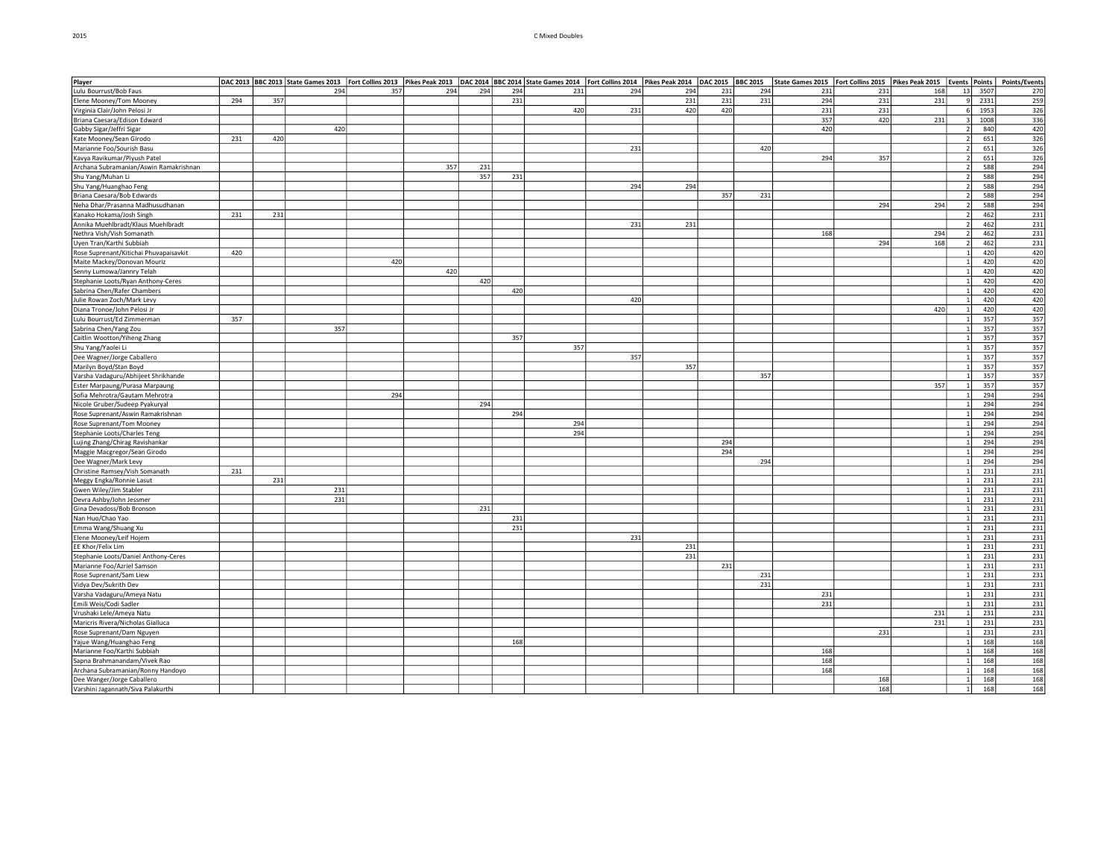#### 2015 C Mixed Doubles

| Player                                 |     |     | DAC 2013 BBC 2013 State Games 2013 Fort Collins 2013 Pikes Peak 2013 DAC 2014 BBC 2014 State Games 2014 Fort Collins 2014 Pikes Peak 2014 DAC 2015 BBC 2015 |     |     |     |     |     |     |     |     |     | State Games 2015   Fort Collins 2015 |     | Pikes Peak 2015 | <b>Events</b> | <b>Points</b> | Points/Events    |
|----------------------------------------|-----|-----|-------------------------------------------------------------------------------------------------------------------------------------------------------------|-----|-----|-----|-----|-----|-----|-----|-----|-----|--------------------------------------|-----|-----------------|---------------|---------------|------------------|
| Lulu Bourrust/Bob Faus                 |     |     | 294                                                                                                                                                         | 357 | 294 | 294 | 294 | 231 | 294 | 294 | 231 | 294 | 231                                  | 231 | 168             | 13            | 3507          | 270              |
| Elene Mooney/Tom Mooney                | 294 | 357 |                                                                                                                                                             |     |     |     | 231 |     |     | 231 | 231 | 231 | 294                                  | 231 | 231             |               | 2331          | 259              |
| Virginia Clair/John Pelosi Jr          |     |     |                                                                                                                                                             |     |     |     |     | 420 | 231 | 420 | 420 |     | 231                                  | 231 |                 |               | 1953          | 326              |
| Briana Caesara/Edison Edward           |     |     |                                                                                                                                                             |     |     |     |     |     |     |     |     |     | 357                                  | 420 | 231             |               | 1008          | 336              |
| Gabby Sigar/Jeffri Sigar               |     |     | 420                                                                                                                                                         |     |     |     |     |     |     |     |     |     | 420                                  |     |                 |               | 840           | 420              |
| Kate Mooney/Sean Girodo                | 231 | 420 |                                                                                                                                                             |     |     |     |     |     |     |     |     |     |                                      |     |                 |               | 651           | 326              |
| Marianne Foo/Sourish Basu              |     |     |                                                                                                                                                             |     |     |     |     |     | 231 |     |     | 420 |                                      |     |                 |               | 651           | 326              |
| Kavya Ravikumar/Piyush Patel           |     |     |                                                                                                                                                             |     |     |     |     |     |     |     |     |     | 294                                  | 357 |                 |               | 651           | 326              |
| Archana Subramanian/Aswin Ramakrishnan |     |     |                                                                                                                                                             |     | 357 | 231 |     |     |     |     |     |     |                                      |     |                 |               | 588           | 294              |
| Shu Yang/Muhan Li                      |     |     |                                                                                                                                                             |     |     | 357 | 231 |     |     |     |     |     |                                      |     |                 |               | 588           | 294              |
| Shu Yang/Huanghao Feng                 |     |     |                                                                                                                                                             |     |     |     |     |     | 294 | 294 |     |     |                                      |     |                 |               | 588           | 294              |
| Briana Caesara/Bob Edwards             |     |     |                                                                                                                                                             |     |     |     |     |     |     |     | 357 | 231 |                                      |     |                 |               | 588           | 294              |
| Neha Dhar/Prasanna Madhusudhanan       |     |     |                                                                                                                                                             |     |     |     |     |     |     |     |     |     |                                      | 294 | 294             |               | 588           | 294              |
| Kanako Hokama/Josh Singh               | 231 | 231 |                                                                                                                                                             |     |     |     |     |     |     |     |     |     |                                      |     |                 |               | 462           | 231              |
| Annika Muehlbradt/Klaus Muehlbradt     |     |     |                                                                                                                                                             |     |     |     |     |     | 231 | 231 |     |     |                                      |     |                 |               | 462           | 231              |
| Nethra Vish/Vish Somanath              |     |     |                                                                                                                                                             |     |     |     |     |     |     |     |     |     | 168                                  |     | 294             |               | 462           | 231              |
| Uyen Tran/Karthi Subbiah               |     |     |                                                                                                                                                             |     |     |     |     |     |     |     |     |     |                                      | 294 | 168             |               | 462           | 231              |
|                                        | 420 |     |                                                                                                                                                             |     |     |     |     |     |     |     |     |     |                                      |     |                 |               | 420           | 420              |
| Rose Suprenant/Kitichai Phuvapaisavkit |     |     |                                                                                                                                                             | 420 |     |     |     |     |     |     |     |     |                                      |     |                 |               |               | 420              |
| Maite Mackey/Donovan Mouriz            |     |     |                                                                                                                                                             |     |     |     |     |     |     |     |     |     |                                      |     |                 |               | 420           |                  |
| Senny Lumowa/Jannry Telah              |     |     |                                                                                                                                                             |     | 420 |     |     |     |     |     |     |     |                                      |     |                 |               | 420           | 420              |
| Stephanie Loots/Ryan Anthony-Ceres     |     |     |                                                                                                                                                             |     |     | 420 |     |     |     |     |     |     |                                      |     |                 |               | 420           | 420              |
| Sabrina Chen/Rafer Chambers            |     |     |                                                                                                                                                             |     |     |     | 420 |     |     |     |     |     |                                      |     |                 |               | 420           | 420              |
| Julie Rowan Zoch/Mark Levy             |     |     |                                                                                                                                                             |     |     |     |     |     | 420 |     |     |     |                                      |     |                 |               | 420           | 420              |
| Diana Tronoe/John Pelosi Jr            |     |     |                                                                                                                                                             |     |     |     |     |     |     |     |     |     |                                      |     | 420             |               | 420           | 420              |
| Lulu Bourrust/Ed Zimmerman             | 357 |     |                                                                                                                                                             |     |     |     |     |     |     |     |     |     |                                      |     |                 |               | 357           | 357              |
| Sabrina Chen/Yang Zou                  |     |     | 357                                                                                                                                                         |     |     |     |     |     |     |     |     |     |                                      |     |                 |               | 357           | 357              |
| Caitlin Wootton/Yiheng Zhang           |     |     |                                                                                                                                                             |     |     |     | 357 |     |     |     |     |     |                                      |     |                 |               | 357           | 357              |
| Shu Yang/Yaolei Li                     |     |     |                                                                                                                                                             |     |     |     |     | 357 |     |     |     |     |                                      |     |                 |               | 357           | $\overline{357}$ |
| Dee Wagner/Jorge Caballero             |     |     |                                                                                                                                                             |     |     |     |     |     | 357 |     |     |     |                                      |     |                 |               | 357           | 357              |
| Marilyn Boyd/Stan Boyd                 |     |     |                                                                                                                                                             |     |     |     |     |     |     | 357 |     |     |                                      |     |                 |               | 357           | 357              |
| Varsha Vadaguru/Abhijeet Shrikhande    |     |     |                                                                                                                                                             |     |     |     |     |     |     |     |     | 357 |                                      |     |                 |               | 357           | 357              |
| Ester Marpaung/Purasa Marpaung         |     |     |                                                                                                                                                             |     |     |     |     |     |     |     |     |     |                                      |     | 357             |               | 357           | 357              |
| Sofia Mehrotra/Gautam Mehrotra         |     |     |                                                                                                                                                             | 294 |     |     |     |     |     |     |     |     |                                      |     |                 |               | 294           | 294              |
| Nicole Gruber/Sudeep Pyakuryal         |     |     |                                                                                                                                                             |     |     | 294 |     |     |     |     |     |     |                                      |     |                 |               | 294           | 294              |
| Rose Suprenant/Aswin Ramakrishnan      |     |     |                                                                                                                                                             |     |     |     | 294 |     |     |     |     |     |                                      |     |                 |               | 294           | 294              |
| Rose Suprenant/Tom Mooney              |     |     |                                                                                                                                                             |     |     |     |     | 294 |     |     |     |     |                                      |     |                 |               | 294           | 294              |
| Stephanie Loots/Charles Teng           |     |     |                                                                                                                                                             |     |     |     |     | 294 |     |     |     |     |                                      |     |                 |               | 294           | 294              |
| Lujing Zhang/Chirag Ravishankar        |     |     |                                                                                                                                                             |     |     |     |     |     |     |     | 294 |     |                                      |     |                 |               | 294           | 294              |
| Maggie Macgregor/Sean Girodo           |     |     |                                                                                                                                                             |     |     |     |     |     |     |     | 294 |     |                                      |     |                 |               | 294           | 294              |
| Dee Wagner/Mark Levy                   |     |     |                                                                                                                                                             |     |     |     |     |     |     |     |     | 294 |                                      |     |                 |               | 294           | 294              |
| Christine Ramsey/Vish Somanath         | 231 |     |                                                                                                                                                             |     |     |     |     |     |     |     |     |     |                                      |     |                 |               | 231           | 231              |
| Meggy Engka/Ronnie Lasut               |     | 231 |                                                                                                                                                             |     |     |     |     |     |     |     |     |     |                                      |     |                 |               | 231           | 231              |
| Gwen Wiley/Jim Stabler                 |     |     | 231                                                                                                                                                         |     |     |     |     |     |     |     |     |     |                                      |     |                 |               | 231           | 231              |
| Devra Ashby/John Jessmer               |     |     | 231                                                                                                                                                         |     |     |     |     |     |     |     |     |     |                                      |     |                 |               | 231           | 231              |
| Gina Devadoss/Bob Bronson              |     |     |                                                                                                                                                             |     |     | 231 |     |     |     |     |     |     |                                      |     |                 |               | 231           | 231              |
| Nan Huo/Chao Yao                       |     |     |                                                                                                                                                             |     |     |     | 231 |     |     |     |     |     |                                      |     |                 |               | 231           | 231              |
| Emma Wang/Shuang Xu                    |     |     |                                                                                                                                                             |     |     |     | 231 |     |     |     |     |     |                                      |     |                 |               | 231           | 231              |
| Elene Mooney/Leif Hojem                |     |     |                                                                                                                                                             |     |     |     |     |     | 231 |     |     |     |                                      |     |                 |               | 231           | 231              |
| EE Khor/Felix Lim                      |     |     |                                                                                                                                                             |     |     |     |     |     |     | 231 |     |     |                                      |     |                 |               | 231           | 231              |
| Stephanie Loots/Daniel Anthony-Ceres   |     |     |                                                                                                                                                             |     |     |     |     |     |     | 231 |     |     |                                      |     |                 |               | 231           | 231              |
| Marianne Foo/Azriel Samson             |     |     |                                                                                                                                                             |     |     |     |     |     |     |     | 231 |     |                                      |     |                 |               | 231           | 231              |
| Rose Suprenant/Sam Liew                |     |     |                                                                                                                                                             |     |     |     |     |     |     |     |     | 231 |                                      |     |                 |               | 231           | 231              |
| Vidya Dev/Sukrith Dev                  |     |     |                                                                                                                                                             |     |     |     |     |     |     |     |     | 231 |                                      |     |                 |               | 231           | 231              |
|                                        |     |     |                                                                                                                                                             |     |     |     |     |     |     |     |     |     | 231                                  |     |                 |               |               |                  |
| Varsha Vadaguru/Ameya Natu             |     |     |                                                                                                                                                             |     |     |     |     |     |     |     |     |     | 231                                  |     |                 |               | 231<br>231    | 231              |
| Emili Weis/Codi Sadler                 |     |     |                                                                                                                                                             |     |     |     |     |     |     |     |     |     |                                      |     |                 |               |               | 231              |
| Vrushaki Lele/Ameya Natu               |     |     |                                                                                                                                                             |     |     |     |     |     |     |     |     |     |                                      |     | 231             |               | 231           | 231              |
| Maricris Rivera/Nicholas Gialluca      |     |     |                                                                                                                                                             |     |     |     |     |     |     |     |     |     |                                      |     | 231             |               | 231           | 231              |
| Rose Suprenant/Dam Nguyen              |     |     |                                                                                                                                                             |     |     |     |     |     |     |     |     |     |                                      | 231 |                 |               | 231           | 231              |
| Yajue Wang/Huanghao Feng               |     |     |                                                                                                                                                             |     |     |     | 168 |     |     |     |     |     |                                      |     |                 |               | 168           | 168              |
| Marianne Foo/Karthi Subbiah            |     |     |                                                                                                                                                             |     |     |     |     |     |     |     |     |     | 168                                  |     |                 |               | 168           | 168              |
| Sapna Brahmanandam/Vivek Rao           |     |     |                                                                                                                                                             |     |     |     |     |     |     |     |     |     | 168                                  |     |                 |               | 168           | 168              |
| Archana Subramanian/Ronny Handoyo      |     |     |                                                                                                                                                             |     |     |     |     |     |     |     |     |     | 168                                  |     |                 |               | 168           | 168              |
| Dee Wanger/Jorge Caballero             |     |     |                                                                                                                                                             |     |     |     |     |     |     |     |     |     |                                      | 168 |                 |               | 168           | 168              |
| Varshini Jagannath/Siva Palakurthi     |     |     |                                                                                                                                                             |     |     |     |     |     |     |     |     |     |                                      | 168 |                 |               | 168           | 168              |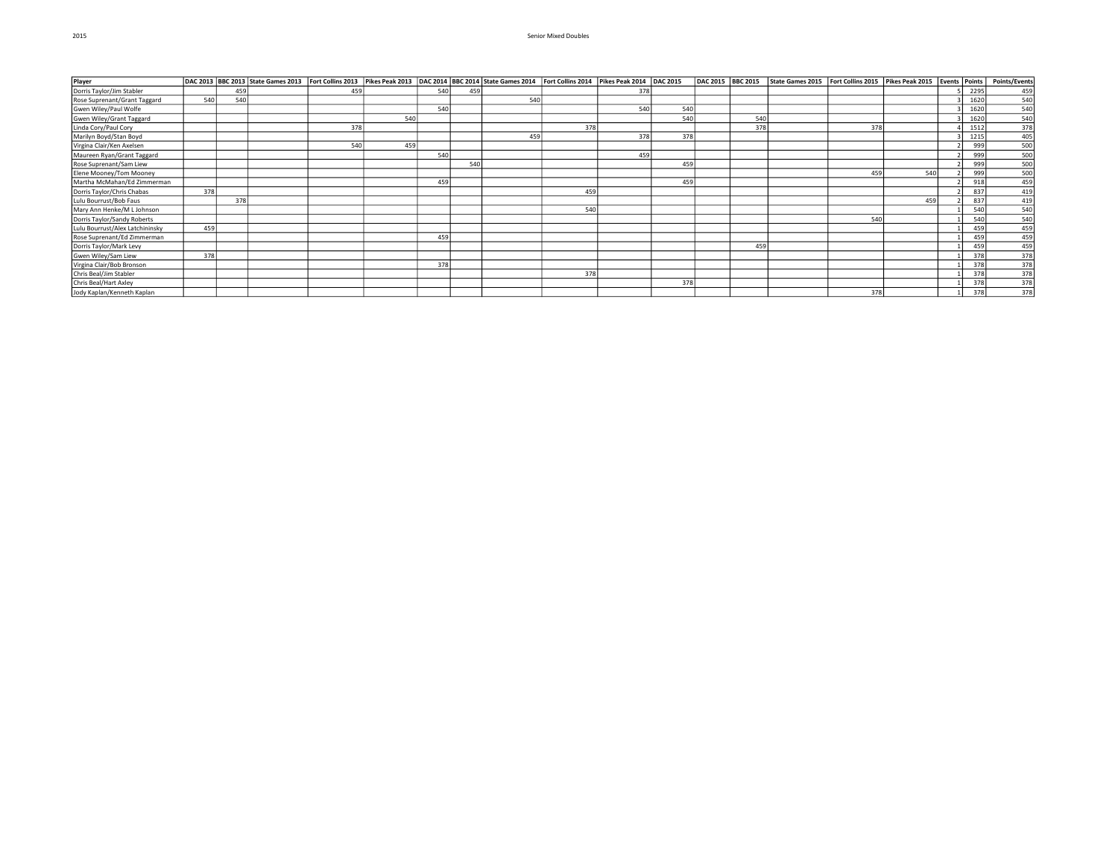## 2015 Senior Mixed Doubles

| Player                          |     |     | DAC 2013 BBC 2013 State Games 2013 Fort Collins 2013 Pikes Peak 2013 DAC 2014 BBC 2014 State Games 2014 Fort Collins 2014 Pikes Peak 2014 DAC 2015 |     |     |     |     |     |     |     |     |     | DAC 2015 BBC 2015 State Games 2015 Fort Collins 2015 Pikes Peak 2015 Events Points |     |     |      | Points/Events |
|---------------------------------|-----|-----|----------------------------------------------------------------------------------------------------------------------------------------------------|-----|-----|-----|-----|-----|-----|-----|-----|-----|------------------------------------------------------------------------------------|-----|-----|------|---------------|
| Dorris Taylor/Jim Stabler       |     | 459 |                                                                                                                                                    | 459 |     | 540 | 459 |     |     | 378 |     |     |                                                                                    |     |     | 2295 | 459           |
| Rose Suprenant/Grant Taggard    | 540 | 540 |                                                                                                                                                    |     |     |     |     | 540 |     |     |     |     |                                                                                    |     |     | 1620 | 540           |
| Gwen Wiley/Paul Wolfe           |     |     |                                                                                                                                                    |     |     | 540 |     |     |     | 540 | 540 |     |                                                                                    |     |     | 1620 | 540           |
| Gwen Wiley/Grant Taggard        |     |     |                                                                                                                                                    |     | 540 |     |     |     |     |     | 540 | 540 |                                                                                    |     |     | 1620 | 540           |
| Linda Cory/Paul Cory            |     |     |                                                                                                                                                    | 378 |     |     |     |     | 378 |     |     | 378 |                                                                                    | 378 |     | 1512 | 378           |
| Marilyn Boyd/Stan Boyd          |     |     |                                                                                                                                                    |     |     |     |     | 459 |     | 378 | 378 |     |                                                                                    |     |     | 1215 | 405           |
| Virgina Clair/Ken Axelsen       |     |     |                                                                                                                                                    | 540 | 459 |     |     |     |     |     |     |     |                                                                                    |     |     | 999  | 500           |
| Maureen Ryan/Grant Taggard      |     |     |                                                                                                                                                    |     |     | 540 |     |     |     | 459 |     |     |                                                                                    |     |     | 999  | 500           |
| Rose Suprenant/Sam Liew         |     |     |                                                                                                                                                    |     |     |     | 540 |     |     |     | 459 |     |                                                                                    |     |     | 999  | 500           |
| Elene Mooney/Tom Mooney         |     |     |                                                                                                                                                    |     |     |     |     |     |     |     |     |     |                                                                                    | 459 | 540 | 999  | 500           |
| Martha McMahan/Ed Zimmerman     |     |     |                                                                                                                                                    |     |     | 459 |     |     |     |     | 459 |     |                                                                                    |     |     | 918  | 459           |
| Dorris Taylor/Chris Chabas      | 378 |     |                                                                                                                                                    |     |     |     |     |     | 459 |     |     |     |                                                                                    |     |     | 837  | 419           |
| Lulu Bourrust/Bob Faus          |     | 378 |                                                                                                                                                    |     |     |     |     |     |     |     |     |     |                                                                                    |     | 459 | 837  | 419           |
| Mary Ann Henke/M L Johnson      |     |     |                                                                                                                                                    |     |     |     |     |     | 540 |     |     |     |                                                                                    |     |     | 540  | 540           |
| Dorris Taylor/Sandy Roberts     |     |     |                                                                                                                                                    |     |     |     |     |     |     |     |     |     |                                                                                    | 540 |     | 540  | 540           |
| Lulu Bourrust/Alex Latchininsky | 459 |     |                                                                                                                                                    |     |     |     |     |     |     |     |     |     |                                                                                    |     |     | 459  | 459           |
| Rose Suprenant/Ed Zimmerman     |     |     |                                                                                                                                                    |     |     | 459 |     |     |     |     |     |     |                                                                                    |     |     | 459  | 459           |
| Dorris Taylor/Mark Levy         |     |     |                                                                                                                                                    |     |     |     |     |     |     |     |     | 459 |                                                                                    |     |     | 459  | 459           |
| Gwen Wiley/Sam Liew             | 378 |     |                                                                                                                                                    |     |     |     |     |     |     |     |     |     |                                                                                    |     |     | 378  | 378           |
| Virgina Clair/Bob Bronson       |     |     |                                                                                                                                                    |     |     | 378 |     |     |     |     |     |     |                                                                                    |     |     | 378  | 378           |
| Chris Beal/Jim Stabler          |     |     |                                                                                                                                                    |     |     |     |     |     | 378 |     |     |     |                                                                                    |     |     | 378  | 378           |
| Chris Beal/Hart Axley           |     |     |                                                                                                                                                    |     |     |     |     |     |     |     | 378 |     |                                                                                    |     |     | 378  | 378           |
| Jody Kaplan/Kenneth Kaplan      |     |     |                                                                                                                                                    |     |     |     |     |     |     |     |     |     |                                                                                    | 378 |     | 378  | 378           |